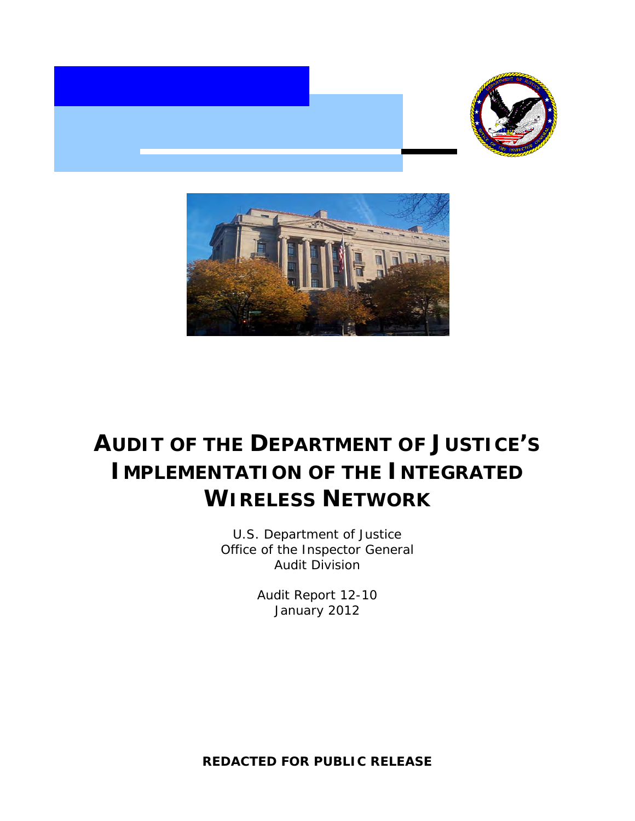



# **AUDIT OF THE DEPARTMENT OF JUSTICE'S IMPLEMENTATION OF THE INTEGRATED WIRELESS NETWORK**

U.S. Department of Justice Office of the Inspector General Audit Division

> Audit Report 12-10 January 2012

**REDACTED FOR PUBLIC RELEASE**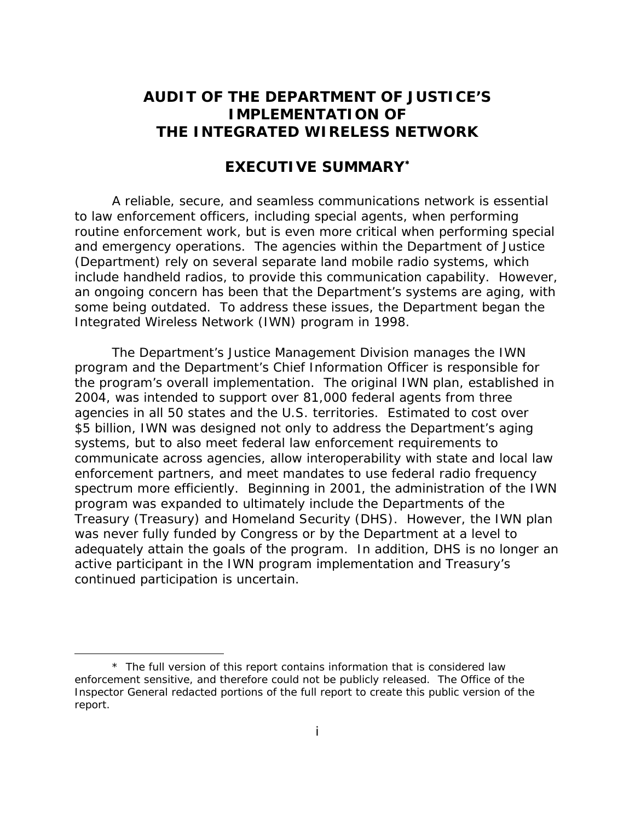# **AUDIT OF THE DEPARTMENT OF JUSTICE'S IMPLEMENTATION OF THE INTEGRATED WIRELESS NETWORK**

# **EXECUTIVE SUMMARY**

A reliable, secure, and seamless communications network is essential to law enforcement officers, including special agents, when performing routine enforcement work, but is even more critical when performing special and emergency operations. The agencies within the Department of Justice (Department) rely on several separate land mobile radio systems, which include handheld radios, to provide this communication capability. However, an ongoing concern has been that the Department's systems are aging, with some being outdated. To address these issues, the Department began the Integrated Wireless Network (IWN) program in 1998.

The Department's Justice Management Division manages the IWN program and the Department's Chief Information Officer is responsible for the program's overall implementation. The original IWN plan, established in 2004, was intended to support over 81,000 federal agents from three agencies in all 50 states and the U.S. territories. Estimated to cost over \$5 billion, IWN was designed not only to address the Department's aging systems, but to also meet federal law enforcement requirements to communicate across agencies, allow interoperability with state and local law enforcement partners, and meet mandates to use federal radio frequency spectrum more efficiently. Beginning in 2001, the administration of the IWN program was expanded to ultimately include the Departments of the Treasury (Treasury) and Homeland Security (DHS). However, the IWN plan was never fully funded by Congress or by the Department at a level to adequately attain the goals of the program. In addition, DHS is no longer an active participant in the IWN program implementation and Treasury's continued participation is uncertain.

<sup>\*</sup> The full version of this report contains information that is considered law enforcement sensitive, and therefore could not be publicly released. The Office of the Inspector General redacted portions of the full report to create this public version of the report.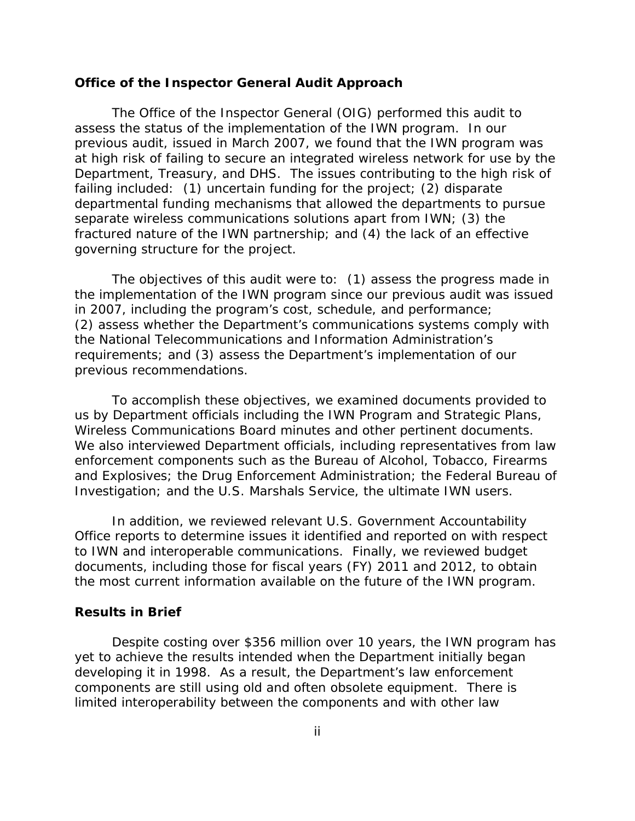#### **Office of the Inspector General Audit Approach**

The Office of the Inspector General (OIG) performed this audit to assess the status of the implementation of the IWN program. In our previous audit, issued in March 2007, we found that the IWN program was at high risk of failing to secure an integrated wireless network for use by the Department, Treasury, and DHS. The issues contributing to the high risk of failing included: (1) uncertain funding for the project; (2) disparate departmental funding mechanisms that allowed the departments to pursue separate wireless communications solutions apart from IWN; (3) the fractured nature of the IWN partnership; and (4) the lack of an effective governing structure for the project.

The objectives of this audit were to: (1) assess the progress made in the implementation of the IWN program since our previous audit was issued in 2007, including the program's cost, schedule, and performance; (2) assess whether the Department's communications systems comply with the National Telecommunications and Information Administration's requirements; and (3) assess the Department's implementation of our previous recommendations.

To accomplish these objectives, we examined documents provided to us by Department officials including the IWN Program and Strategic Plans, Wireless Communications Board minutes and other pertinent documents. We also interviewed Department officials, including representatives from law enforcement components such as the Bureau of Alcohol, Tobacco, Firearms and Explosives; the Drug Enforcement Administration; the Federal Bureau of Investigation; and the U.S. Marshals Service, the ultimate IWN users.

In addition, we reviewed relevant U.S. Government Accountability Office reports to determine issues it identified and reported on with respect to IWN and interoperable communications. Finally, we reviewed budget documents, including those for fiscal years (FY) 2011 and 2012, to obtain the most current information available on the future of the IWN program.

#### **Results in Brief**

Despite costing over \$356 million over 10 years, the IWN program has yet to achieve the results intended when the Department initially began developing it in 1998. As a result, the Department's law enforcement components are still using old and often obsolete equipment. There is limited interoperability between the components and with other law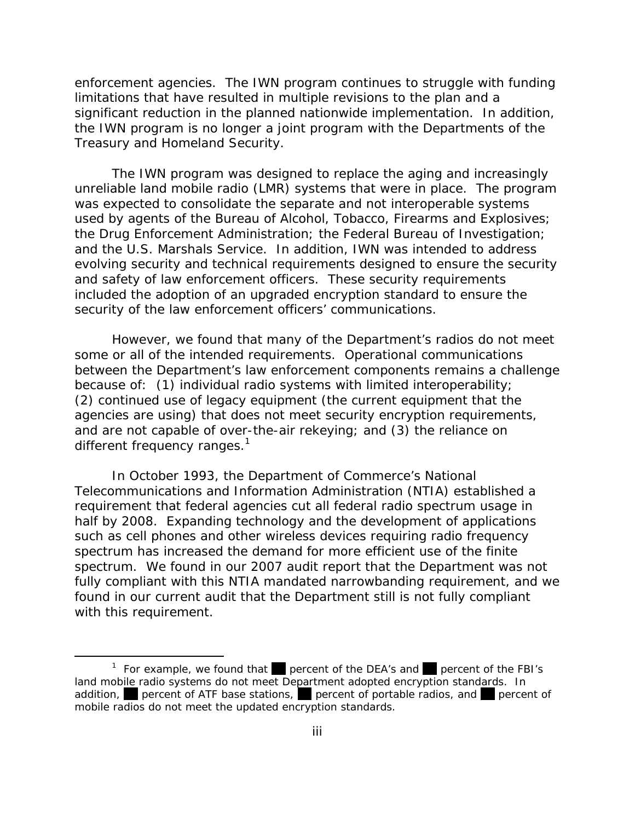enforcement agencies. The IWN program continues to struggle with funding limitations that have resulted in multiple revisions to the plan and a significant reduction in the planned nationwide implementation. In addition, the IWN program is no longer a joint program with the Departments of the Treasury and Homeland Security.

The IWN program was designed to replace the aging and increasingly unreliable land mobile radio (LMR) systems that were in place. The program was expected to consolidate the separate and not interoperable systems used by agents of the Bureau of Alcohol, Tobacco, Firearms and Explosives; the Drug Enforcement Administration; the Federal Bureau of Investigation; and the U.S. Marshals Service. In addition, IWN was intended to address evolving security and technical requirements designed to ensure the security and safety of law enforcement officers. These security requirements included the adoption of an upgraded encryption standard to ensure the security of the law enforcement officers' communications.

However, we found that many of the Department's radios do not meet some or all of the intended requirements. Operational communications between the Department's law enforcement components remains a challenge because of: (1) individual radio systems with limited interoperability; (2) continued use of legacy equipment (the current equipment that the agencies are using) that does not meet security encryption requirements, and are not capable of over-the-air rekeying; and (3) the reliance on different frequency ranges. $<sup>1</sup>$ </sup>

In October 1993, the Department of Commerce's National Telecommunications and Information Administration (NTIA) established a requirement that federal agencies cut all federal radio spectrum usage in half by 2008. Expanding technology and the development of applications such as cell phones and other wireless devices requiring radio frequency spectrum has increased the demand for more efficient use of the finite spectrum. We found in our 2007 audit report that the Department was not fully compliant with this NTIA mandated narrowbanding requirement, and we found in our current audit that the Department still is not fully compliant with this requirement.

<sup>&</sup>lt;sup>1</sup> For example, we found that percent of the DEA's and percent of the FBI's land mobile radio systems do not meet Department adopted encryption standards. In addition, percent of ATF base stations, percent of portable radios, and percent of mobile radios do not meet the updated encryption standards.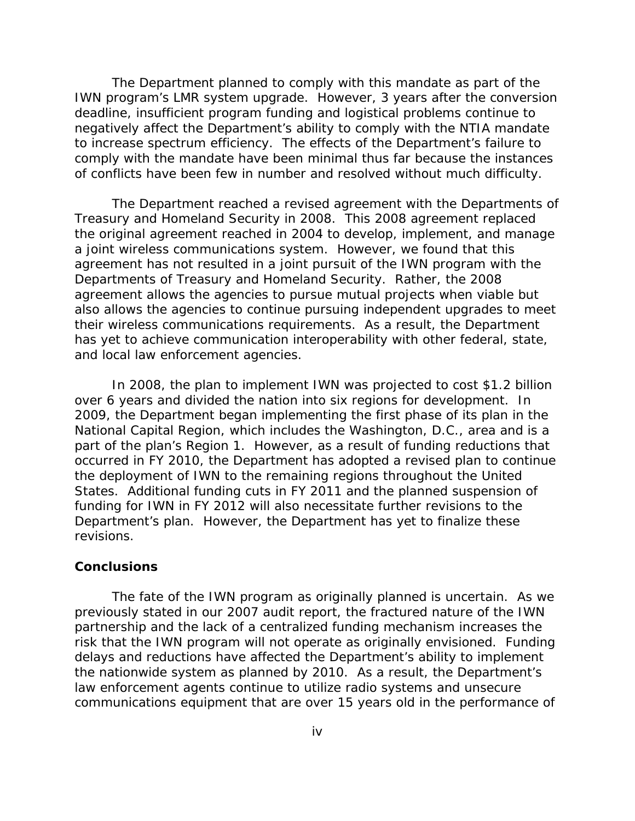The Department planned to comply with this mandate as part of the IWN program's LMR system upgrade. However, 3 years after the conversion deadline, insufficient program funding and logistical problems continue to negatively affect the Department's ability to comply with the NTIA mandate to increase spectrum efficiency. The effects of the Department's failure to comply with the mandate have been minimal thus far because the instances of conflicts have been few in number and resolved without much difficulty.

The Department reached a revised agreement with the Departments of Treasury and Homeland Security in 2008. This 2008 agreement replaced the original agreement reached in 2004 to develop, implement, and manage a joint wireless communications system. However, we found that this agreement has not resulted in a joint pursuit of the IWN program with the Departments of Treasury and Homeland Security. Rather, the 2008 agreement allows the agencies to pursue mutual projects when viable but also allows the agencies to continue pursuing independent upgrades to meet their wireless communications requirements. As a result, the Department has yet to achieve communication interoperability with other federal, state, and local law enforcement agencies.

 revisions. In 2008, the plan to implement IWN was projected to cost \$1.2 billion over 6 years and divided the nation into six regions for development. In 2009, the Department began implementing the first phase of its plan in the National Capital Region, which includes the Washington, D.C., area and is a part of the plan's Region 1. However, as a result of funding reductions that occurred in FY 2010, the Department has adopted a revised plan to continue the deployment of IWN to the remaining regions throughout the United States. Additional funding cuts in FY 2011 and the planned suspension of funding for IWN in FY 2012 will also necessitate further revisions to the Department's plan. However, the Department has yet to finalize these

# **Conclusions**

The fate of the IWN program as originally planned is uncertain. As we previously stated in our 2007 audit report, the fractured nature of the IWN partnership and the lack of a centralized funding mechanism increases the risk that the IWN program will not operate as originally envisioned. Funding delays and reductions have affected the Department's ability to implement the nationwide system as planned by 2010. As a result, the Department's law enforcement agents continue to utilize radio systems and unsecure communications equipment that are over 15 years old in the performance of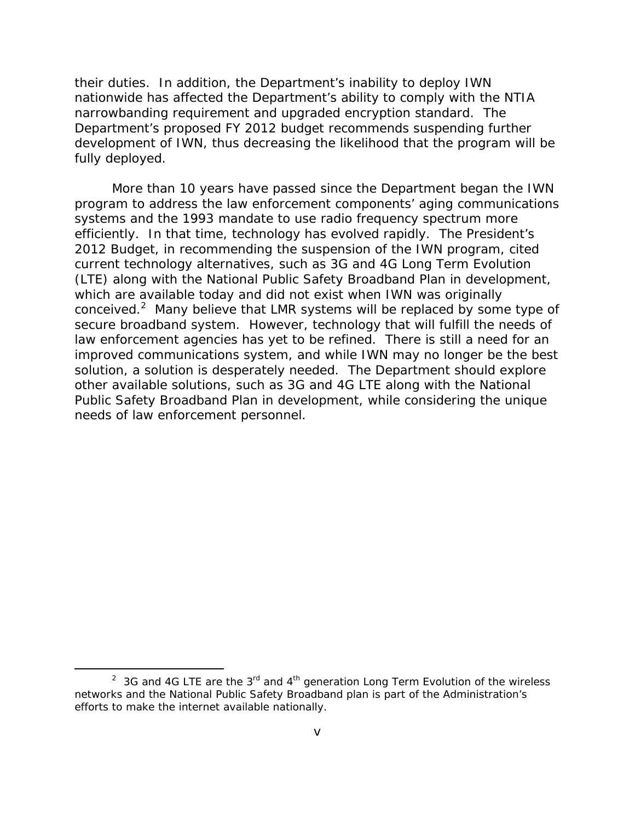their duties. In addition, the Department's inability to deploy IWN nationwide has affected the Department's ability to comply with the NTIA narrowbanding requirement and upgraded encryption standard. The Department's proposed FY 2012 budget recommends suspending further development of IWN, thus decreasing the likelihood that the program will be fully deployed.

More than 10 years have passed since the Department began the IWN program to address the law enforcement components' aging communications systems and the 1993 mandate to use radio frequency spectrum more efficiently. In that time, technology has evolved rapidly. The President's 2012 Budget, in recommending the suspension of the IWN program, cited current technology alternatives, such as 3G and 4G Long Term Evolution (LTE) along with the National Public Safety Broadband Plan in development, which are available today and did not exist when IWN was originally conceived.2 Many believe that LMR systems will be replaced by some type of secure broadband system. However, technology that will fulfill the needs of law enforcement agencies has yet to be refined. There is still a need for an improved communications system, and while IWN may no longer be the best solution, a solution is desperately needed. The Department should explore other available solutions, such as 3G and 4G LTE along with the National Public Safety Broadband Plan in development, while considering the unique needs of law enforcement personnel.

<sup>&</sup>lt;sup>2</sup> 3G and 4G LTE are the 3<sup>rd</sup> and 4<sup>th</sup> generation Long Term Evolution of the wireless networks and the National Public Safety Broadband plan is part of the Administration's efforts to make the internet available nationally.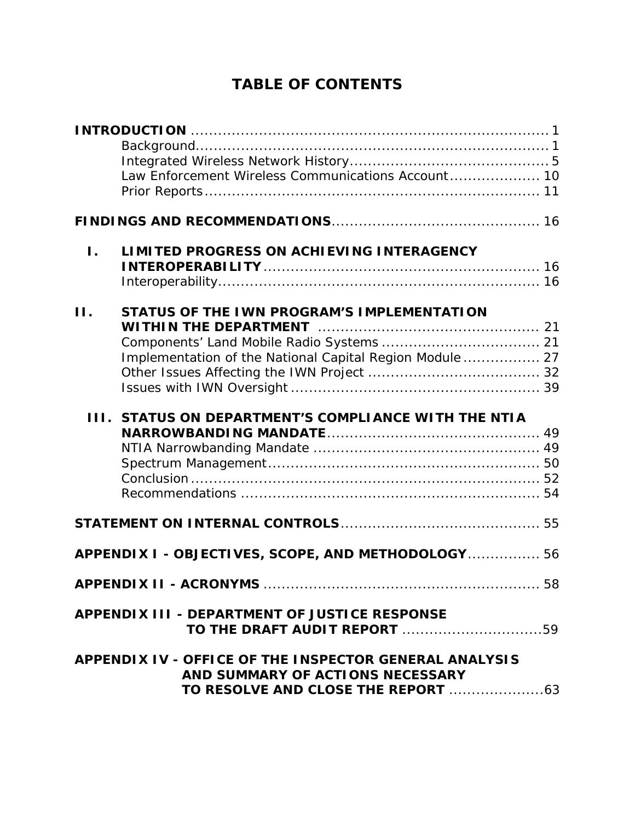# **TABLE OF CONTENTS**

|              | Law Enforcement Wireless Communications Account 10                                                     |
|--------------|--------------------------------------------------------------------------------------------------------|
|              |                                                                                                        |
| $\mathbf{L}$ | LIMITED PROGRESS ON ACHIEVING INTERAGENCY                                                              |
| II.          | STATUS OF THE IWN PROGRAM'S IMPLEMENTATION<br>Implementation of the National Capital Region Module  27 |
|              | <b>III. STATUS ON DEPARTMENT'S COMPLIANCE WITH THE NTIA</b>                                            |
|              |                                                                                                        |
|              | APPENDIX I - OBJECTIVES, SCOPE, AND METHODOLOGY 56                                                     |
|              | <b>APPENDIX II - ACRONYMS </b><br>58                                                                   |
|              | <b>APPENDIX III - DEPARTMENT OF JUSTICE RESPONSE</b><br>TO THE DRAFT AUDIT REPORT 59                   |
|              | APPENDIX IV - OFFICE OF THE INSPECTOR GENERAL ANALYSIS<br>AND SUMMARY OF ACTIONS NECESSARY             |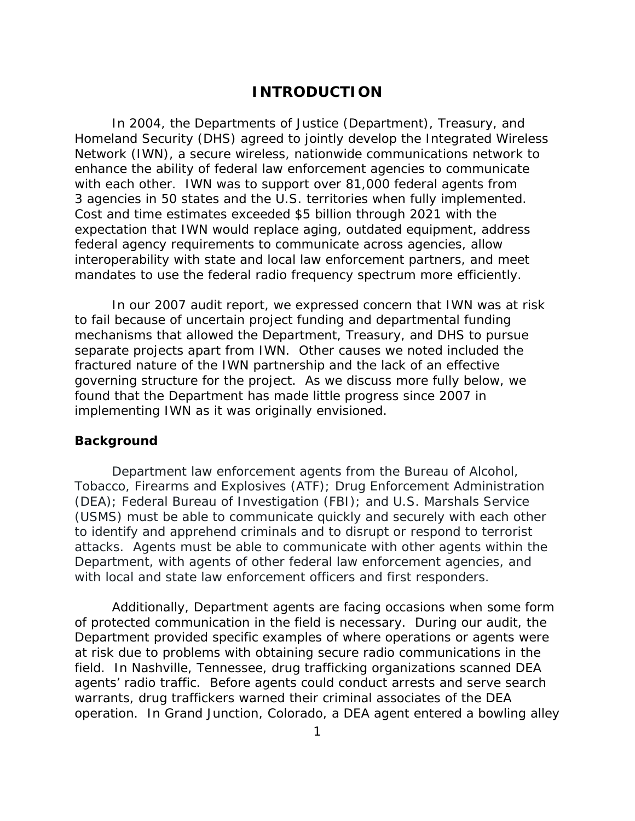# **INTRODUCTION**

<span id="page-8-0"></span>In 2004, the Departments of Justice (Department), Treasury, and Homeland Security (DHS) agreed to jointly develop the Integrated Wireless Network (IWN), a secure wireless, nationwide communications network to enhance the ability of federal law enforcement agencies to communicate with each other. IWN was to support over 81,000 federal agents from 3 agencies in 50 states and the U.S. territories when fully implemented. Cost and time estimates exceeded \$5 billion through 2021 with the expectation that IWN would replace aging, outdated equipment, address federal agency requirements to communicate across agencies, allow interoperability with state and local law enforcement partners, and meet mandates to use the federal radio frequency spectrum more efficiently.

In our 2007 audit report, we expressed concern that IWN was at risk to fail because of uncertain project funding and departmental funding mechanisms that allowed the Department, Treasury, and DHS to pursue separate projects apart from IWN. Other causes we noted included the fractured nature of the IWN partnership and the lack of an effective governing structure for the project. As we discuss more fully below, we found that the Department has made little progress since 2007 in implementing IWN as it was originally envisioned.

### **Background**

Department law enforcement agents from the Bureau of Alcohol, Tobacco, Firearms and Explosives (ATF); Drug Enforcement Administration (DEA); Federal Bureau of Investigation (FBI); and U.S. Marshals Service (USMS) must be able to communicate quickly and securely with each other to identify and apprehend criminals and to disrupt or respond to terrorist attacks. Agents must be able to communicate with other agents within the Department, with agents of other federal law enforcement agencies, and with local and state law enforcement officers and first responders.

Additionally, Department agents are facing occasions when some form of protected communication in the field is necessary. During our audit, the Department provided specific examples of where operations or agents were at risk due to problems with obtaining secure radio communications in the field. In Nashville, Tennessee, drug trafficking organizations scanned DEA agents' radio traffic. Before agents could conduct arrests and serve search warrants, drug traffickers warned their criminal associates of the DEA operation. In Grand Junction, Colorado, a DEA agent entered a bowling alley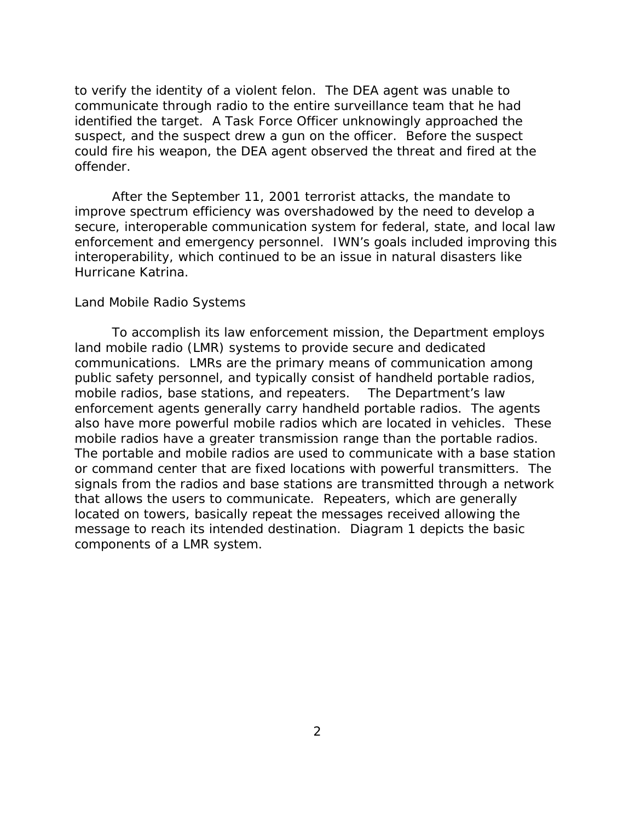to verify the identity of a violent felon. The DEA agent was unable to communicate through radio to the entire surveillance team that he had identified the target. A Task Force Officer unknowingly approached the suspect, and the suspect drew a gun on the officer. Before the suspect could fire his weapon, the DEA agent observed the threat and fired at the offender.

After the September 11, 2001 terrorist attacks, the mandate to improve spectrum efficiency was overshadowed by the need to develop a secure, interoperable communication system for federal, state, and local law enforcement and emergency personnel. IWN's goals included improving this interoperability, which continued to be an issue in natural disasters like Hurricane Katrina.

# *Land Mobile Radio Systems*

 mobile radios, base stations, and repeaters. The Department's law To accomplish its law enforcement mission, the Department employs land mobile radio (LMR) systems to provide secure and dedicated communications. LMRs are the primary means of communication among public safety personnel, and typically consist of handheld portable radios, enforcement agents generally carry handheld portable radios. The agents also have more powerful mobile radios which are located in vehicles. These mobile radios have a greater transmission range than the portable radios. The portable and mobile radios are used to communicate with a base station or command center that are fixed locations with powerful transmitters. The signals from the radios and base stations are transmitted through a network that allows the users to communicate. Repeaters, which are generally located on towers, basically repeat the messages received allowing the message to reach its intended destination. Diagram 1 depicts the basic components of a LMR system.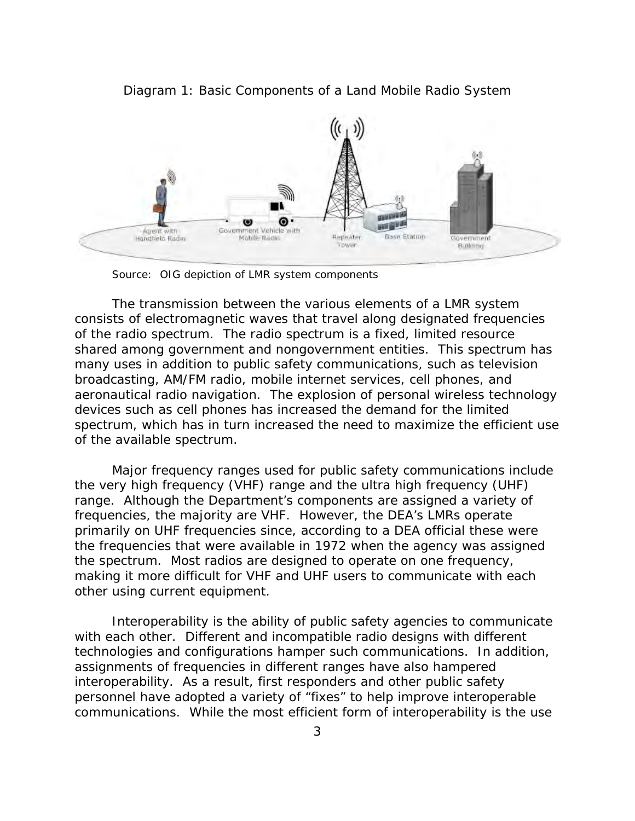

Diagram 1: Basic Components of a Land Mobile Radio System

Source: OIG depiction of LMR system components

The transmission between the various elements of a LMR system consists of electromagnetic waves that travel along designated frequencies of the radio spectrum. The radio spectrum is a fixed, limited resource shared among government and nongovernment entities. This spectrum has many uses in addition to public safety communications, such as television broadcasting, AM/FM radio, mobile internet services, cell phones, and aeronautical radio navigation. The explosion of personal wireless technology devices such as cell phones has increased the demand for the limited spectrum, which has in turn increased the need to maximize the efficient use of the available spectrum.

Major frequency ranges used for public safety communications include the very high frequency (VHF) range and the ultra high frequency (UHF) range. Although the Department's components are assigned a variety of frequencies, the majority are VHF. However, the DEA's LMRs operate primarily on UHF frequencies since, according to a DEA official these were the frequencies that were available in 1972 when the agency was assigned the spectrum. Most radios are designed to operate on one frequency, making it more difficult for VHF and UHF users to communicate with each other using current equipment.

Interoperability is the ability of public safety agencies to communicate with each other. Different and incompatible radio designs with different technologies and configurations hamper such communications. In addition, assignments of frequencies in different ranges have also hampered interoperability. As a result, first responders and other public safety personnel have adopted a variety of "fixes" to help improve interoperable communications. While the most efficient form of interoperability is the use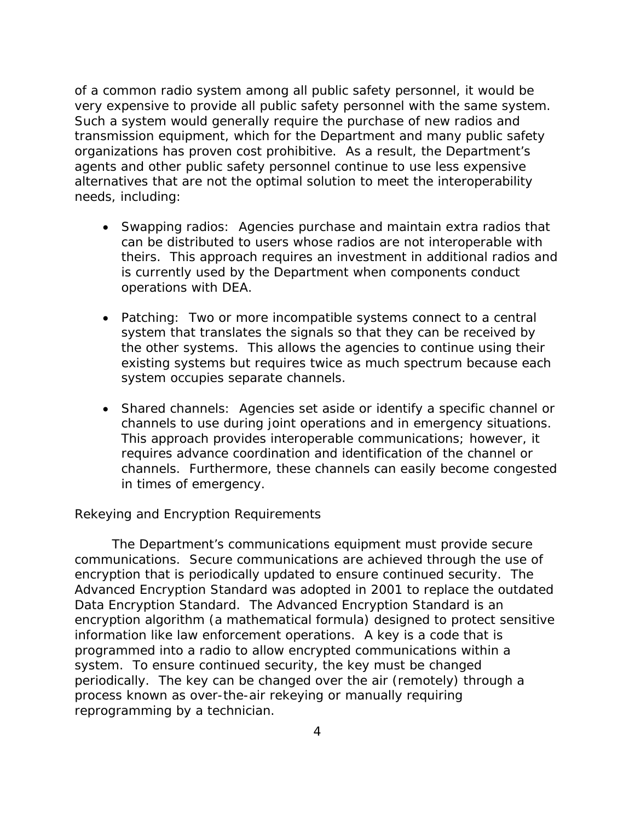of a common radio system among all public safety personnel, it would be very expensive to provide all public safety personnel with the same system. Such a system would generally require the purchase of new radios and transmission equipment, which for the Department and many public safety organizations has proven cost prohibitive. As a result, the Department's agents and other public safety personnel continue to use less expensive alternatives that are not the optimal solution to meet the interoperability needs, including:

- Swapping radios: Agencies purchase and maintain extra radios that can be distributed to users whose radios are not interoperable with theirs. This approach requires an investment in additional radios and is currently used by the Department when components conduct operations with DEA.
- Patching: Two or more incompatible systems connect to a central system that translates the signals so that they can be received by the other systems. This allows the agencies to continue using their existing systems but requires twice as much spectrum because each system occupies separate channels.
- Shared channels: Agencies set aside or identify a specific channel or channels to use during joint operations and in emergency situations. This approach provides interoperable communications; however, it requires advance coordination and identification of the channel or channels. Furthermore, these channels can easily become congested in times of emergency.

# *Rekeying and Encryption Requirements*

The Department's communications equipment must provide secure communications. Secure communications are achieved through the use of encryption that is periodically updated to ensure continued security. The Advanced Encryption Standard was adopted in 2001 to replace the outdated Data Encryption Standard. The Advanced Encryption Standard is an encryption algorithm (a mathematical formula) designed to protect sensitive information like law enforcement operations. A key is a code that is programmed into a radio to allow encrypted communications within a system. To ensure continued security, the key must be changed periodically. The key can be changed over the air (remotely) through a process known as over-the-air rekeying or manually requiring reprogramming by a technician.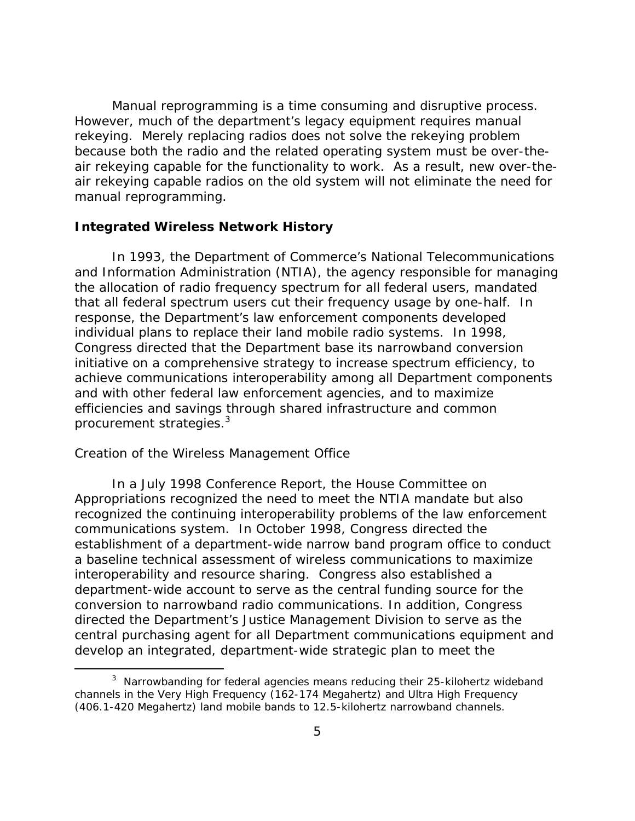<span id="page-12-0"></span>Manual reprogramming is a time consuming and disruptive process. However, much of the department's legacy equipment requires manual rekeying. Merely replacing radios does not solve the rekeying problem because both the radio and the related operating system must be over-theair rekeying capable for the functionality to work. As a result, new over-theair rekeying capable radios on the old system will not eliminate the need for manual reprogramming.

# **Integrated Wireless Network History**

In 1993, the Department of Commerce's National Telecommunications and Information Administration (NTIA), the agency responsible for managing the allocation of radio frequency spectrum for all federal users, mandated that all federal spectrum users cut their frequency usage by one-half. In response, the Department's law enforcement components developed individual plans to replace their land mobile radio systems. In 1998, Congress directed that the Department base its narrowband conversion initiative on a comprehensive strategy to increase spectrum efficiency, to achieve communications interoperability among all Department components and with other federal law enforcement agencies, and to maximize efficiencies and savings through shared infrastructure and common procurement strategies.<sup>3</sup>

#### *Creation of the Wireless Management Office*

In a July 1998 Conference Report, the House Committee on Appropriations recognized the need to meet the NTIA mandate but also recognized the continuing interoperability problems of the law enforcement communications system. In October 1998, Congress directed the establishment of a department-wide narrow band program office to conduct a baseline technical assessment of wireless communications to maximize interoperability and resource sharing. Congress also established a department-wide account to serve as the central funding source for the conversion to narrowband radio communications. In addition, Congress directed the Department's Justice Management Division to serve as the central purchasing agent for all Department communications equipment and develop an integrated, department-wide strategic plan to meet the

 $3$  Narrowbanding for federal agencies means reducing their 25-kilohertz wideband channels in the Very High Frequency (162-174 Megahertz) and Ultra High Frequency (406.1-420 Megahertz) land mobile bands to 12.5-kilohertz narrowband channels.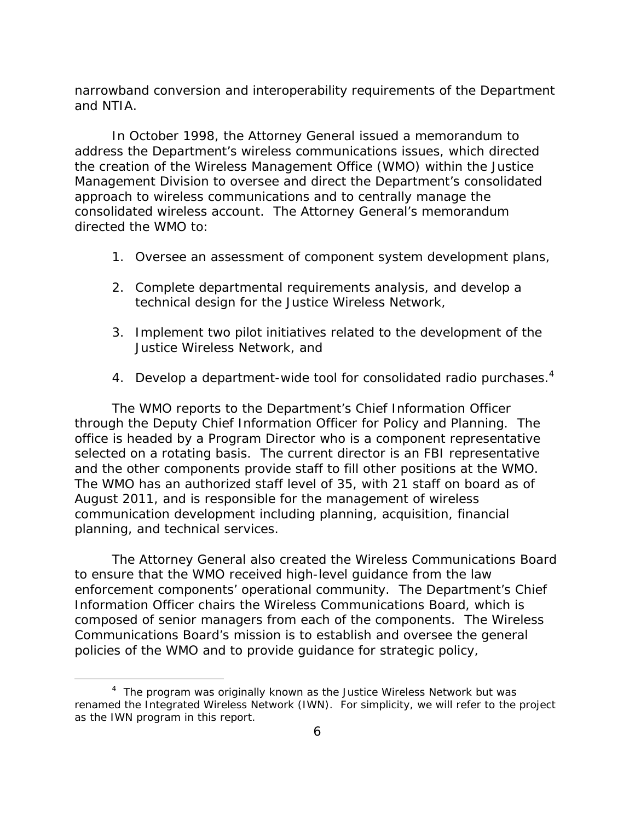narrowband conversion and interoperability requirements of the Department and NTIA.

In October 1998, the Attorney General issued a memorandum to address the Department's wireless communications issues, which directed the creation of the Wireless Management Office (WMO) within the Justice Management Division to oversee and direct the Department's consolidated approach to wireless communications and to centrally manage the consolidated wireless account. The Attorney General's memorandum directed the WMO to:

- 1. Oversee an assessment of component system development plans,
- 2. Complete departmental requirements analysis, and develop a technical design for the Justice Wireless Network,
- 3. Implement two pilot initiatives related to the development of the Justice Wireless Network, and
- 4. Develop a department-wide tool for consolidated radio purchases.<sup>4</sup>

The WMO reports to the Department's Chief Information Officer through the Deputy Chief Information Officer for Policy and Planning. The office is headed by a Program Director who is a component representative selected on a rotating basis. The current director is an FBI representative and the other components provide staff to fill other positions at the WMO. The WMO has an authorized staff level of 35, with 21 staff on board as of August 2011, and is responsible for the management of wireless communication development including planning, acquisition, financial planning, and technical services.

The Attorney General also created the Wireless Communications Board to ensure that the WMO received high-level guidance from the law enforcement components' operational community. The Department's Chief Information Officer chairs the Wireless Communications Board, which is composed of senior managers from each of the components. The Wireless Communications Board's mission is to establish and oversee the general policies of the WMO and to provide guidance for strategic policy,

<sup>&</sup>lt;sup>4</sup> The program was originally known as the Justice Wireless Network but was renamed the Integrated Wireless Network (IWN). For simplicity, we will refer to the project as the IWN program in this report.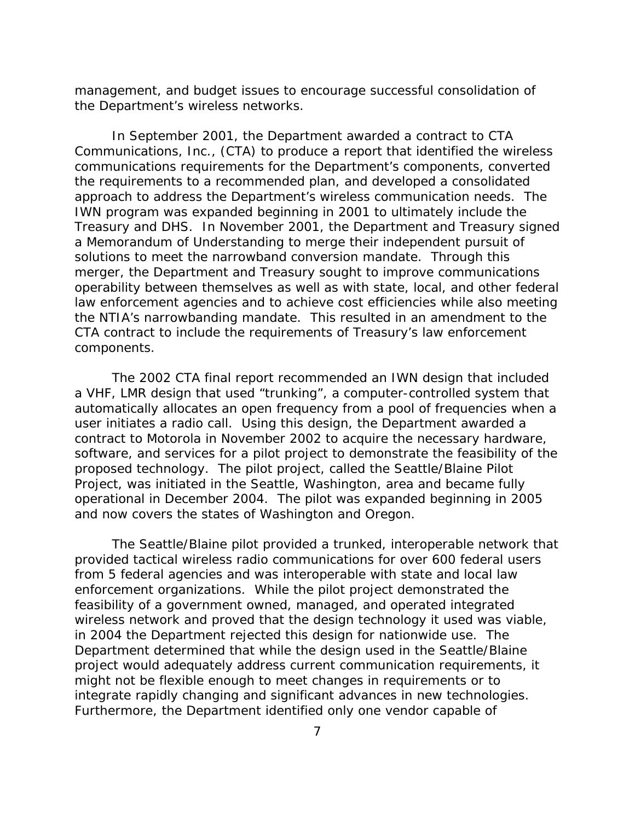management, and budget issues to encourage successful consolidation of the Department's wireless networks.

In September 2001, the Department awarded a contract to CTA Communications, Inc., (CTA) to produce a report that identified the wireless communications requirements for the Department's components, converted the requirements to a recommended plan, and developed a consolidated approach to address the Department's wireless communication needs. The IWN program was expanded beginning in 2001 to ultimately include the Treasury and DHS. In November 2001, the Department and Treasury signed a Memorandum of Understanding to merge their independent pursuit of solutions to meet the narrowband conversion mandate. Through this merger, the Department and Treasury sought to improve communications operability between themselves as well as with state, local, and other federal law enforcement agencies and to achieve cost efficiencies while also meeting the NTIA's narrowbanding mandate. This resulted in an amendment to the CTA contract to include the requirements of Treasury's law enforcement components.

The 2002 CTA final report recommended an IWN design that included a VHF, LMR design that used "trunking", a computer-controlled system that automatically allocates an open frequency from a pool of frequencies when a user initiates a radio call. Using this design, the Department awarded a contract to Motorola in November 2002 to acquire the necessary hardware, software, and services for a pilot project to demonstrate the feasibility of the proposed technology. The pilot project, called the Seattle/Blaine Pilot Project, was initiated in the Seattle, Washington, area and became fully operational in December 2004. The pilot was expanded beginning in 2005 and now covers the states of Washington and Oregon.

The Seattle/Blaine pilot provided a trunked, interoperable network that provided tactical wireless radio communications for over 600 federal users from 5 federal agencies and was interoperable with state and local law enforcement organizations. While the pilot project demonstrated the feasibility of a government owned, managed, and operated integrated wireless network and proved that the design technology it used was viable, in 2004 the Department rejected this design for nationwide use. The Department determined that while the design used in the Seattle/Blaine project would adequately address current communication requirements, it might not be flexible enough to meet changes in requirements or to integrate rapidly changing and significant advances in new technologies. Furthermore, the Department identified only one vendor capable of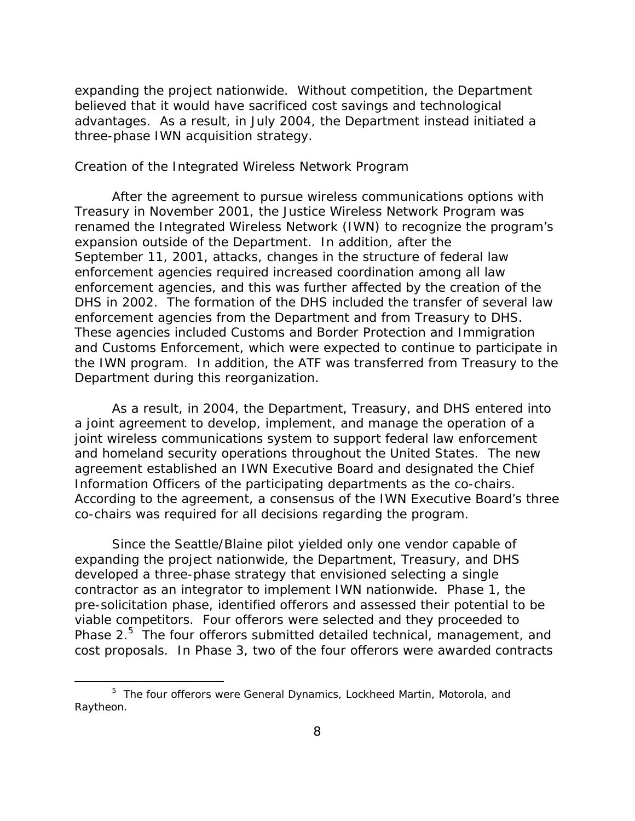expanding the project nationwide. Without competition, the Department believed that it would have sacrificed cost savings and technological advantages. As a result, in July 2004, the Department instead initiated a three-phase IWN acquisition strategy.

#### *Creation of the Integrated Wireless Network Program*

After the agreement to pursue wireless communications options with Treasury in November 2001, the Justice Wireless Network Program was renamed the Integrated Wireless Network (IWN) to recognize the program's expansion outside of the Department. In addition, after the September 11, 2001, attacks, changes in the structure of federal law enforcement agencies required increased coordination among all law enforcement agencies, and this was further affected by the creation of the DHS in 2002. The formation of the DHS included the transfer of several law enforcement agencies from the Department and from Treasury to DHS. These agencies included Customs and Border Protection and Immigration and Customs Enforcement, which were expected to continue to participate in the IWN program. In addition, the ATF was transferred from Treasury to the Department during this reorganization.

As a result, in 2004, the Department, Treasury, and DHS entered into a joint agreement to develop, implement, and manage the operation of a joint wireless communications system to support federal law enforcement and homeland security operations throughout the United States. The new agreement established an IWN Executive Board and designated the Chief Information Officers of the participating departments as the co-chairs. According to the agreement, a consensus of the IWN Executive Board's three co-chairs was required for all decisions regarding the program.

Since the Seattle/Blaine pilot yielded only one vendor capable of expanding the project nationwide, the Department, Treasury, and DHS developed a three-phase strategy that envisioned selecting a single contractor as an integrator to implement IWN nationwide. Phase 1, the pre-solicitation phase, identified offerors and assessed their potential to be viable competitors. Four offerors were selected and they proceeded to Phase 2. $5$  The four offerors submitted detailed technical, management, and cost proposals. In Phase 3, two of the four offerors were awarded contracts

<sup>&</sup>lt;sup>5</sup> The four offerors were General Dynamics, Lockheed Martin, Motorola, and Raytheon.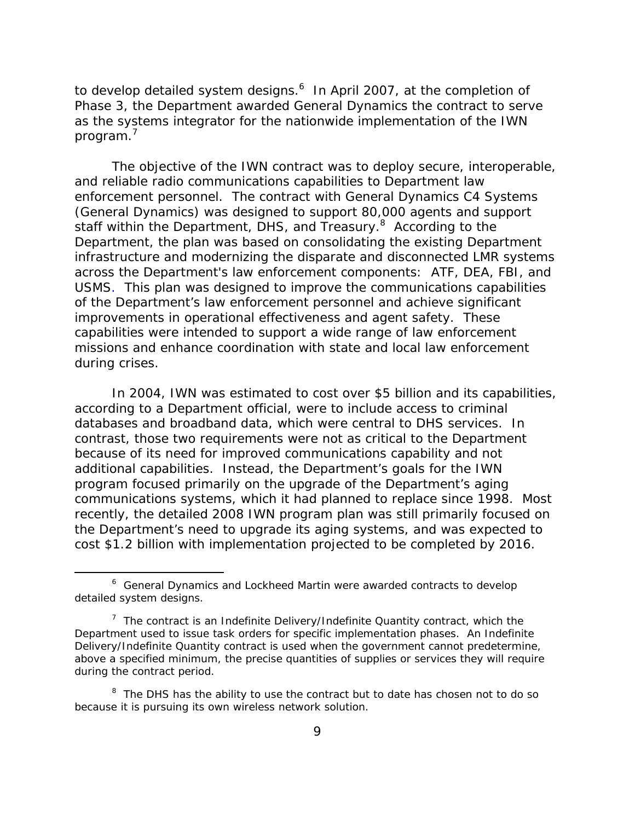to develop detailed system designs.<sup>6</sup> In April 2007, at the completion of Phase 3, the Department awarded General Dynamics the contract to serve as the systems integrator for the nationwide implementation of the IWN program.'

The objective of the IWN contract was to deploy secure, interoperable, and reliable radio communications capabilities to Department law enforcement personnel. The contract with General Dynamics C4 Systems (General Dynamics) was designed to support 80,000 agents and support staff within the Department, DHS, and Treasury.<sup>8</sup> According to the Department, the plan was based on consolidating the existing Department infrastructure and modernizing the disparate and disconnected LMR systems across the Department's law enforcement components: ATF, DEA, FBI, and USMS. This plan was designed to improve the communications capabilities of the Department's law enforcement personnel and achieve significant improvements in operational effectiveness and agent safety. These capabilities were intended to support a wide range of law enforcement missions and enhance coordination with state and local law enforcement during crises.

In 2004, IWN was estimated to cost over \$5 billion and its capabilities, according to a Department official, were to include access to criminal databases and broadband data, which were central to DHS services. In contrast, those two requirements were not as critical to the Department because of its need for improved communications capability and not additional capabilities. Instead, the Department's goals for the IWN program focused primarily on the upgrade of the Department's aging communications systems, which it had planned to replace since 1998. Most recently, the detailed 2008 IWN program plan was still primarily focused on the Department's need to upgrade its aging systems, and was expected to cost \$1.2 billion with implementation projected to be completed by 2016.

<sup>&</sup>lt;sup>6</sup> General Dynamics and Lockheed Martin were awarded contracts to develop detailed system designs*.* 

<sup>&</sup>lt;sup>7</sup> The contract is an Indefinite Delivery/Indefinite Quantity contract, which the Department used to issue task orders for specific implementation phases. An Indefinite Delivery/Indefinite Quantity contract is used when the government cannot predetermine, above a specified minimum, the precise quantities of supplies or services they will require during the contract period.

<sup>&</sup>lt;sup>8</sup> The DHS has the ability to use the contract but to date has chosen not to do so because it is pursuing its own wireless network solution.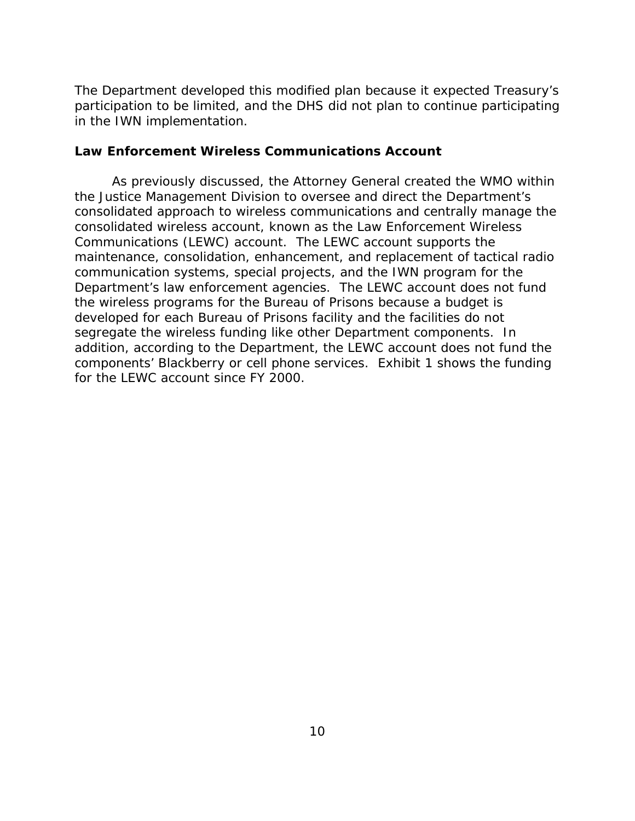<span id="page-17-0"></span>The Department developed this modified plan because it expected Treasury's participation to be limited, and the DHS did not plan to continue participating in the IWN implementation.

# **Law Enforcement Wireless Communications Account**

As previously discussed, the Attorney General created the WMO within the Justice Management Division to oversee and direct the Department's consolidated approach to wireless communications and centrally manage the consolidated wireless account, known as the Law Enforcement Wireless Communications (LEWC) account. The LEWC account supports the maintenance, consolidation, enhancement, and replacement of tactical radio communication systems, special projects, and the IWN program for the Department's law enforcement agencies. The LEWC account does not fund the wireless programs for the Bureau of Prisons because a budget is developed for each Bureau of Prisons facility and the facilities do not segregate the wireless funding like other Department components. In addition, according to the Department, the LEWC account does not fund the components' Blackberry or cell phone services. Exhibit 1 shows the funding for the LEWC account since FY 2000.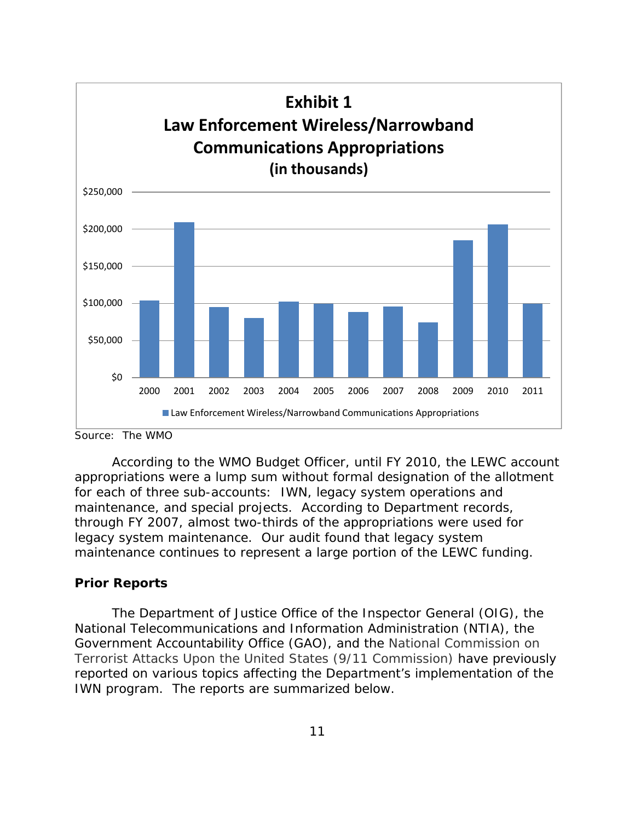<span id="page-18-0"></span>

Source: The WMO

According to the WMO Budget Officer, until FY 2010, the LEWC account appropriations were a lump sum without formal designation of the allotment for each of three sub-accounts: IWN, legacy system operations and maintenance, and special projects. According to Department records, through FY 2007, almost two-thirds of the appropriations were used for legacy system maintenance. Our audit found that legacy system maintenance continues to represent a large portion of the LEWC funding.

# **Prior Reports**

The Department of Justice Office of the Inspector General (OIG), the National Telecommunications and Information Administration (NTIA), the Government Accountability Office (GAO), and the National Commission on Terrorist Attacks Upon the United States (9/11 Commission) have previously reported on various topics affecting the Department's implementation of the IWN program. The reports are summarized below.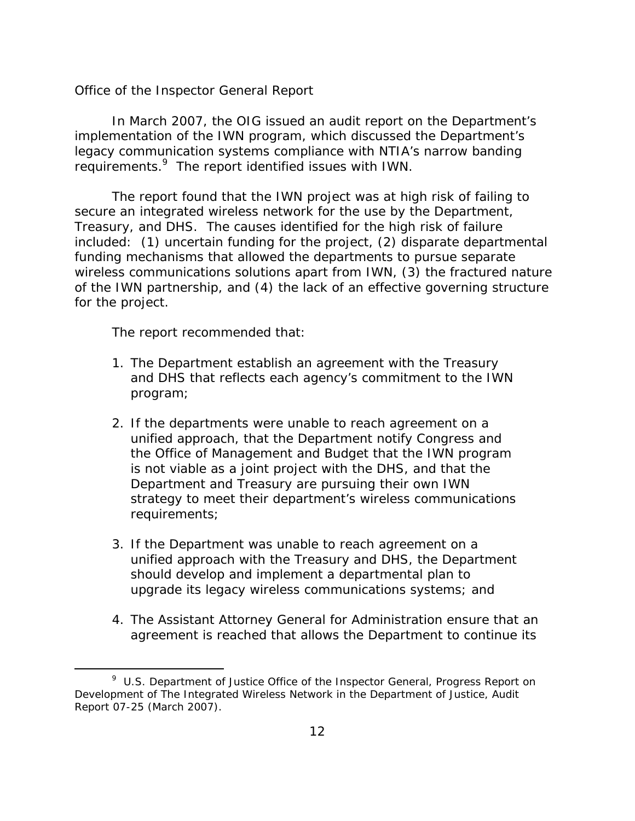#### *Office of the Inspector General Report*

In March 2007, the OIG issued an audit report on the Department's implementation of the IWN program, which discussed the Department's legacy communication systems compliance with NTIA's narrow banding requirements.<sup>9</sup> The report identified issues with IWN.

The report found that the IWN project was at high risk of failing to secure an integrated wireless network for the use by the Department, Treasury, and DHS. The causes identified for the high risk of failure included: (1) uncertain funding for the project, (2) disparate departmental funding mechanisms that allowed the departments to pursue separate wireless communications solutions apart from IWN, (3) the fractured nature of the IWN partnership, and (4) the lack of an effective governing structure for the project.

The report recommended that:

- 1. The Department establish an agreement with the Treasury and DHS that reflects each agency's commitment to the IWN program;
- 2. If the departments were unable to reach agreement on a unified approach, that the Department notify Congress and the Office of Management and Budget that the IWN program is not viable as a joint project with the DHS, and that the Department and Treasury are pursuing their own IWN strategy to meet their department's wireless communications requirements;
- 3. If the Department was unable to reach agreement on a unified approach with the Treasury and DHS, the Department should develop and implement a departmental plan to upgrade its legacy wireless communications systems; and
- 4. The Assistant Attorney General for Administration ensure that an agreement is reached that allows the Department to continue its

<sup>9</sup> U.S. Department of Justice Office of the Inspector General*, Progress Report on Development of The Integrated Wireless Network in the Department of Justice,* Audit Report 07-25 (March 2007).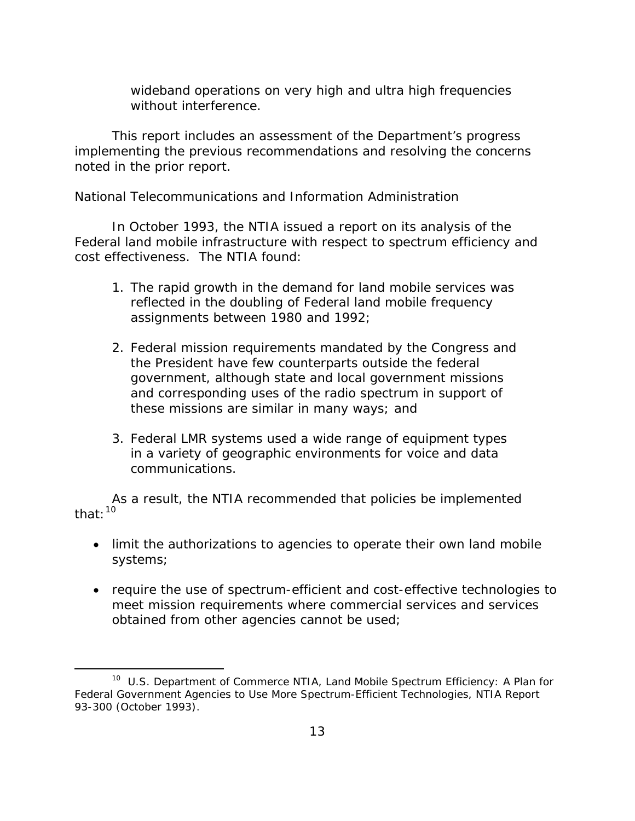wideband operations on very high and ultra high frequencies without interference.

This report includes an assessment of the Department's progress implementing the previous recommendations and resolving the concerns noted in the prior report.

# *National Telecommunications and Information Administration*

In October 1993, the NTIA issued a report on its analysis of the Federal land mobile infrastructure with respect to spectrum efficiency and cost effectiveness. The NTIA found:

- 1. The rapid growth in the demand for land mobile services was reflected in the doubling of Federal land mobile frequency assignments between 1980 and 1992;
- 2. Federal mission requirements mandated by the Congress and the President have few counterparts outside the federal government, although state and local government missions and corresponding uses of the radio spectrum in support of these missions are similar in many ways; and
- 3. Federal LMR systems used a wide range of equipment types in a variety of geographic environments for voice and data communications.

As a result, the NTIA recommended that policies be implemented that:10

- limit the authorizations to agencies to operate their own land mobile systems;
- require the use of spectrum-efficient and cost-effective technologies to meet mission requirements where commercial services and services obtained from other agencies cannot be used;

<sup>10</sup> U.S. Department of Commerce NTIA*, Land Mobile Spectrum Efficiency: A Plan for Federal Government Agencies to Use More Spectrum-Efficient Technologies,* NTIA Report 93-300 (October 1993).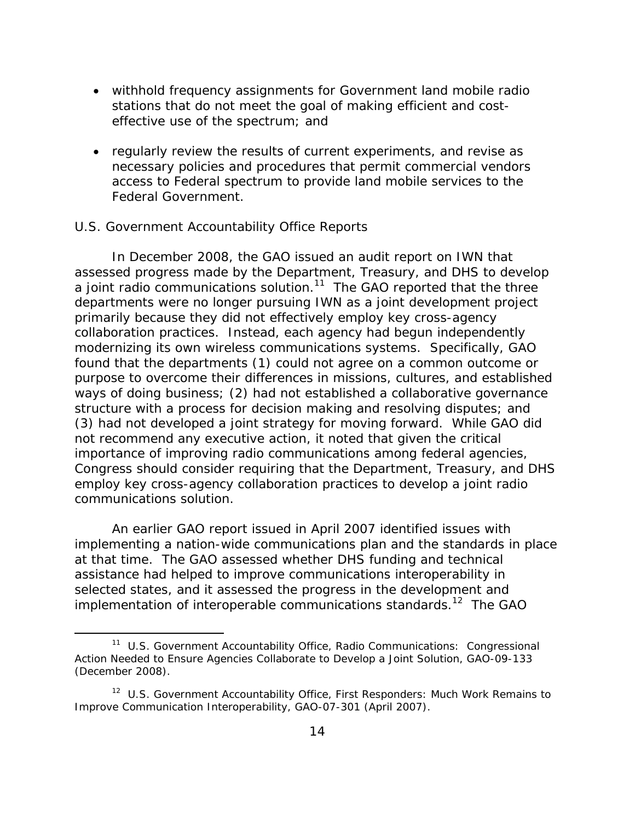- withhold frequency assignments for Government land mobile radio stations that do not meet the goal of making efficient and costeffective use of the spectrum; and
- regularly review the results of current experiments, and revise as necessary policies and procedures that permit commercial vendors access to Federal spectrum to provide land mobile services to the Federal Government.

# *U.S. Government Accountability Office Reports*

In December 2008, the GAO issued an audit report on IWN that assessed progress made by the Department, Treasury, and DHS to develop a joint radio communications solution.<sup>11</sup> The GAO reported that the three departments were no longer pursuing IWN as a joint development project primarily because they did not effectively employ key cross-agency collaboration practices. Instead, each agency had begun independently modernizing its own wireless communications systems. Specifically, GAO found that the departments (1) could not agree on a common outcome or purpose to overcome their differences in missions, cultures, and established ways of doing business; (2) had not established a collaborative governance structure with a process for decision making and resolving disputes; and (3) had not developed a joint strategy for moving forward. While GAO did not recommend any executive action, it noted that given the critical importance of improving radio communications among federal agencies, Congress should consider requiring that the Department, Treasury, and DHS employ key cross-agency collaboration practices to develop a joint radio communications solution.

An earlier GAO report issued in April 2007 identified issues with implementing a nation-wide communications plan and the standards in place at that time. The GAO assessed whether DHS funding and technical assistance had helped to improve communications interoperability in selected states, and it assessed the progress in the development and implementation of interoperable communications standards.<sup>12</sup> The GAO

<sup>&</sup>lt;sup>11</sup> U.S. Government Accountability Office, Radio Communications: Congressional *Action Needed to Ensure Agencies Collaborate to Develop a Joint Solution,* GAO-09-133 (December 2008).

<sup>12</sup> U.S. Government Accountability Office*, First Responders: Much Work Remains to Improve Communication Interoperability,* GAO-07-301 (April 2007).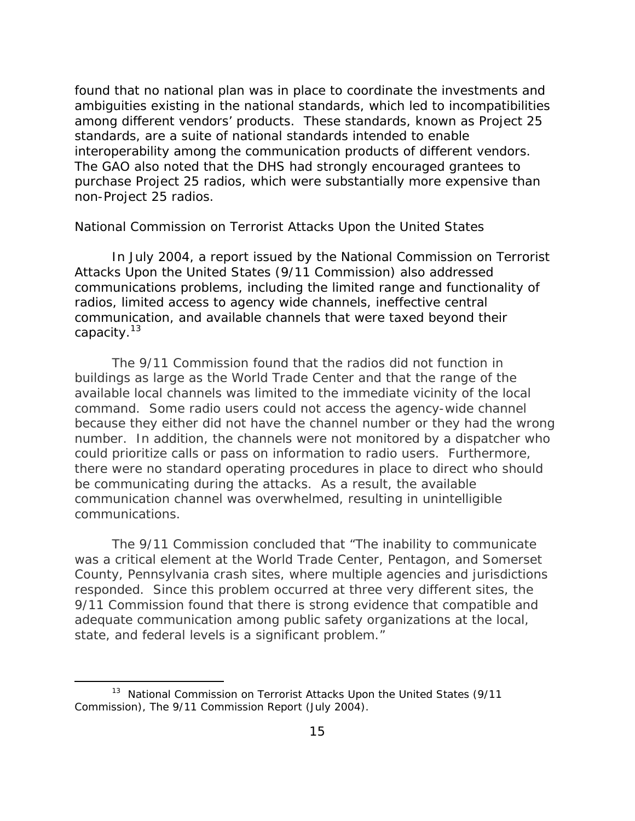found that no national plan was in place to coordinate the investments and ambiguities existing in the national standards, which led to incompatibilities among different vendors' products. These standards, known as Project 25 standards, are a suite of national standards intended to enable interoperability among the communication products of different vendors. The GAO also noted that the DHS had strongly encouraged grantees to purchase Project 25 radios, which were substantially more expensive than non-Project 25 radios.

# *National Commission on Terrorist Attacks Upon the United States*

In July 2004, a report issued by the National Commission on Terrorist Attacks Upon the United States (9/11 Commission) also addressed communications problems, including the limited range and functionality of radios, limited access to agency wide channels, ineffective central communication, and available channels that were taxed beyond their capacity.<sup>13</sup>

The 9/11 Commission found that the radios did not function in buildings as large as the World Trade Center and that the range of the available local channels was limited to the immediate vicinity of the local command. Some radio users could not access the agency-wide channel because they either did not have the channel number or they had the wrong number. In addition, the channels were not monitored by a dispatcher who could prioritize calls or pass on information to radio users. Furthermore, there were no standard operating procedures in place to direct who should be communicating during the attacks. As a result, the available communication channel was overwhelmed, resulting in unintelligible communications.

The 9/11 Commission concluded that "The inability to communicate was a critical element at the World Trade Center, Pentagon, and Somerset County, Pennsylvania crash sites, where multiple agencies and jurisdictions responded. Since this problem occurred at three very different sites, the 9/11 Commission found that there is strong evidence that compatible and adequate communication among public safety organizations at the local, state, and federal levels is a significant problem."

<sup>&</sup>lt;sup>13</sup> National Commission on Terrorist Attacks Upon the United States (9/11 Commission), *The 9/11 Commission Report* (July 2004).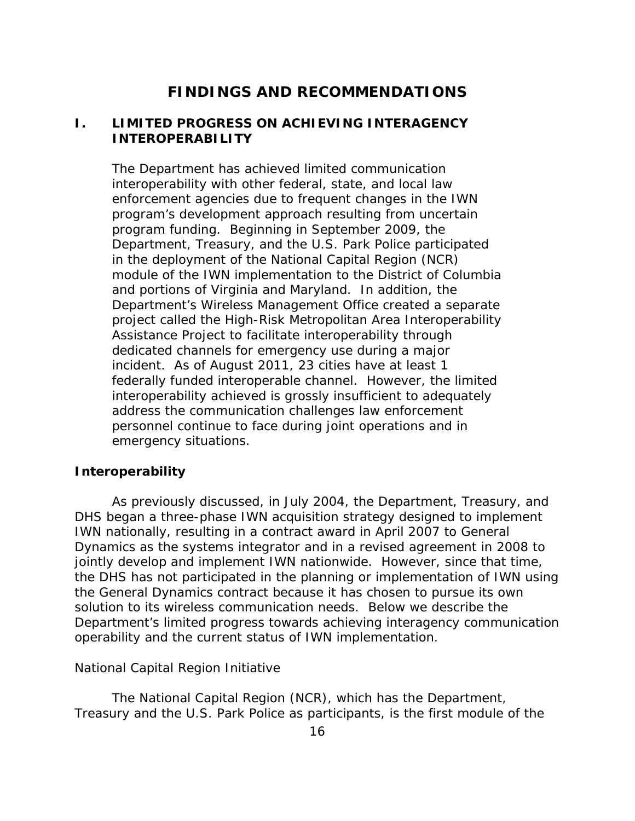# **FINDINGS AND RECOMMENDATIONS**

# <span id="page-23-0"></span>**I. LIMITED PROGRESS ON ACHIEVING INTERAGENCY INTEROPERABILITY**

The Department has achieved limited communication interoperability with other federal, state, and local law enforcement agencies due to frequent changes in the IWN program's development approach resulting from uncertain program funding. Beginning in September 2009, the Department, Treasury, and the U.S. Park Police participated in the deployment of the National Capital Region (NCR) module of the IWN implementation to the District of Columbia and portions of Virginia and Maryland. In addition, the Department's Wireless Management Office created a separate project called the High-Risk Metropolitan Area Interoperability Assistance Project to facilitate interoperability through dedicated channels for emergency use during a major incident. As of August 2011, 23 cities have at least 1 federally funded interoperable channel. However, the limited interoperability achieved is grossly insufficient to adequately address the communication challenges law enforcement personnel continue to face during joint operations and in emergency situations.

#### **Interoperability**

As previously discussed, in July 2004, the Department, Treasury, and DHS began a three-phase IWN acquisition strategy designed to implement IWN nationally, resulting in a contract award in April 2007 to General Dynamics as the systems integrator and in a revised agreement in 2008 to jointly develop and implement IWN nationwide. However, since that time, the DHS has not participated in the planning or implementation of IWN using the General Dynamics contract because it has chosen to pursue its own solution to its wireless communication needs. Below we describe the Department's limited progress towards achieving interagency communication operability and the current status of IWN implementation.

#### *National Capital Region Initiative*

The National Capital Region (NCR), which has the Department, Treasury and the U.S. Park Police as participants, is the first module of the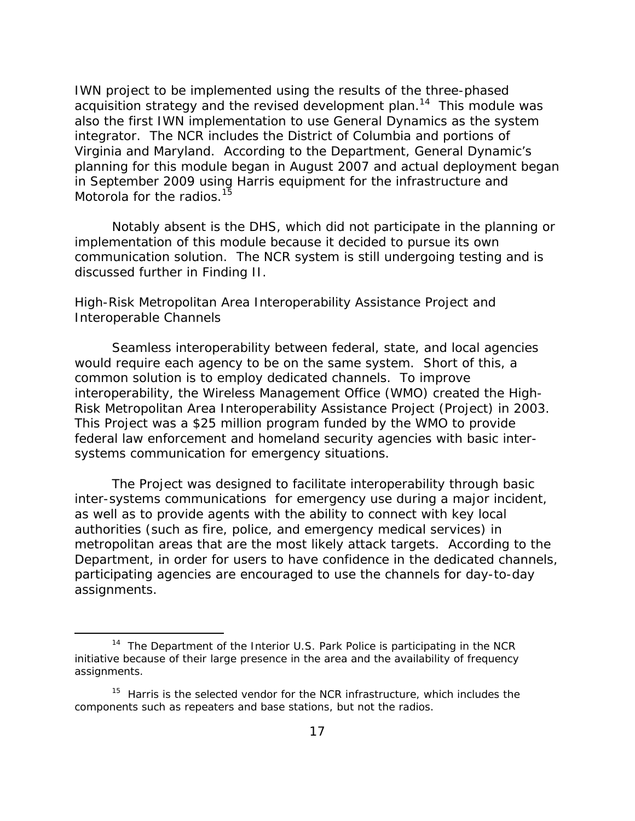IWN project to be implemented using the results of the three-phased acquisition strategy and the revised development plan.<sup>14</sup> This module was also the first IWN implementation to use General Dynamics as the system integrator. The NCR includes the District of Columbia and portions of Virginia and Maryland. According to the Department, General Dynamic's planning for this module began in August 2007 and actual deployment began in September 2009 using Harris equipment for the infrastructure and Motorola for the radios.<sup>15</sup>

Notably absent is the DHS, which did not participate in the planning or implementation of this module because it decided to pursue its own communication solution. The NCR system is still undergoing testing and is discussed further in Finding II.

# *High-Risk Metropolitan Area Interoperability Assistance Project and Interoperable Channels*

Seamless interoperability between federal, state, and local agencies would require each agency to be on the same system. Short of this, a common solution is to employ dedicated channels. To improve interoperability, the Wireless Management Office (WMO) created the High-Risk Metropolitan Area Interoperability Assistance Project (Project) in 2003. This Project was a \$25 million program funded by the WMO to provide federal law enforcement and homeland security agencies with basic intersystems communication for emergency situations.

The Project was designed to facilitate interoperability through basic inter-systems communications for emergency use during a major incident, as well as to provide agents with the ability to connect with key local authorities (such as fire, police, and emergency medical services) in metropolitan areas that are the most likely attack targets. According to the Department, in order for users to have confidence in the dedicated channels, participating agencies are encouraged to use the channels for day-to-day assignments.

<sup>&</sup>lt;sup>14</sup> The Department of the Interior U.S. Park Police is participating in the NCR initiative because of their large presence in the area and the availability of frequency assignments.

<sup>&</sup>lt;sup>15</sup> Harris is the selected vendor for the NCR infrastructure, which includes the components such as repeaters and base stations, but not the radios.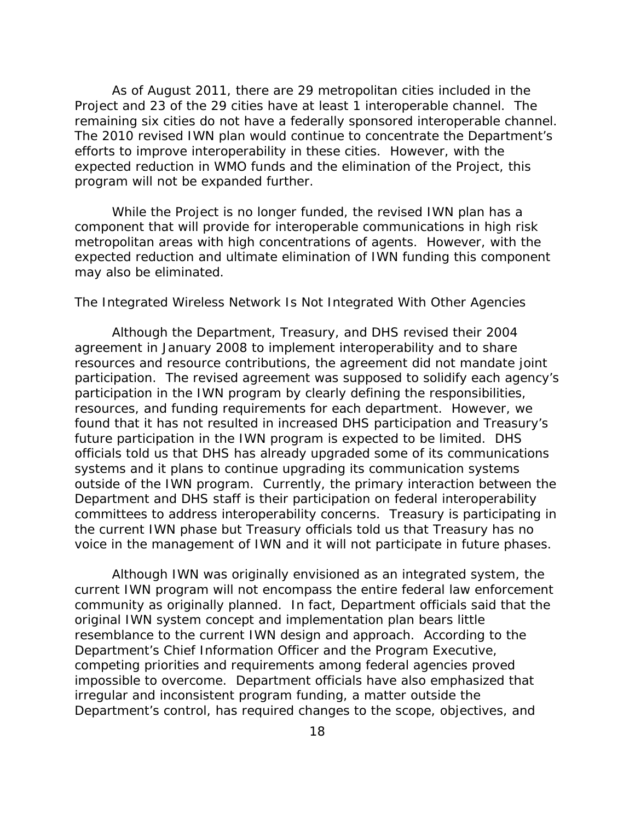As of August 2011, there are 29 metropolitan cities included in the Project and 23 of the 29 cities have at least 1 interoperable channel. The remaining six cities do not have a federally sponsored interoperable channel. The 2010 revised IWN plan would continue to concentrate the Department's efforts to improve interoperability in these cities. However, with the expected reduction in WMO funds and the elimination of the Project, this program will not be expanded further.

While the Project is no longer funded, the revised IWN plan has a component that will provide for interoperable communications in high risk metropolitan areas with high concentrations of agents. However, with the expected reduction and ultimate elimination of IWN funding this component may also be eliminated.

# *The Integrated Wireless Network Is Not Integrated With Other Agencies*

Although the Department, Treasury, and DHS revised their 2004 agreement in January 2008 to implement interoperability and to share resources and resource contributions, the agreement did not mandate joint participation. The revised agreement was supposed to solidify each agency's participation in the IWN program by clearly defining the responsibilities, resources, and funding requirements for each department. However, we found that it has not resulted in increased DHS participation and Treasury's future participation in the IWN program is expected to be limited. DHS officials told us that DHS has already upgraded some of its communications systems and it plans to continue upgrading its communication systems outside of the IWN program. Currently, the primary interaction between the Department and DHS staff is their participation on federal interoperability committees to address interoperability concerns. Treasury is participating in the current IWN phase but Treasury officials told us that Treasury has no voice in the management of IWN and it will not participate in future phases.

Although IWN was originally envisioned as an integrated system, the current IWN program will not encompass the entire federal law enforcement community as originally planned. In fact, Department officials said that the original IWN system concept and implementation plan bears little resemblance to the current IWN design and approach. According to the Department's Chief Information Officer and the Program Executive, competing priorities and requirements among federal agencies proved impossible to overcome. Department officials have also emphasized that irregular and inconsistent program funding, a matter outside the Department's control, has required changes to the scope, objectives, and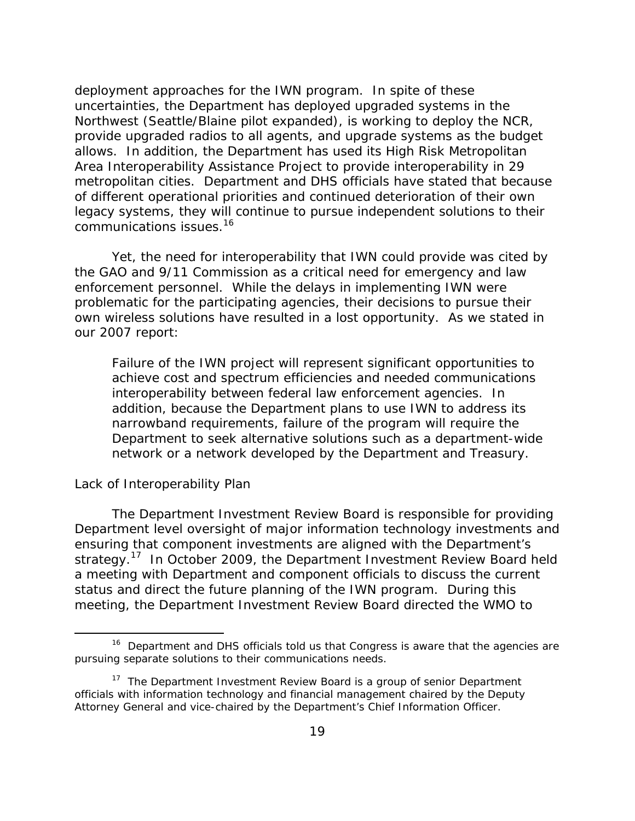deployment approaches for the IWN program. In spite of these uncertainties, the Department has deployed upgraded systems in the Northwest (Seattle/Blaine pilot expanded), is working to deploy the NCR, provide upgraded radios to all agents, and upgrade systems as the budget allows. In addition, the Department has used its High Risk Metropolitan Area Interoperability Assistance Project to provide interoperability in 29 metropolitan cities. Department and DHS officials have stated that because of different operational priorities and continued deterioration of their own legacy systems, they will continue to pursue independent solutions to their communications issues.<sup>16</sup>

Yet, the need for interoperability that IWN could provide was cited by the GAO and 9/11 Commission as a critical need for emergency and law enforcement personnel. While the delays in implementing IWN were problematic for the participating agencies, their decisions to pursue their own wireless solutions have resulted in a lost opportunity. As we stated in our 2007 report:

Failure of the IWN project will represent significant opportunities to achieve cost and spectrum efficiencies and needed communications interoperability between federal law enforcement agencies. In addition, because the Department plans to use IWN to address its narrowband requirements, failure of the program will require the Department to seek alternative solutions such as a department-wide network or a network developed by the Department and Treasury.

# *Lack of Interoperability Plan*

The Department Investment Review Board is responsible for providing Department level oversight of major information technology investments and ensuring that component investments are aligned with the Department's strategy.<sup>17</sup> In October 2009, the Department Investment Review Board held a meeting with Department and component officials to discuss the current status and direct the future planning of the IWN program. During this meeting, the Department Investment Review Board directed the WMO to

<sup>&</sup>lt;sup>16</sup> Department and DHS officials told us that Congress is aware that the agencies are pursuing separate solutions to their communications needs.

<sup>&</sup>lt;sup>17</sup> The Department Investment Review Board is a group of senior Department officials with information technology and financial management chaired by the Deputy Attorney General and vice-chaired by the Department's Chief Information Officer.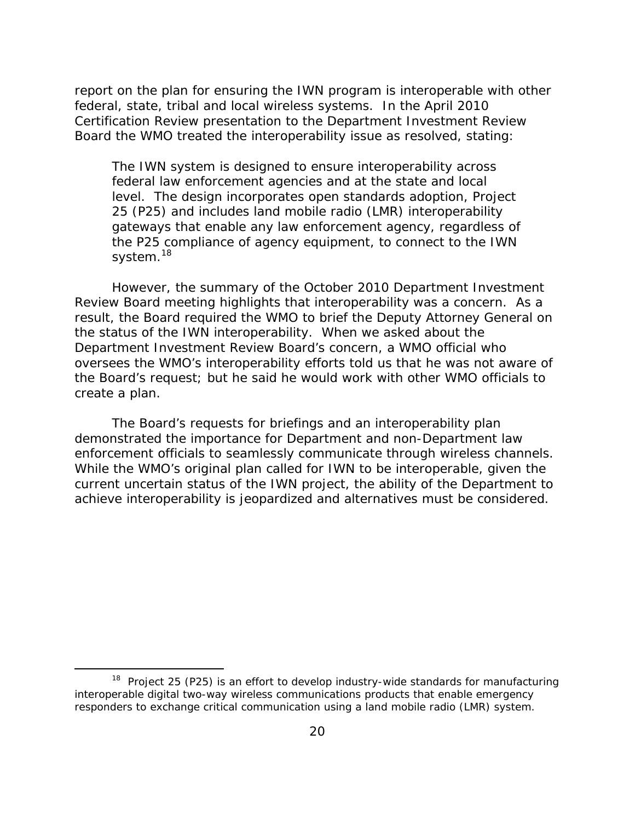report on the plan for ensuring the IWN program is interoperable with other federal, state, tribal and local wireless systems. In the April 2010 Certification Review presentation to the Department Investment Review Board the WMO treated the interoperability issue as resolved, stating:

The IWN system is designed to ensure interoperability across federal law enforcement agencies and at the state and local level. The design incorporates open standards adoption, Project 25 (P25) and includes land mobile radio (LMR) interoperability gateways that enable any law enforcement agency, regardless of the P25 compliance of agency equipment, to connect to the IWN system.<sup>18</sup>

However, the summary of the October 2010 Department Investment Review Board meeting highlights that interoperability was a concern. As a result, the Board required the WMO to brief the Deputy Attorney General on the status of the IWN interoperability. When we asked about the Department Investment Review Board's concern, a WMO official who oversees the WMO's interoperability efforts told us that he was not aware of the Board's request; but he said he would work with other WMO officials to create a plan.

The Board's requests for briefings and an interoperability plan demonstrated the importance for Department and non-Department law enforcement officials to seamlessly communicate through wireless channels. While the WMO's original plan called for IWN to be interoperable, given the current uncertain status of the IWN project, the ability of the Department to achieve interoperability is jeopardized and alternatives must be considered.

 $18$  Project 25 (P25) is an effort to develop industry-wide standards for manufacturing interoperable digital two-way wireless communications products that enable emergency responders to exchange critical communication using a land mobile radio (LMR) system.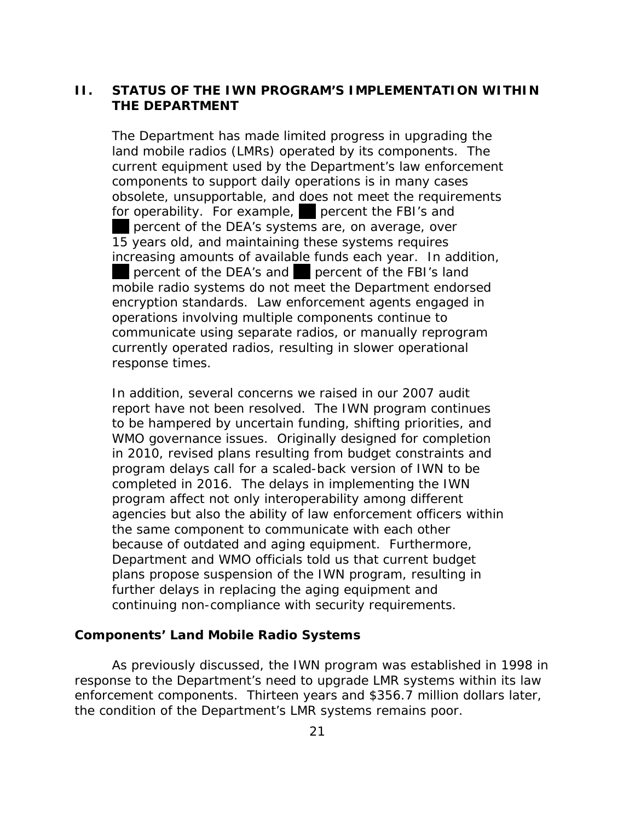# <span id="page-28-0"></span>**II. STATUS OF THE IWN PROGRAM'S IMPLEMENTATION WITHIN THE DEPARTMENT**

The Department has made limited progress in upgrading the land mobile radios (LMRs) operated by its components. The current equipment used by the Department's law enforcement components to support daily operations is in many cases obsolete, unsupportable, and does not meet the requirements for operability. For example, percent the FBI's and percent of the DEA's systems are, on average, over 15 years old, and maintaining these systems requires increasing amounts of available funds each year. In addition, percent of the DEA's and percent of the FBI's land mobile radio systems do not meet the Department endorsed encryption standards. Law enforcement agents engaged in operations involving multiple components continue to communicate using separate radios, or manually reprogram currently operated radios, resulting in slower operational response times.

In addition, several concerns we raised in our 2007 audit report have not been resolved. The IWN program continues to be hampered by uncertain funding, shifting priorities, and WMO governance issues. Originally designed for completion in 2010, revised plans resulting from budget constraints and program delays call for a scaled-back version of IWN to be completed in 2016. The delays in implementing the IWN program affect not only interoperability among different agencies but also the ability of law enforcement officers within the same component to communicate with each other because of outdated and aging equipment. Furthermore, Department and WMO officials told us that current budget plans propose suspension of the IWN program, resulting in further delays in replacing the aging equipment and continuing non-compliance with security requirements.

# **Components' Land Mobile Radio Systems**

As previously discussed, the IWN program was established in 1998 in response to the Department's need to upgrade LMR systems within its law enforcement components. Thirteen years and \$356.7 million dollars later, the condition of the Department's LMR systems remains poor.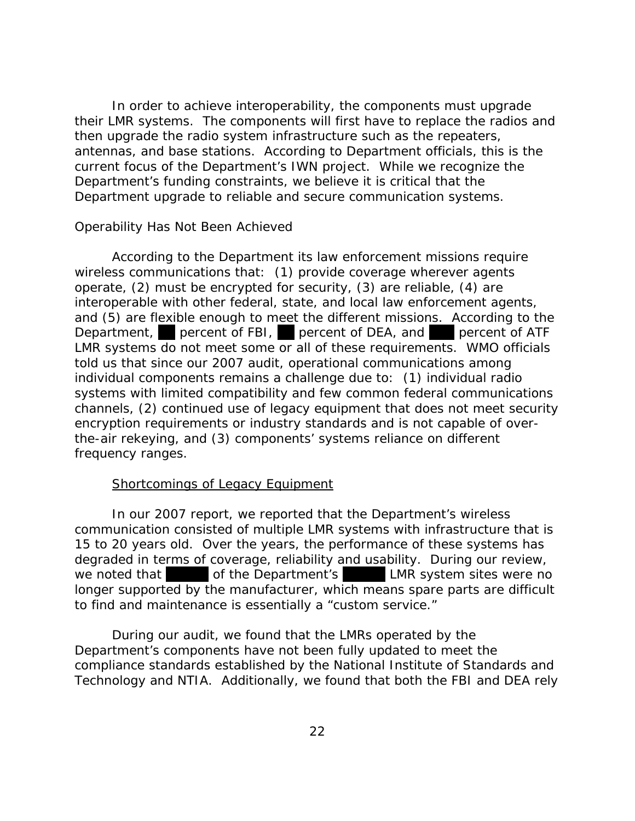In order to achieve interoperability, the components must upgrade their LMR systems. The components will first have to replace the radios and then upgrade the radio system infrastructure such as the repeaters, antennas, and base stations. According to Department officials, this is the current focus of the Department's IWN project. While we recognize the Department's funding constraints, we believe it is critical that the Department upgrade to reliable and secure communication systems.

# *Operability Has Not Been Achieved*

According to the Department its law enforcement missions require wireless communications that: (1) provide coverage wherever agents operate, (2) must be encrypted for security, (3) are reliable, (4) are interoperable with other federal, state, and local law enforcement agents, and (5) are flexible enough to meet the different missions. According to the Department, percent of FBI, percent of DEA, and percent of ATF LMR systems do not meet some or all of these requirements. WMO officials told us that since our 2007 audit, operational communications among individual components remains a challenge due to: (1) individual radio systems with limited compatibility and few common federal communications channels, (2) continued use of legacy equipment that does not meet security encryption requirements or industry standards and is not capable of overthe-air rekeying, and (3) components' systems reliance on different frequency ranges.

# Shortcomings of Legacy Equipment

In our 2007 report, we reported that the Department's wireless communication consisted of multiple LMR systems with infrastructure that is 15 to 20 years old. Over the years, the performance of these systems has degraded in terms of coverage, reliability and usability. During our review, we noted that of the Department's LMR system sites were no longer supported by the manufacturer, which means spare parts are difficult to find and maintenance is essentially a "custom service."

During our audit, we found that the LMRs operated by the Department's components have not been fully updated to meet the compliance standards established by the National Institute of Standards and Technology and NTIA. Additionally, we found that both the FBI and DEA rely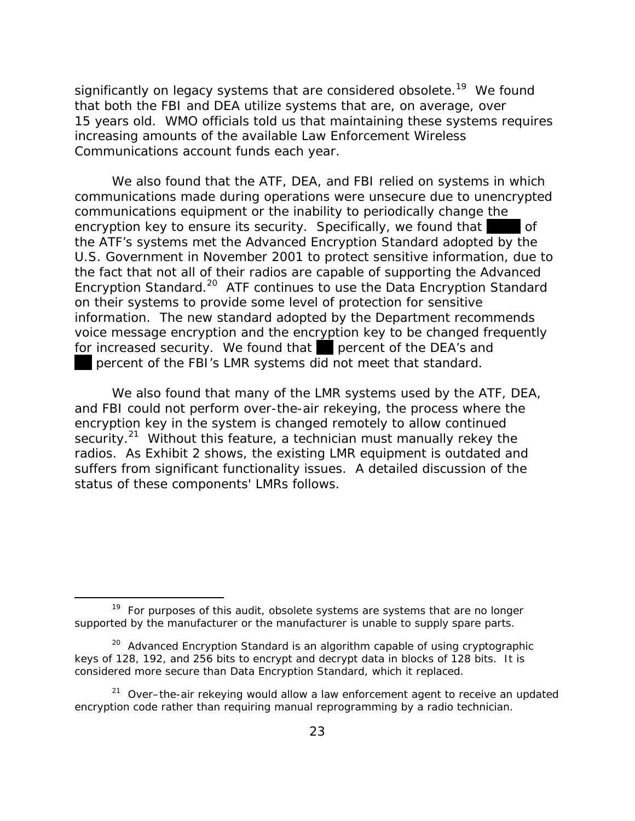significantly on legacy systems that are considered obsolete.<sup>19</sup> We found that both the FBI and DEA utilize systems that are, on average, over 15 years old. WMO officials told us that maintaining these systems requires increasing amounts of the available Law Enforcement Wireless Communications account funds each year.

We also found that the ATF, DEA, and FBI relied on systems in which communications made during operations were unsecure due to unencrypted communications equipment or the inability to periodically change the encryption key to ensure its security. Specifically, we found that of the ATF's systems met the Advanced Encryption Standard adopted by the U.S. Government in November 2001 to protect sensitive information, due to the fact that not all of their radios are capable of supporting the Advanced Encryption Standard.20 ATF continues to use the Data Encryption Standard on their systems to provide some level of protection for sensitive information. The new standard adopted by the Department recommends voice message encryption and the encryption key to be changed frequently for increased security. We found that percent of the DEA's and percent of the FBI's LMR systems did not meet that standard.

We also found that many of the LMR systems used by the ATF, DEA, and FBI could not perform over-the-air rekeying, the process where the encryption key in the system is changed remotely to allow continued security.<sup>21</sup> Without this feature, a technician must manually rekey the radios. As Exhibit 2 shows, the existing LMR equipment is outdated and suffers from significant functionality issues. A detailed discussion of the status of these components' LMRs follows.

<sup>&</sup>lt;sup>19</sup> For purposes of this audit, obsolete systems are systems that are no longer supported by the manufacturer or the manufacturer is unable to supply spare parts.

<sup>&</sup>lt;sup>20</sup> Advanced Encryption Standard is an algorithm capable of using cryptographic keys of 128, 192, and 256 bits to encrypt and decrypt data in blocks of 128 bits. It is considered more secure than Data Encryption Standard, which it replaced.

 $21$  Over–the-air rekeying would allow a law enforcement agent to receive an updated encryption code rather than requiring manual reprogramming by a radio technician.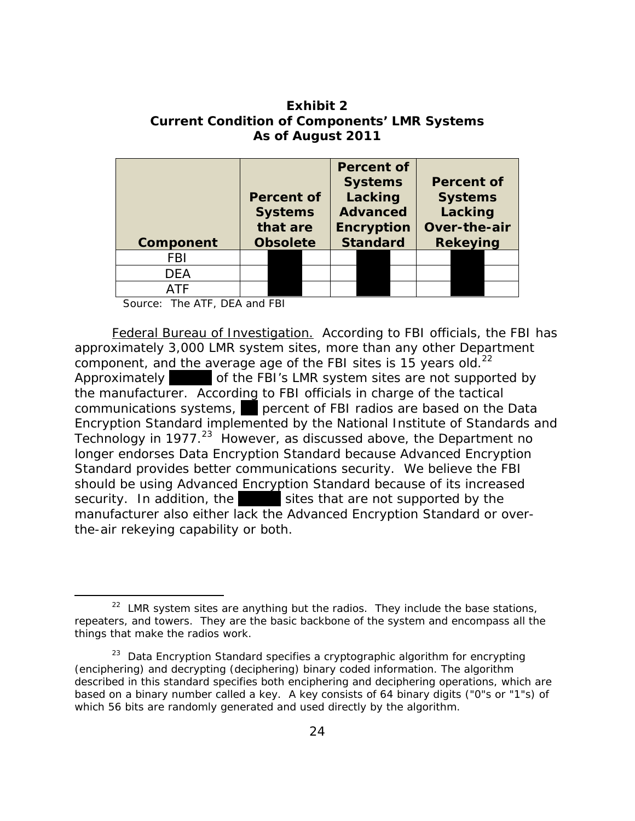**Exhibit 2 Current Condition of Components' LMR Systems As of August 2011** 

| Component  | Percent of<br><b>Systems</b><br>that are<br><b>Obsolete</b> |  |  | <b>Percent of</b><br><b>Systems</b><br>Lacking<br><b>Advanced</b><br><b>Encryption</b><br><b>Standard</b> |  |  | <b>Percent of</b><br><b>Systems</b><br>Lacking<br>Over-the-air<br><b>Rekeying</b> |  |  |
|------------|-------------------------------------------------------------|--|--|-----------------------------------------------------------------------------------------------------------|--|--|-----------------------------------------------------------------------------------|--|--|
| <b>FBI</b> |                                                             |  |  |                                                                                                           |  |  |                                                                                   |  |  |
| DEA        |                                                             |  |  |                                                                                                           |  |  |                                                                                   |  |  |
| <b>ATF</b> |                                                             |  |  |                                                                                                           |  |  |                                                                                   |  |  |

Source: The ATF, DEA and FBI

 *Federal Bureau of Investigation.* According to FBI officials, the FBI has component, and the average age of the FBI sites is 15 years old.<sup>22</sup> approximately 3,000 LMR system sites, more than any other Department Approximately of the FBI's LMR system sites are not supported by the manufacturer. According to FBI officials in charge of the tactical communications systems, percent of FBI radios are based on the Data Encryption Standard implemented by the National Institute of Standards and Technology in 1977.<sup>23</sup> However, as discussed above, the Department no longer endorses Data Encryption Standard because Advanced Encryption Standard provides better communications security. We believe the FBI should be using Advanced Encryption Standard because of its increased security. In addition, the sites that are not supported by the manufacturer also either lack the Advanced Encryption Standard or overthe-air rekeying capability or both.

 $22$  LMR system sites are anything but the radios. They include the base stations, repeaters, and towers. They are the basic backbone of the system and encompass all the things that make the radios work.

 $23$  Data Encryption Standard specifies a cryptographic algorithm for encrypting (enciphering) and decrypting (deciphering) binary coded information. The algorithm described in this standard specifies both enciphering and deciphering operations, which are based on a binary number called a key. A key consists of 64 binary digits ("0"s or "1"s) of which 56 bits are randomly generated and used directly by the algorithm.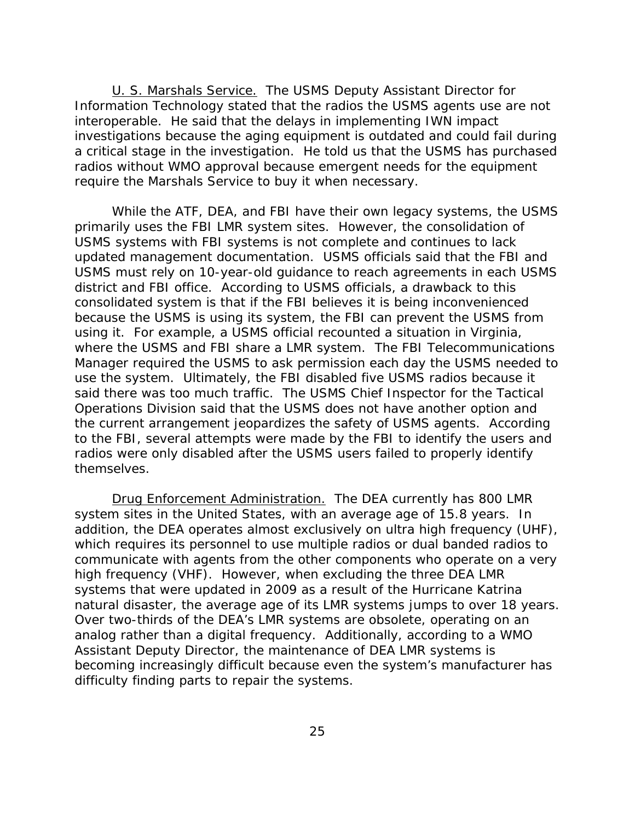*U. S. Marshals Service.* The USMS Deputy Assistant Director for Information Technology stated that the radios the USMS agents use are not interoperable. He said that the delays in implementing IWN impact investigations because the aging equipment is outdated and could fail during a critical stage in the investigation. He told us that the USMS has purchased radios without WMO approval because emergent needs for the equipment require the Marshals Service to buy it when necessary.

While the ATF, DEA, and FBI have their own legacy systems, the USMS primarily uses the FBI LMR system sites. However, the consolidation of USMS systems with FBI systems is not complete and continues to lack updated management documentation. USMS officials said that the FBI and USMS must rely on 10-year-old guidance to reach agreements in each USMS district and FBI office. According to USMS officials, a drawback to this consolidated system is that if the FBI believes it is being inconvenienced because the USMS is using its system, the FBI can prevent the USMS from using it. For example, a USMS official recounted a situation in Virginia, where the USMS and FBI share a LMR system. The FBI Telecommunications Manager required the USMS to ask permission each day the USMS needed to use the system. Ultimately, the FBI disabled five USMS radios because it said there was too much traffic. The USMS Chief Inspector for the Tactical Operations Division said that the USMS does not have another option and the current arrangement jeopardizes the safety of USMS agents. According to the FBI, several attempts were made by the FBI to identify the users and radios were only disabled after the USMS users failed to properly identify themselves.

*Drug Enforcement Administration.* The DEA currently has 800 LMR system sites in the United States, with an average age of 15.8 years. In addition, the DEA operates almost exclusively on ultra high frequency (UHF), which requires its personnel to use multiple radios or dual banded radios to communicate with agents from the other components who operate on a very high frequency (VHF). However, when excluding the three DEA LMR systems that were updated in 2009 as a result of the Hurricane Katrina natural disaster, the average age of its LMR systems jumps to over 18 years. Over two-thirds of the DEA's LMR systems are obsolete, operating on an analog rather than a digital frequency. Additionally, according to a WMO Assistant Deputy Director, the maintenance of DEA LMR systems is becoming increasingly difficult because even the system's manufacturer has difficulty finding parts to repair the systems.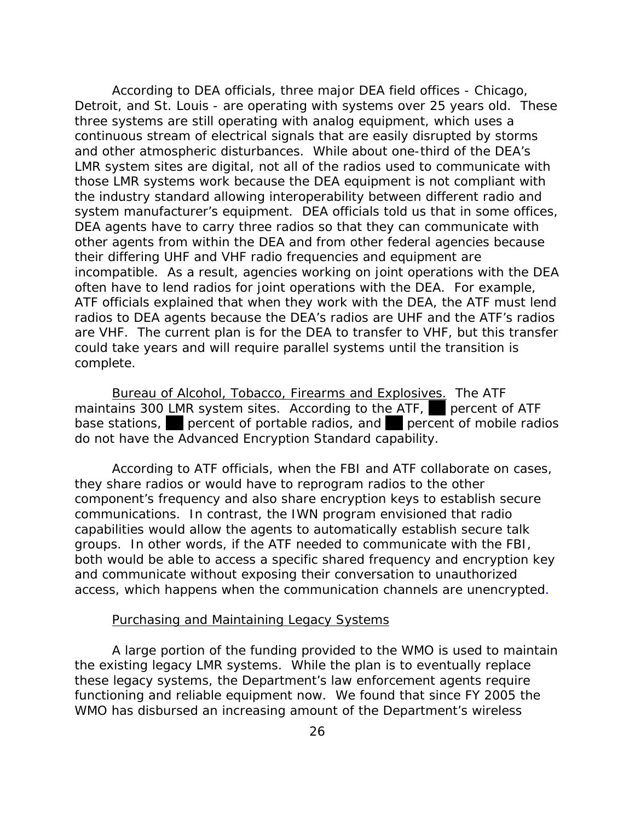According to DEA officials, three major DEA field offices - Chicago, Detroit, and St. Louis - are operating with systems over 25 years old. These three systems are still operating with analog equipment, which uses a continuous stream of electrical signals that are easily disrupted by storms and other atmospheric disturbances. While about one-third of the DEA's LMR system sites are digital, not all of the radios used to communicate with those LMR systems work because the DEA equipment is not compliant with the industry standard allowing interoperability between different radio and system manufacturer's equipment. DEA officials told us that in some offices, DEA agents have to carry three radios so that they can communicate with other agents from within the DEA and from other federal agencies because their differing UHF and VHF radio frequencies and equipment are incompatible. As a result, agencies working on joint operations with the DEA often have to lend radios for joint operations with the DEA. For example, ATF officials explained that when they work with the DEA, the ATF must lend radios to DEA agents because the DEA's radios are UHF and the ATF's radios are VHF. The current plan is for the DEA to transfer to VHF, but this transfer could take years and will require parallel systems until the transition is complete.

*Bureau of Alcohol, Tobacco, Firearms and Explosives.* The ATF maintains 300 LMR system sites. According to the ATF, percent of ATF base stations, percent of portable radios, and percent of mobile radios do not have the Advanced Encryption Standard capability.

According to ATF officials, when the FBI and ATF collaborate on cases, they share radios or would have to reprogram radios to the other component's frequency and also share encryption keys to establish secure communications. In contrast, the IWN program envisioned that radio capabilities would allow the agents to automatically establish secure talk groups. In other words, if the ATF needed to communicate with the FBI, both would be able to access a specific shared frequency and encryption key and communicate without exposing their conversation to unauthorized access, which happens when the communication channels are unencrypted.

#### Purchasing and Maintaining Legacy Systems

A large portion of the funding provided to the WMO is used to maintain the existing legacy LMR systems. While the plan is to eventually replace these legacy systems, the Department's law enforcement agents require functioning and reliable equipment now. We found that since FY 2005 the WMO has disbursed an increasing amount of the Department's wireless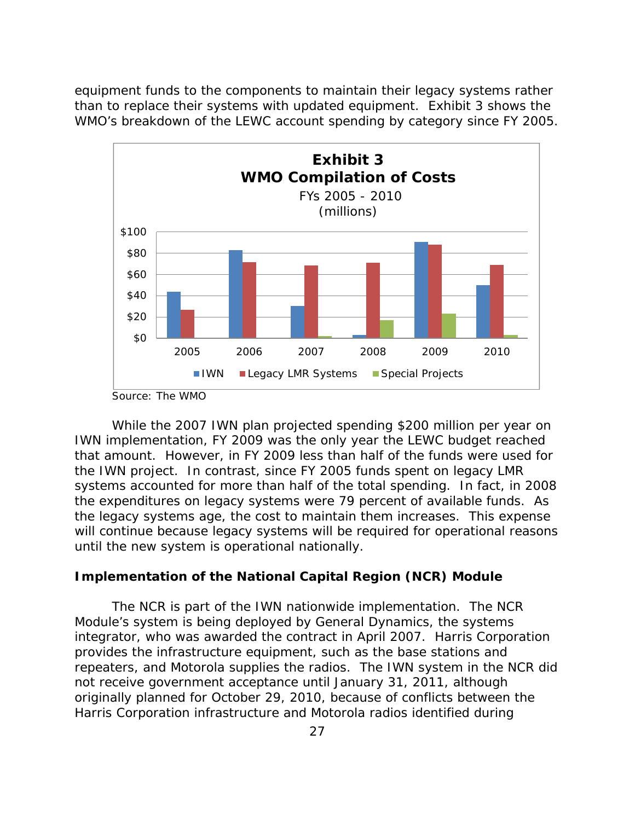<span id="page-34-0"></span>equipment funds to the components to maintain their legacy systems rather than to replace their systems with updated equipment. Exhibit 3 shows the WMO's breakdown of the LEWC account spending by category since FY 2005.



While the 2007 IWN plan projected spending \$200 million per year on IWN implementation, FY 2009 was the only year the LEWC budget reached that amount. However, in FY 2009 less than half of the funds were used for the IWN project. In contrast, since FY 2005 funds spent on legacy LMR systems accounted for more than half of the total spending. In fact, in 2008 the expenditures on legacy systems were 79 percent of available funds. As the legacy systems age, the cost to maintain them increases. This expense will continue because legacy systems will be required for operational reasons until the new system is operational nationally.

# **Implementation of the National Capital Region (NCR) Module**

The NCR is part of the IWN nationwide implementation. The NCR Module's system is being deployed by General Dynamics, the systems integrator, who was awarded the contract in April 2007. Harris Corporation provides the infrastructure equipment, such as the base stations and repeaters, and Motorola supplies the radios. The IWN system in the NCR did not receive government acceptance until January 31, 2011, although originally planned for October 29, 2010, because of conflicts between the Harris Corporation infrastructure and Motorola radios identified during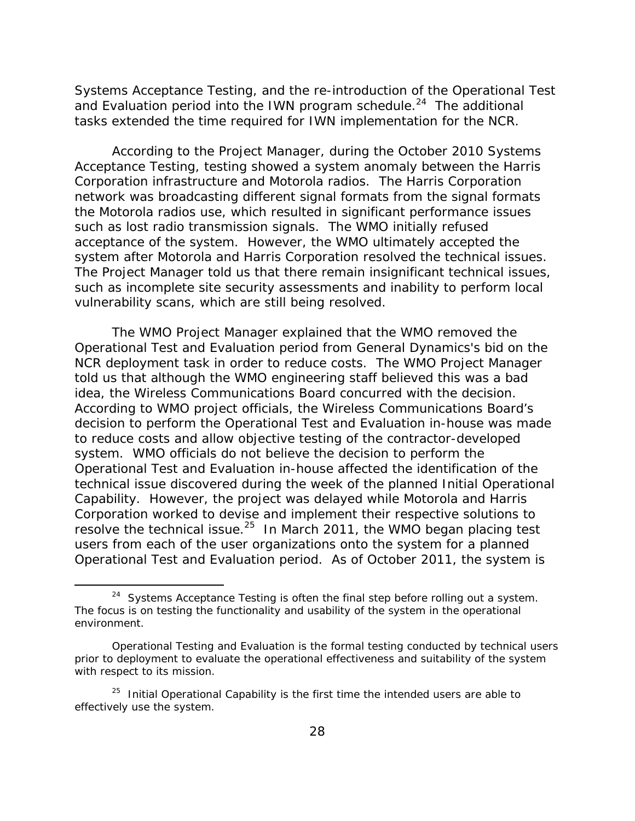Systems Acceptance Testing, and the re-introduction of the Operational Test and Evaluation period into the IWN program schedule.<sup>24</sup> The additional tasks extended the time required for IWN implementation for the NCR.

According to the Project Manager, during the October 2010 Systems Acceptance Testing, testing showed a system anomaly between the Harris Corporation infrastructure and Motorola radios. The Harris Corporation network was broadcasting different signal formats from the signal formats the Motorola radios use, which resulted in significant performance issues such as lost radio transmission signals. The WMO initially refused acceptance of the system. However, the WMO ultimately accepted the system after Motorola and Harris Corporation resolved the technical issues. The Project Manager told us that there remain insignificant technical issues, such as incomplete site security assessments and inability to perform local vulnerability scans, which are still being resolved.

The WMO Project Manager explained that the WMO removed the Operational Test and Evaluation period from General Dynamics's bid on the NCR deployment task in order to reduce costs. The WMO Project Manager told us that although the WMO engineering staff believed this was a bad idea, the Wireless Communications Board concurred with the decision. According to WMO project officials, the Wireless Communications Board's decision to perform the Operational Test and Evaluation in-house was made to reduce costs and allow objective testing of the contractor-developed system. WMO officials do not believe the decision to perform the Operational Test and Evaluation in-house affected the identification of the technical issue discovered during the week of the planned Initial Operational Capability. However, the project was delayed while Motorola and Harris Corporation worked to devise and implement their respective solutions to resolve the technical issue. $25$  In March 2011, the WMO began placing test users from each of the user organizations onto the system for a planned Operational Test and Evaluation period. As of October 2011, the system is

<sup>&</sup>lt;sup>24</sup> Systems Acceptance Testing is often the final step before rolling out a system. The focus is on testing the functionality and usability of the system in the operational environment.

Operational Testing and Evaluation is the formal testing conducted by technical users prior to deployment to evaluate the operational effectiveness and suitability of the system with respect to its mission.

 $25$  Initial Operational Capability is the first time the intended users are able to effectively use the system.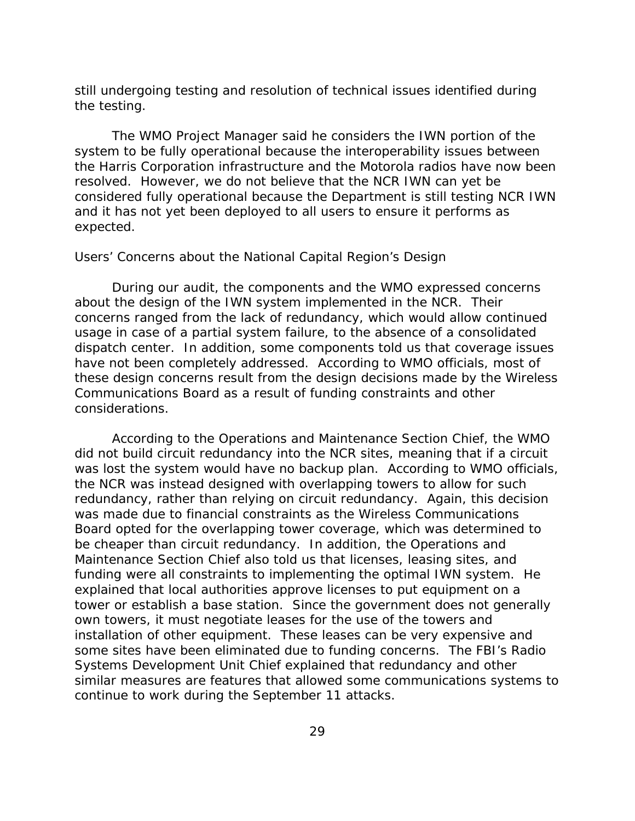still undergoing testing and resolution of technical issues identified during the testing.

The WMO Project Manager said he considers the IWN portion of the system to be fully operational because the interoperability issues between the Harris Corporation infrastructure and the Motorola radios have now been resolved. However, we do not believe that the NCR IWN can yet be considered fully operational because the Department is still testing NCR IWN and it has not yet been deployed to all users to ensure it performs as expected.

#### *Users' Concerns about the National Capital Region's Design*

During our audit, the components and the WMO expressed concerns about the design of the IWN system implemented in the NCR. Their concerns ranged from the lack of redundancy, which would allow continued usage in case of a partial system failure, to the absence of a consolidated dispatch center. In addition, some components told us that coverage issues have not been completely addressed. According to WMO officials, most of these design concerns result from the design decisions made by the Wireless Communications Board as a result of funding constraints and other considerations.

According to the Operations and Maintenance Section Chief, the WMO did not build circuit redundancy into the NCR sites, meaning that if a circuit was lost the system would have no backup plan. According to WMO officials, the NCR was instead designed with overlapping towers to allow for such redundancy, rather than relying on circuit redundancy. Again, this decision was made due to financial constraints as the Wireless Communications Board opted for the overlapping tower coverage, which was determined to be cheaper than circuit redundancy. In addition, the Operations and Maintenance Section Chief also told us that licenses, leasing sites, and funding were all constraints to implementing the optimal IWN system. He explained that local authorities approve licenses to put equipment on a tower or establish a base station. Since the government does not generally own towers, it must negotiate leases for the use of the towers and installation of other equipment. These leases can be very expensive and some sites have been eliminated due to funding concerns. The FBI's Radio Systems Development Unit Chief explained that redundancy and other similar measures are features that allowed some communications systems to continue to work during the September 11 attacks.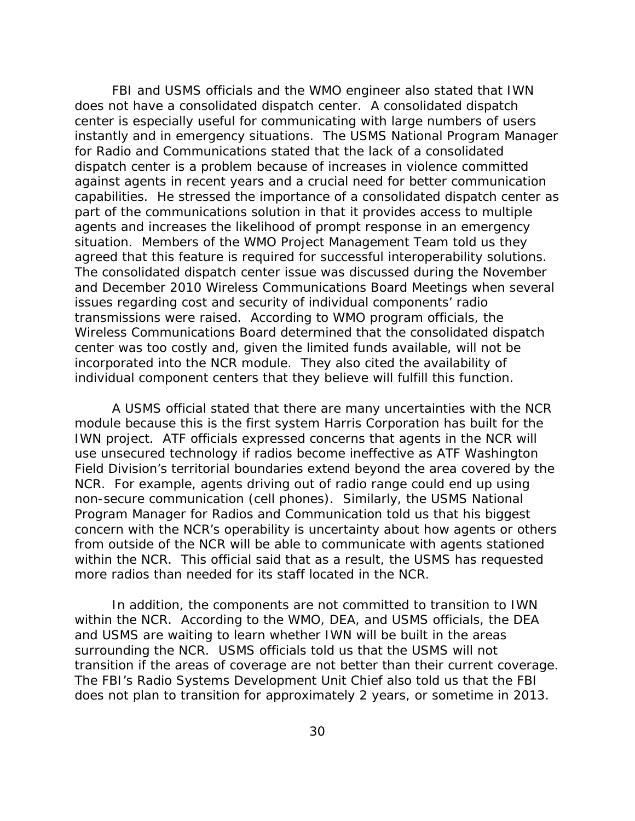FBI and USMS officials and the WMO engineer also stated that IWN does not have a consolidated dispatch center. A consolidated dispatch center is especially useful for communicating with large numbers of users instantly and in emergency situations. The USMS National Program Manager for Radio and Communications stated that the lack of a consolidated dispatch center is a problem because of increases in violence committed against agents in recent years and a crucial need for better communication capabilities. He stressed the importance of a consolidated dispatch center as part of the communications solution in that it provides access to multiple agents and increases the likelihood of prompt response in an emergency situation. Members of the WMO Project Management Team told us they agreed that this feature is required for successful interoperability solutions. The consolidated dispatch center issue was discussed during the November and December 2010 Wireless Communications Board Meetings when several issues regarding cost and security of individual components' radio transmissions were raised. According to WMO program officials, the Wireless Communications Board determined that the consolidated dispatch center was too costly and, given the limited funds available, will not be incorporated into the NCR module. They also cited the availability of individual component centers that they believe will fulfill this function.

A USMS official stated that there are many uncertainties with the NCR module because this is the first system Harris Corporation has built for the IWN project. ATF officials expressed concerns that agents in the NCR will use unsecured technology if radios become ineffective as ATF Washington Field Division's territorial boundaries extend beyond the area covered by the NCR. For example, agents driving out of radio range could end up using non-secure communication (cell phones). Similarly, the USMS National Program Manager for Radios and Communication told us that his biggest concern with the NCR's operability is uncertainty about how agents or others from outside of the NCR will be able to communicate with agents stationed within the NCR. This official said that as a result, the USMS has requested more radios than needed for its staff located in the NCR.

In addition, the components are not committed to transition to IWN within the NCR. According to the WMO, DEA, and USMS officials, the DEA and USMS are waiting to learn whether IWN will be built in the areas surrounding the NCR. USMS officials told us that the USMS will not transition if the areas of coverage are not better than their current coverage. The FBI's Radio Systems Development Unit Chief also told us that the FBI does not plan to transition for approximately 2 years, or sometime in 2013.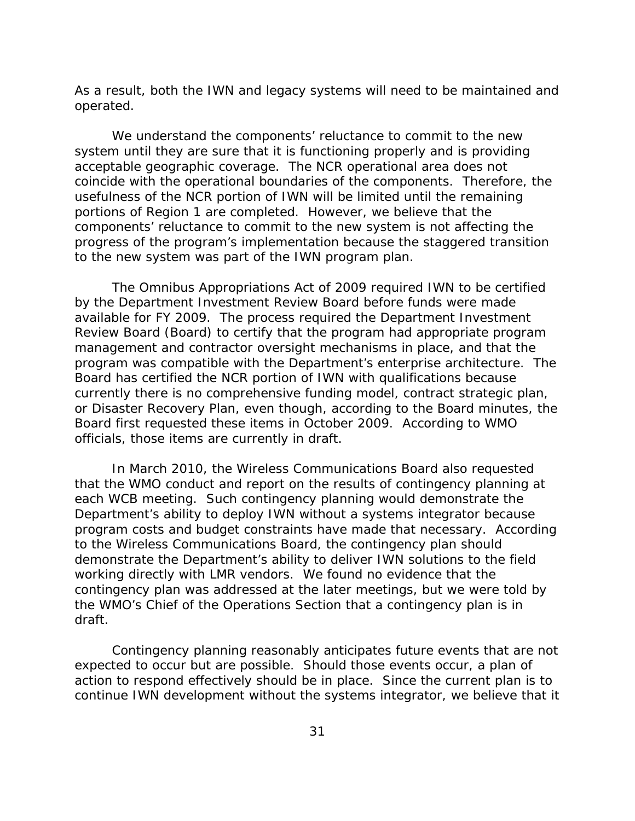As a result, both the IWN and legacy systems will need to be maintained and operated.

We understand the components' reluctance to commit to the new system until they are sure that it is functioning properly and is providing acceptable geographic coverage. The NCR operational area does not coincide with the operational boundaries of the components. Therefore, the usefulness of the NCR portion of IWN will be limited until the remaining portions of Region 1 are completed. However, we believe that the components' reluctance to commit to the new system is not affecting the progress of the program's implementation because the staggered transition to the new system was part of the IWN program plan.

The Omnibus Appropriations Act of 2009 required IWN to be certified by the Department Investment Review Board before funds were made available for FY 2009. The process required the Department Investment Review Board (Board) to certify that the program had appropriate program management and contractor oversight mechanisms in place, and that the program was compatible with the Department's enterprise architecture. The Board has certified the NCR portion of IWN with qualifications because currently there is no comprehensive funding model, contract strategic plan, or Disaster Recovery Plan, even though, according to the Board minutes, the Board first requested these items in October 2009. According to WMO officials, those items are currently in draft.

In March 2010, the Wireless Communications Board also requested that the WMO conduct and report on the results of contingency planning at each WCB meeting. Such contingency planning would demonstrate the Department's ability to deploy IWN without a systems integrator because program costs and budget constraints have made that necessary. According to the Wireless Communications Board, the contingency plan should demonstrate the Department's ability to deliver IWN solutions to the field working directly with LMR vendors. We found no evidence that the contingency plan was addressed at the later meetings, but we were told by the WMO's Chief of the Operations Section that a contingency plan is in draft.

Contingency planning reasonably anticipates future events that are not expected to occur but are possible. Should those events occur, a plan of action to respond effectively should be in place. Since the current plan is to continue IWN development without the systems integrator, we believe that it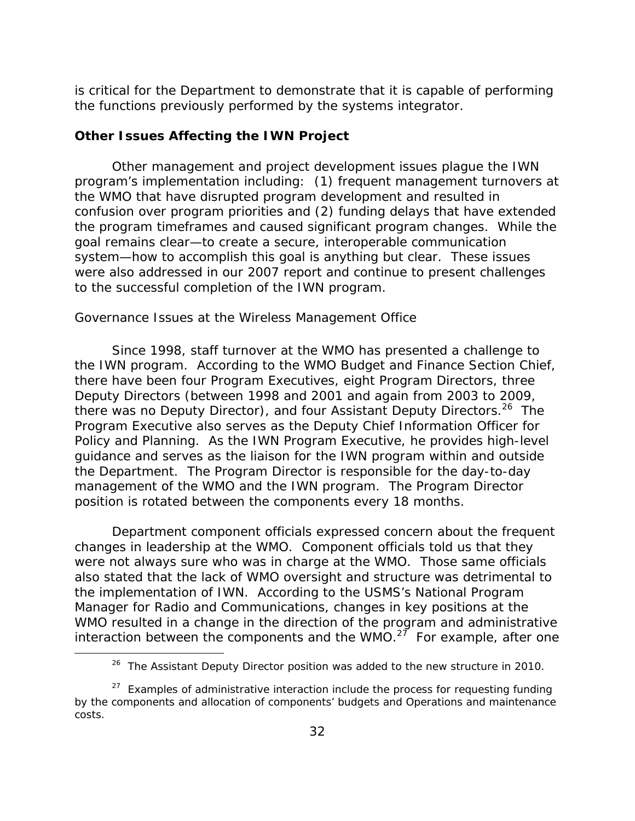is critical for the Department to demonstrate that it is capable of performing the functions previously performed by the systems integrator.

### **Other Issues Affecting the IWN Project**

Other management and project development issues plague the IWN program's implementation including: (1) frequent management turnovers at the WMO that have disrupted program development and resulted in confusion over program priorities and (2) funding delays that have extended the program timeframes and caused significant program changes. While the goal remains clear—to create a secure, interoperable communication system—how to accomplish this goal is anything but clear. These issues were also addressed in our 2007 report and continue to present challenges to the successful completion of the IWN program.

### *Governance Issues at the Wireless Management Office*

Since 1998, staff turnover at the WMO has presented a challenge to the IWN program. According to the WMO Budget and Finance Section Chief, there have been four Program Executives, eight Program Directors, three Deputy Directors (between 1998 and 2001 and again from 2003 to 2009, there was no Deputy Director), and four Assistant Deputy Directors.<sup>26</sup> The Program Executive also serves as the Deputy Chief Information Officer for Policy and Planning. As the IWN Program Executive, he provides high-level guidance and serves as the liaison for the IWN program within and outside the Department. The Program Director is responsible for the day-to-day management of the WMO and the IWN program. The Program Director position is rotated between the components every 18 months.

Department component officials expressed concern about the frequent changes in leadership at the WMO. Component officials told us that they were not always sure who was in charge at the WMO. Those same officials also stated that the lack of WMO oversight and structure was detrimental to the implementation of IWN. According to the USMS's National Program Manager for Radio and Communications, changes in key positions at the WMO resulted in a change in the direction of the program and administrative interaction between the components and the WMO.<sup>27</sup> For example, after one

<sup>&</sup>lt;sup>26</sup> The Assistant Deputy Director position was added to the new structure in 2010.

 $27$  Examples of administrative interaction include the process for requesting funding by the components and allocation of components' budgets and Operations and maintenance costs.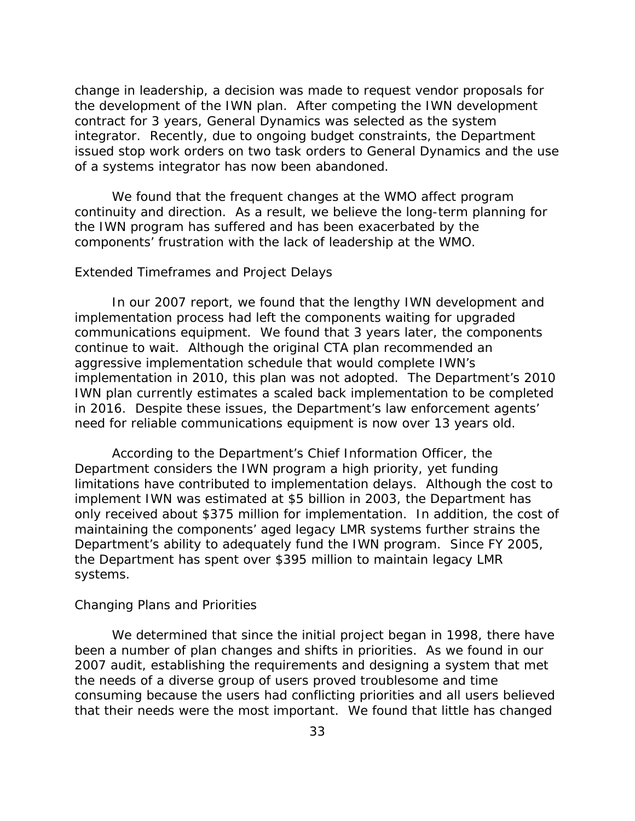change in leadership, a decision was made to request vendor proposals for the development of the IWN plan. After competing the IWN development contract for 3 years, General Dynamics was selected as the system integrator. Recently, due to ongoing budget constraints, the Department issued stop work orders on two task orders to General Dynamics and the use of a systems integrator has now been abandoned.

We found that the frequent changes at the WMO affect program continuity and direction. As a result, we believe the long-term planning for the IWN program has suffered and has been exacerbated by the components' frustration with the lack of leadership at the WMO.

#### *Extended Timeframes and Project Delays*

In our 2007 report, we found that the lengthy IWN development and implementation process had left the components waiting for upgraded communications equipment. We found that 3 years later, the components continue to wait. Although the original CTA plan recommended an aggressive implementation schedule that would complete IWN's implementation in 2010, this plan was not adopted. The Department's 2010 IWN plan currently estimates a scaled back implementation to be completed in 2016. Despite these issues, the Department's law enforcement agents' need for reliable communications equipment is now over 13 years old.

According to the Department's Chief Information Officer, the Department considers the IWN program a high priority, yet funding limitations have contributed to implementation delays. Although the cost to implement IWN was estimated at \$5 billion in 2003, the Department has only received about \$375 million for implementation. In addition, the cost of maintaining the components' aged legacy LMR systems further strains the Department's ability to adequately fund the IWN program. Since FY 2005, the Department has spent over \$395 million to maintain legacy LMR systems.

#### *Changing Plans and Priorities*

We determined that since the initial project began in 1998, there have been a number of plan changes and shifts in priorities. As we found in our 2007 audit, establishing the requirements and designing a system that met the needs of a diverse group of users proved troublesome and time consuming because the users had conflicting priorities and all users believed that their needs were the most important. We found that little has changed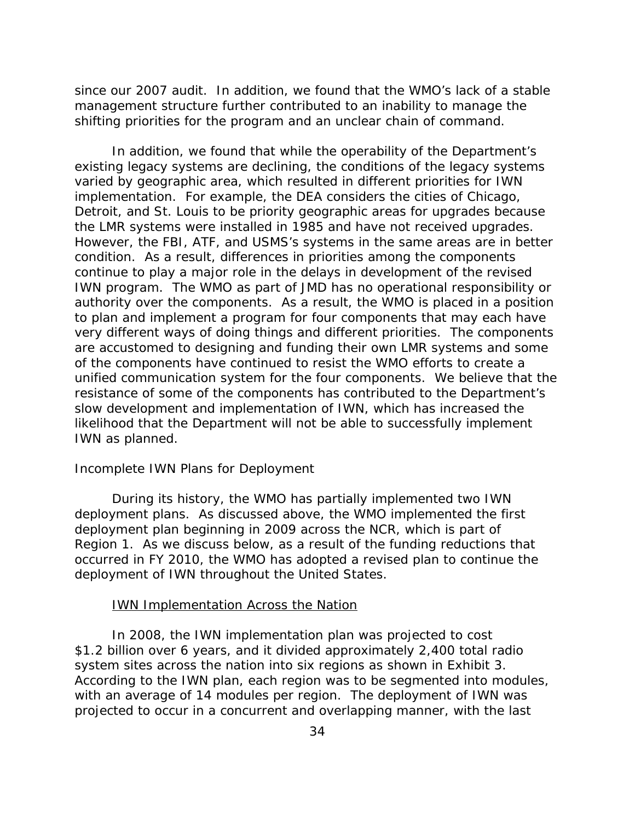since our 2007 audit. In addition, we found that the WMO's lack of a stable management structure further contributed to an inability to manage the shifting priorities for the program and an unclear chain of command.

In addition, we found that while the operability of the Department's existing legacy systems are declining, the conditions of the legacy systems varied by geographic area, which resulted in different priorities for IWN implementation. For example, the DEA considers the cities of Chicago, Detroit, and St. Louis to be priority geographic areas for upgrades because the LMR systems were installed in 1985 and have not received upgrades. However, the FBI, ATF, and USMS's systems in the same areas are in better condition. As a result, differences in priorities among the components continue to play a major role in the delays in development of the revised IWN program. The WMO as part of JMD has no operational responsibility or authority over the components. As a result, the WMO is placed in a position to plan and implement a program for four components that may each have very different ways of doing things and different priorities. The components are accustomed to designing and funding their own LMR systems and some of the components have continued to resist the WMO efforts to create a unified communication system for the four components. We believe that the resistance of some of the components has contributed to the Department's slow development and implementation of IWN, which has increased the likelihood that the Department will not be able to successfully implement IWN as planned.

#### *Incomplete IWN Plans for Deployment*

During its history, the WMO has partially implemented two IWN deployment plans. As discussed above, the WMO implemented the first deployment plan beginning in 2009 across the NCR, which is part of Region 1. As we discuss below, as a result of the funding reductions that occurred in FY 2010, the WMO has adopted a revised plan to continue the deployment of IWN throughout the United States.

#### **IWN Implementation Across the Nation**

In 2008, the IWN implementation plan was projected to cost \$1.2 billion over 6 years, and it divided approximately 2,400 total radio system sites across the nation into six regions as shown in Exhibit 3. According to the IWN plan, each region was to be segmented into modules, with an average of 14 modules per region. The deployment of IWN was projected to occur in a concurrent and overlapping manner, with the last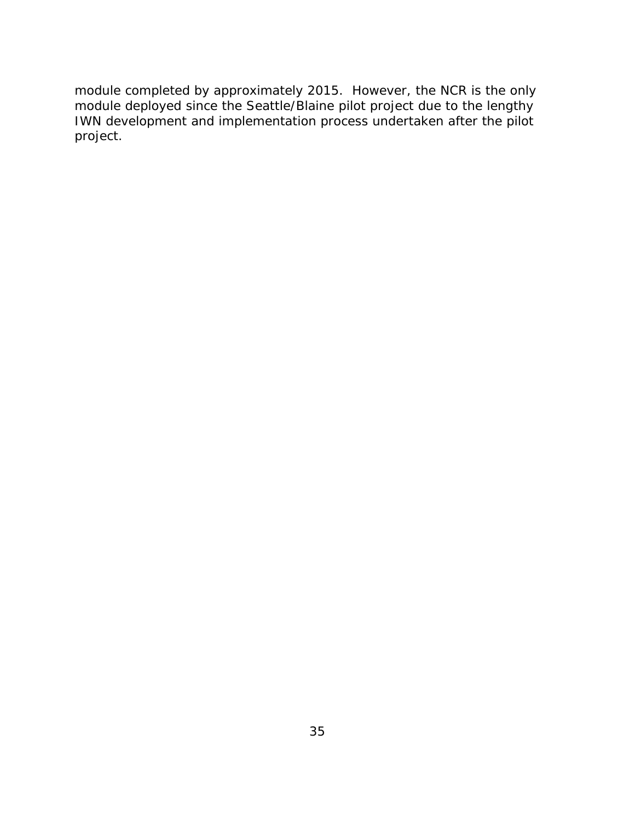module completed by approximately 2015. However, the NCR is the only module deployed since the Seattle/Blaine pilot project due to the lengthy IWN development and implementation process undertaken after the pilot project.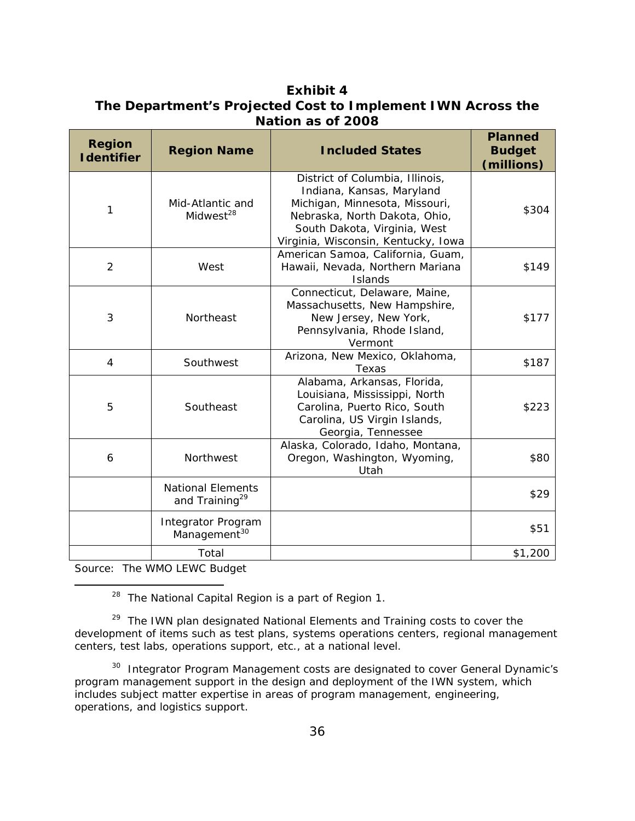### **Exhibit 4 The Department's Projected Cost to Implement IWN Across the Nation as of 2008**

| <b>Region</b><br><b>I</b> dentifier | <b>Region Name</b>                                     | <b>Included States</b>                                                                                                                                                                                 | <b>Planned</b><br><b>Budget</b><br>(millions) |
|-------------------------------------|--------------------------------------------------------|--------------------------------------------------------------------------------------------------------------------------------------------------------------------------------------------------------|-----------------------------------------------|
| 1                                   | Mid-Atlantic and<br>Midwest <sup>28</sup>              | District of Columbia, Illinois,<br>Indiana, Kansas, Maryland<br>Michigan, Minnesota, Missouri,<br>Nebraska, North Dakota, Ohio,<br>South Dakota, Virginia, West<br>Virginia, Wisconsin, Kentucky, Iowa | \$304                                         |
| 2                                   | West                                                   | American Samoa, California, Guam,<br>Hawaii, Nevada, Northern Mariana<br>Islands                                                                                                                       | \$149                                         |
| 3                                   | Northeast                                              | Connecticut, Delaware, Maine,<br>Massachusetts, New Hampshire,<br>New Jersey, New York,<br>Pennsylvania, Rhode Island,<br>Vermont                                                                      | \$177                                         |
| 4                                   | Southwest                                              | Arizona, New Mexico, Oklahoma,<br>Texas                                                                                                                                                                | \$187                                         |
| 5                                   | Southeast                                              | Alabama, Arkansas, Florida,<br>Louisiana, Mississippi, North<br>Carolina, Puerto Rico, South<br>Carolina, US Virgin Islands,<br>Georgia, Tennessee                                                     | \$223                                         |
| 6                                   | Northwest                                              | Alaska, Colorado, Idaho, Montana,<br>Oregon, Washington, Wyoming,<br>Utah                                                                                                                              | \$80                                          |
|                                     | <b>National Elements</b><br>and Training <sup>29</sup> |                                                                                                                                                                                                        | \$29                                          |
|                                     | <b>Integrator Program</b><br>Management <sup>30</sup>  |                                                                                                                                                                                                        | \$51                                          |
|                                     | Total                                                  |                                                                                                                                                                                                        | \$1,200                                       |

Source: The WMO LEWC Budget

<sup>28</sup> The National Capital Region is a part of Region 1.

<sup>29</sup> The IWN plan designated National Elements and Training costs to cover the development of items such as test plans, systems operations centers, regional management centers, test labs, operations support, etc., at a national level.

<sup>30</sup> Integrator Program Management costs are designated to cover General Dynamic's program management support in the design and deployment of the IWN system, which includes subject matter expertise in areas of program management, engineering, operations, and logistics support.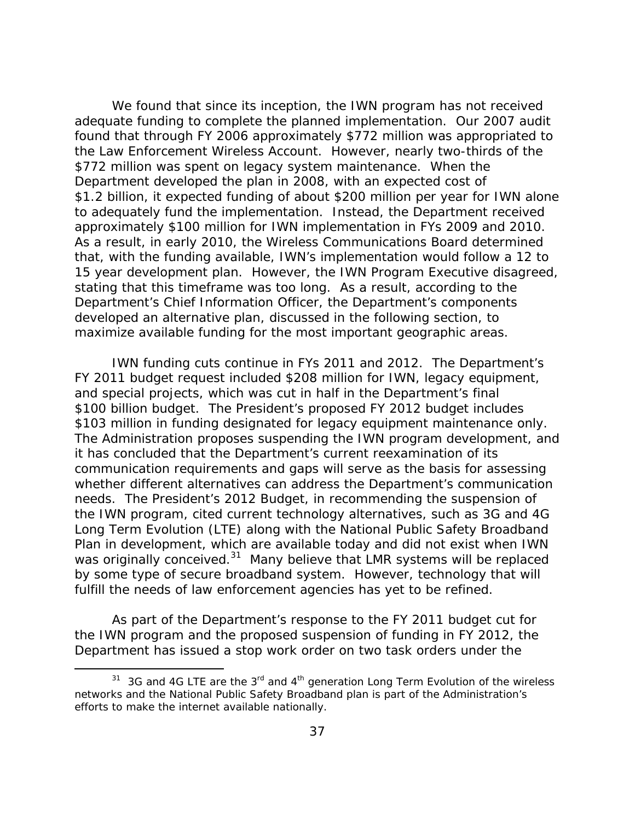We found that since its inception, the IWN program has not received adequate funding to complete the planned implementation. Our 2007 audit found that through FY 2006 approximately \$772 million was appropriated to the Law Enforcement Wireless Account. However, nearly two-thirds of the \$772 million was spent on legacy system maintenance. When the Department developed the plan in 2008, with an expected cost of \$1.2 billion, it expected funding of about \$200 million per year for IWN alone to adequately fund the implementation. Instead, the Department received approximately \$100 million for IWN implementation in FYs 2009 and 2010. As a result, in early 2010, the Wireless Communications Board determined that, with the funding available, IWN's implementation would follow a 12 to 15 year development plan. However, the IWN Program Executive disagreed, stating that this timeframe was too long. As a result, according to the Department's Chief Information Officer, the Department's components developed an alternative plan, discussed in the following section, to maximize available funding for the most important geographic areas.

IWN funding cuts continue in FYs 2011 and 2012. The Department's FY 2011 budget request included \$208 million for IWN, legacy equipment, and special projects, which was cut in half in the Department's final \$100 billion budget. The President's proposed FY 2012 budget includes \$103 million in funding designated for legacy equipment maintenance only. The Administration proposes suspending the IWN program development, and it has concluded that the Department's current reexamination of its communication requirements and gaps will serve as the basis for assessing whether different alternatives can address the Department's communication needs. The President's 2012 Budget, in recommending the suspension of the IWN program, cited current technology alternatives, such as 3G and 4G Long Term Evolution (LTE) along with the National Public Safety Broadband Plan in development, which are available today and did not exist when IWN was originally conceived.<sup>31</sup> Many believe that LMR systems will be replaced by some type of secure broadband system. However, technology that will fulfill the needs of law enforcement agencies has yet to be refined.

As part of the Department's response to the FY 2011 budget cut for the IWN program and the proposed suspension of funding in FY 2012, the Department has issued a stop work order on two task orders under the

 $31$  3G and 4G LTE are the  $3<sup>rd</sup>$  and  $4<sup>th</sup>$  generation Long Term Evolution of the wireless networks and the National Public Safety Broadband plan is part of the Administration's efforts to make the internet available nationally.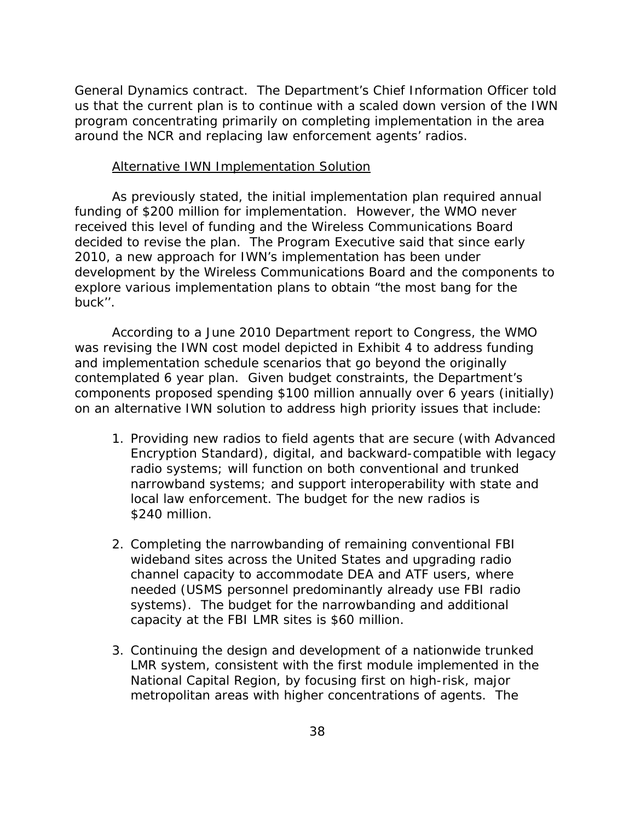General Dynamics contract. The Department's Chief Information Officer told us that the current plan is to continue with a scaled down version of the IWN program concentrating primarily on completing implementation in the area around the NCR and replacing law enforcement agents' radios.

#### Alternative IWN Implementation Solution

As previously stated, the initial implementation plan required annual funding of \$200 million for implementation. However, the WMO never received this level of funding and the Wireless Communications Board decided to revise the plan. The Program Executive said that since early 2010, a new approach for IWN's implementation has been under development by the Wireless Communications Board and the components to explore various implementation plans to obtain "the most bang for the buck''.

According to a June 2010 Department report to Congress, the WMO was revising the IWN cost model depicted in Exhibit 4 to address funding and implementation schedule scenarios that go beyond the originally contemplated 6 year plan. Given budget constraints, the Department's components proposed spending \$100 million annually over 6 years (initially) on an alternative IWN solution to address high priority issues that include:

- 1. Providing new radios to field agents that are secure (with Advanced Encryption Standard), digital, and backward-compatible with legacy radio systems; will function on both conventional and trunked narrowband systems; and support interoperability with state and local law enforcement. The budget for the new radios is \$240 million.
- 2. Completing the narrowbanding of remaining conventional FBI wideband sites across the United States and upgrading radio channel capacity to accommodate DEA and ATF users, where needed (USMS personnel predominantly already use FBI radio systems). The budget for the narrowbanding and additional capacity at the FBI LMR sites is \$60 million.
- 3. Continuing the design and development of a nationwide trunked LMR system, consistent with the first module implemented in the National Capital Region, by focusing first on high-risk, major metropolitan areas with higher concentrations of agents. The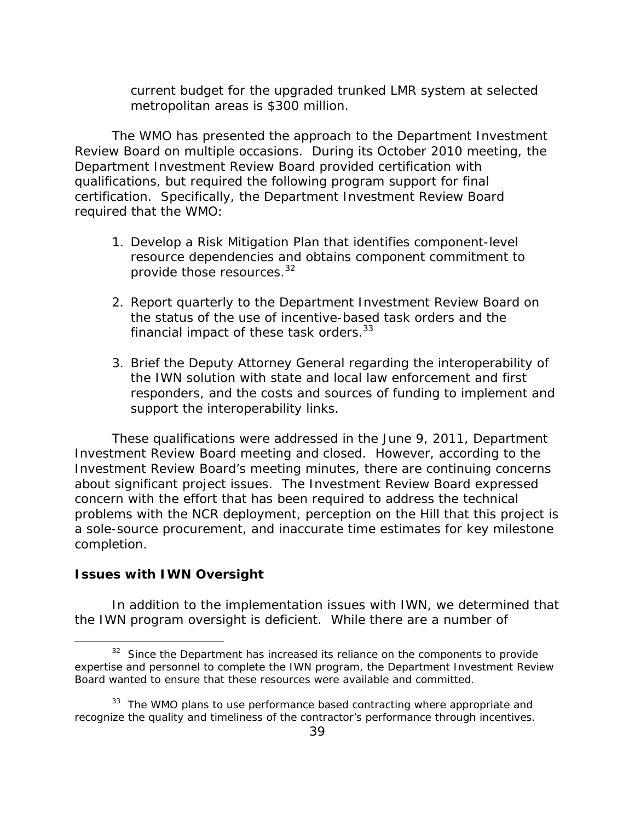current budget for the upgraded trunked LMR system at selected metropolitan areas is \$300 million.

The WMO has presented the approach to the Department Investment Review Board on multiple occasions. During its October 2010 meeting, the Department Investment Review Board provided certification with qualifications, but required the following program support for final certification. Specifically, the Department Investment Review Board required that the WMO:

- 1. Develop a Risk Mitigation Plan that identifies component-level resource dependencies and obtains component commitment to provide those resources.<sup>32</sup>
- 2. Report quarterly to the Department Investment Review Board on the status of the use of incentive-based task orders and the financial impact of these task orders. $33$
- 3. Brief the Deputy Attorney General regarding the interoperability of the IWN solution with state and local law enforcement and first responders, and the costs and sources of funding to implement and support the interoperability links.

These qualifications were addressed in the June 9, 2011, Department Investment Review Board meeting and closed. However, according to the Investment Review Board's meeting minutes, there are continuing concerns about significant project issues. The Investment Review Board expressed concern with the effort that has been required to address the technical problems with the NCR deployment, perception on the Hill that this project is a sole-source procurement, and inaccurate time estimates for key milestone completion.

### **Issues with IWN Oversight**

In addition to the implementation issues with IWN, we determined that the IWN program oversight is deficient. While there are a number of

 $32$  Since the Department has increased its reliance on the components to provide expertise and personnel to complete the IWN program, the Department Investment Review Board wanted to ensure that these resources were available and committed.

 $33$  The WMO plans to use performance based contracting where appropriate and recognize the quality and timeliness of the contractor's performance through incentives.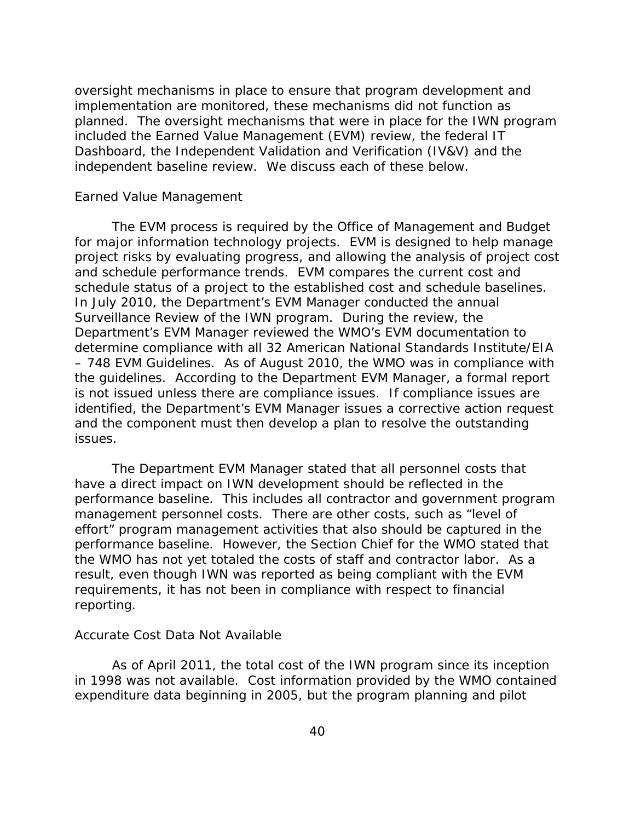oversight mechanisms in place to ensure that program development and implementation are monitored, these mechanisms did not function as planned. The oversight mechanisms that were in place for the IWN program included the Earned Value Management (EVM) review, the federal IT Dashboard, the Independent Validation and Verification (IV&V) and the independent baseline review. We discuss each of these below.

#### *Earned Value Management*

 schedule status of a project to the established cost and schedule baselines. In July 2010, the Department's EVM Manager conducted the annual The EVM process is required by the Office of Management and Budget for major information technology projects. EVM is designed to help manage project risks by evaluating progress, and allowing the analysis of project cost and schedule performance trends. EVM compares the current cost and Surveillance Review of the IWN program. During the review, the Department's EVM Manager reviewed the WMO's EVM documentation to determine compliance with all 32 American National Standards Institute/EIA – 748 EVM Guidelines. As of August 2010, the WMO was in compliance with the guidelines. According to the Department EVM Manager, a formal report is not issued unless there are compliance issues. If compliance issues are identified, the Department's EVM Manager issues a corrective action request and the component must then develop a plan to resolve the outstanding issues.

The Department EVM Manager stated that all personnel costs that have a direct impact on IWN development should be reflected in the performance baseline. This includes all contractor and government program management personnel costs. There are other costs, such as "level of effort" program management activities that also should be captured in the performance baseline. However, the Section Chief for the WMO stated that the WMO has not yet totaled the costs of staff and contractor labor. As a result, even though IWN was reported as being compliant with the EVM requirements, it has not been in compliance with respect to financial reporting.

#### *Accurate Cost Data Not Available*

As of April 2011, the total cost of the IWN program since its inception in 1998 was not available. Cost information provided by the WMO contained expenditure data beginning in 2005, but the program planning and pilot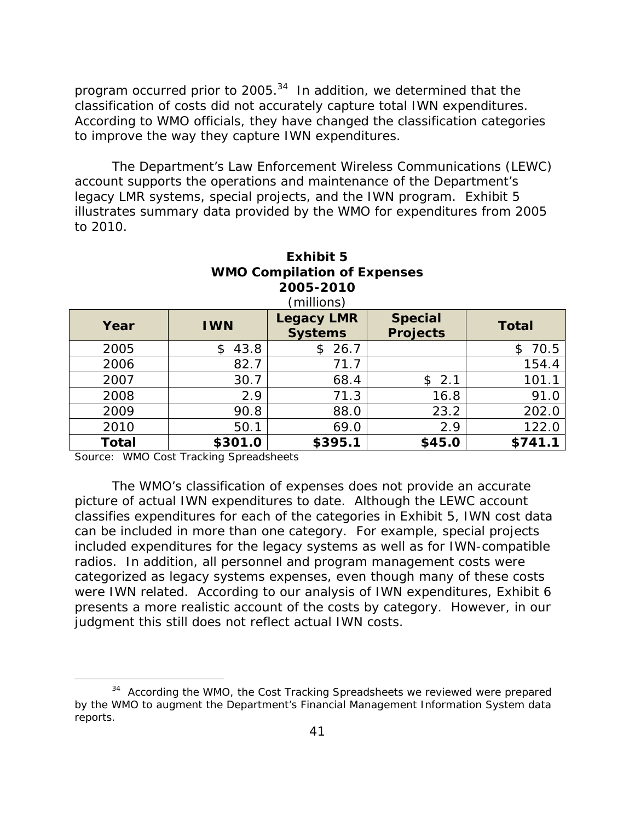program occurred prior to 2005. $34$  In addition, we determined that the classification of costs did not accurately capture total IWN expenditures. According to WMO officials, they have changed the classification categories to improve the way they capture IWN expenditures.

The Department's Law Enforcement Wireless Communications (LEWC) account supports the operations and maintenance of the Department's legacy LMR systems, special projects, and the IWN program. Exhibit 5 illustrates summary data provided by the WMO for expenditures from 2005 to 2010.

| <b><i>VINIO COMPHATION OF EXPENSES</i></b><br>2005-2010<br>(millions) |            |                                     |                                   |              |  |
|-----------------------------------------------------------------------|------------|-------------------------------------|-----------------------------------|--------------|--|
| Year                                                                  | <b>IWN</b> | <b>Legacy LMR</b><br><b>Systems</b> | <b>Special</b><br><b>Projects</b> | <b>Total</b> |  |
| 2005                                                                  | 43.8<br>\$ | 26.7<br>\$                          |                                   | 70.5<br>\$   |  |
| 2006                                                                  | 82.7       | 71.7                                |                                   | 154.4        |  |
| 2007                                                                  | 30.7       | 68.4                                | \$2.1                             | 101.1        |  |
| 2008                                                                  | 2.9        | 71.3                                | 16.8                              | 91.0         |  |
| 2009                                                                  | 90.8       | 88.0                                | 23.2                              | 202.0        |  |
| 2010                                                                  | 50.1       | 69.0                                | 2.9                               | 122.0        |  |
| Total                                                                 | \$301.0    | \$395.1                             | \$45.0                            | \$741.1      |  |

**Exhibit 5 WMO Compilation of Expenses** 

Source: WMO Cost Tracking Spreadsheets

The WMO's classification of expenses does not provide an accurate picture of actual IWN expenditures to date. Although the LEWC account classifies expenditures for each of the categories in Exhibit 5, IWN cost data can be included in more than one category. For example, special projects included expenditures for the legacy systems as well as for IWN-compatible radios. In addition, all personnel and program management costs were categorized as legacy systems expenses, even though many of these costs were IWN related. According to our analysis of IWN expenditures, Exhibit 6 presents a more realistic account of the costs by category. However, in our judgment this still does not reflect actual IWN costs.

<sup>&</sup>lt;sup>34</sup> According the WMO, the Cost Tracking Spreadsheets we reviewed were prepared by the WMO to augment the Department's Financial Management Information System data reports.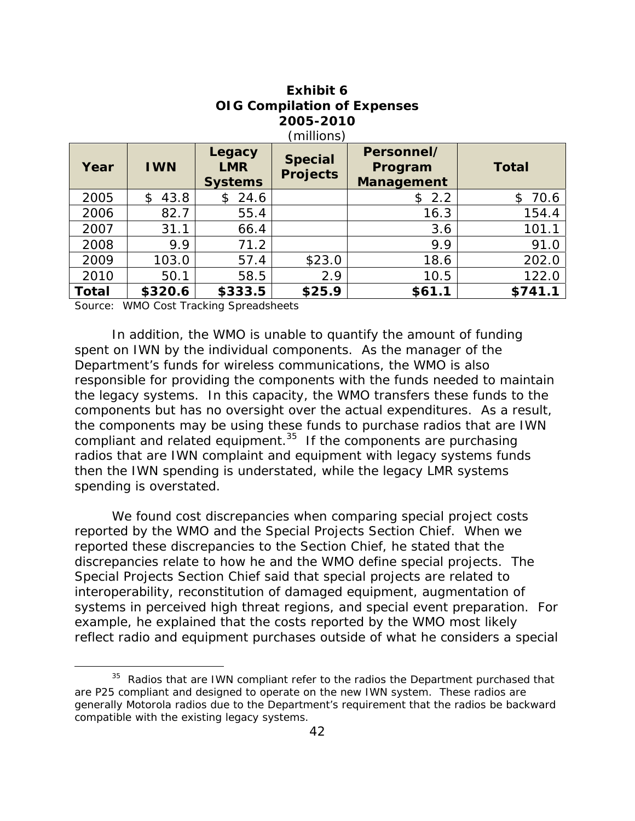| Year         | <b>IWN</b> | Legacy<br><b>LMR</b><br><b>Systems</b> | <b>Special</b><br><b>Projects</b> | Personnel/<br>Program<br>Management | <b>Total</b> |
|--------------|------------|----------------------------------------|-----------------------------------|-------------------------------------|--------------|
| 2005         | 43.8<br>\$ | \$24.6                                 |                                   | \$2.2                               | 70.6<br>\$   |
| 2006         | 82.7       | 55.4                                   |                                   | 16.3                                | 154.4        |
| 2007         | 31.1       | 66.4                                   |                                   | 3.6                                 | 101.1        |
| 2008         | 9.9        | 71.2                                   |                                   | 9.9                                 | 91.0         |
| 2009         | 103.0      | 57.4                                   | \$23.0                            | 18.6                                | 202.0        |
| 2010         | 50.1       | 58.5                                   | 2.9                               | 10.5                                | 122.0        |
| <b>Total</b> | \$320.6    | \$333.5                                | \$25.9                            | \$61.1                              | \$741.1      |

## **Exhibit 6 OIG Compilation of Expenses 2005-2010**

Source: WMO Cost Tracking Spreadsheets

In addition, the WMO is unable to quantify the amount of funding spent on IWN by the individual components. As the manager of the Department's funds for wireless communications, the WMO is also responsible for providing the components with the funds needed to maintain the legacy systems. In this capacity, the WMO transfers these funds to the components but has no oversight over the actual expenditures. As a result, the components may be using these funds to purchase radios that are IWN compliant and related equipment. $35$  If the components are purchasing radios that are IWN complaint and equipment with legacy systems funds then the IWN spending is understated, while the legacy LMR systems spending is overstated.

We found cost discrepancies when comparing special project costs reported by the WMO and the Special Projects Section Chief. When we reported these discrepancies to the Section Chief, he stated that the discrepancies relate to how he and the WMO define special projects. The Special Projects Section Chief said that special projects are related to interoperability, reconstitution of damaged equipment, augmentation of systems in perceived high threat regions, and special event preparation. For example, he explained that the costs reported by the WMO most likely reflect radio and equipment purchases outside of what he considers a special

<sup>&</sup>lt;sup>35</sup> Radios that are IWN compliant refer to the radios the Department purchased that are P25 compliant and designed to operate on the new IWN system. These radios are generally Motorola radios due to the Department's requirement that the radios be backward compatible with the existing legacy systems.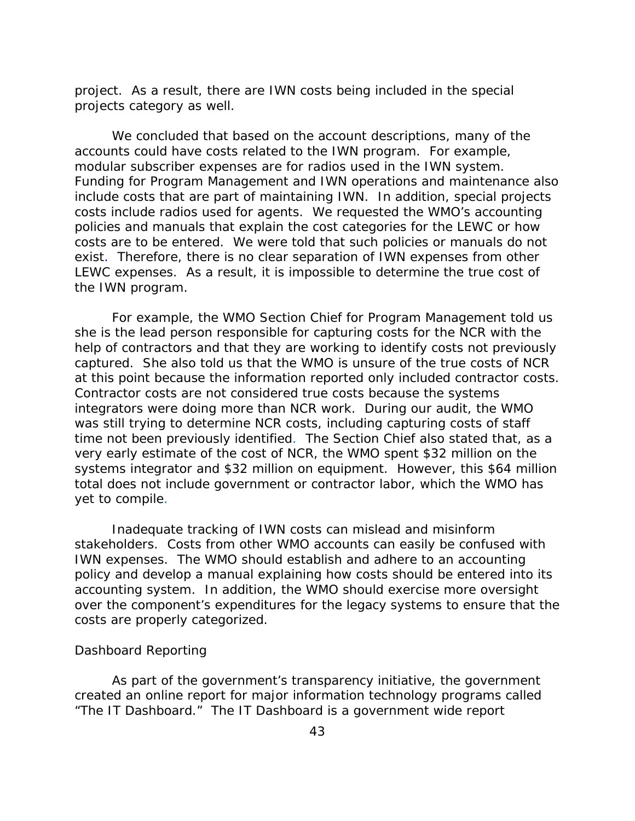project. As a result, there are IWN costs being included in the special projects category as well.

We concluded that based on the account descriptions, many of the accounts could have costs related to the IWN program. For example, modular subscriber expenses are for radios used in the IWN system. Funding for Program Management and IWN operations and maintenance also include costs that are part of maintaining IWN. In addition, special projects costs include radios used for agents. We requested the WMO's accounting policies and manuals that explain the cost categories for the LEWC or how costs are to be entered. We were told that such policies or manuals do not exist. Therefore, there is no clear separation of IWN expenses from other LEWC expenses. As a result, it is impossible to determine the true cost of the IWN program.

For example, the WMO Section Chief for Program Management told us she is the lead person responsible for capturing costs for the NCR with the help of contractors and that they are working to identify costs not previously captured. She also told us that the WMO is unsure of the true costs of NCR at this point because the information reported only included contractor costs. Contractor costs are not considered true costs because the systems integrators were doing more than NCR work. During our audit, the WMO was still trying to determine NCR costs, including capturing costs of staff time not been previously identified. The Section Chief also stated that, as a very early estimate of the cost of NCR, the WMO spent \$32 million on the systems integrator and \$32 million on equipment. However, this \$64 million total does not include government or contractor labor, which the WMO has yet to compile.

Inadequate tracking of IWN costs can mislead and misinform stakeholders. Costs from other WMO accounts can easily be confused with IWN expenses. The WMO should establish and adhere to an accounting policy and develop a manual explaining how costs should be entered into its accounting system. In addition, the WMO should exercise more oversight over the component's expenditures for the legacy systems to ensure that the costs are properly categorized.

### *Dashboard Reporting*

As part of the government's transparency initiative, the government created an online report for major information technology programs called "The IT Dashboard." The IT Dashboard is a government wide report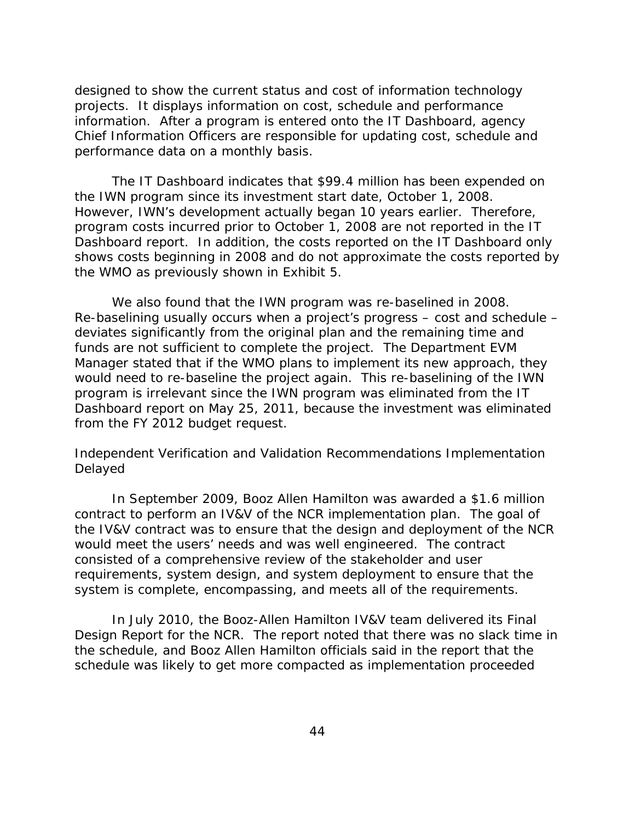designed to show the current status and cost of information technology projects. It displays information on cost, schedule and performance information. After a program is entered onto the IT Dashboard, agency Chief Information Officers are responsible for updating cost, schedule and performance data on a monthly basis.

The IT Dashboard indicates that \$99.4 million has been expended on the IWN program since its investment start date, October 1, 2008. However, IWN's development actually began 10 years earlier. Therefore, program costs incurred prior to October 1, 2008 are not reported in the IT Dashboard report. In addition, the costs reported on the IT Dashboard only shows costs beginning in 2008 and do not approximate the costs reported by the WMO as previously shown in Exhibit 5.

We also found that the IWN program was re-baselined in 2008. Re-baselining usually occurs when a project's progress – cost and schedule – deviates significantly from the original plan and the remaining time and funds are not sufficient to complete the project. The Department EVM Manager stated that if the WMO plans to implement its new approach, they would need to re-baseline the project again. This re-baselining of the IWN program is irrelevant since the IWN program was eliminated from the IT Dashboard report on May 25, 2011, because the investment was eliminated from the FY 2012 budget request.

### *Independent Verification and Validation Recommendations Implementation Delayed*

In September 2009, Booz Allen Hamilton was awarded a \$1.6 million contract to perform an IV&V of the NCR implementation plan. The goal of the IV&V contract was to ensure that the design and deployment of the NCR would meet the users' needs and was well engineered. The contract consisted of a comprehensive review of the stakeholder and user requirements, system design, and system deployment to ensure that the system is complete, encompassing, and meets all of the requirements.

In July 2010, the Booz-Allen Hamilton IV&V team delivered its Final Design Report for the NCR. The report noted that there was no slack time in the schedule, and Booz Allen Hamilton officials said in the report that the schedule was likely to get more compacted as implementation proceeded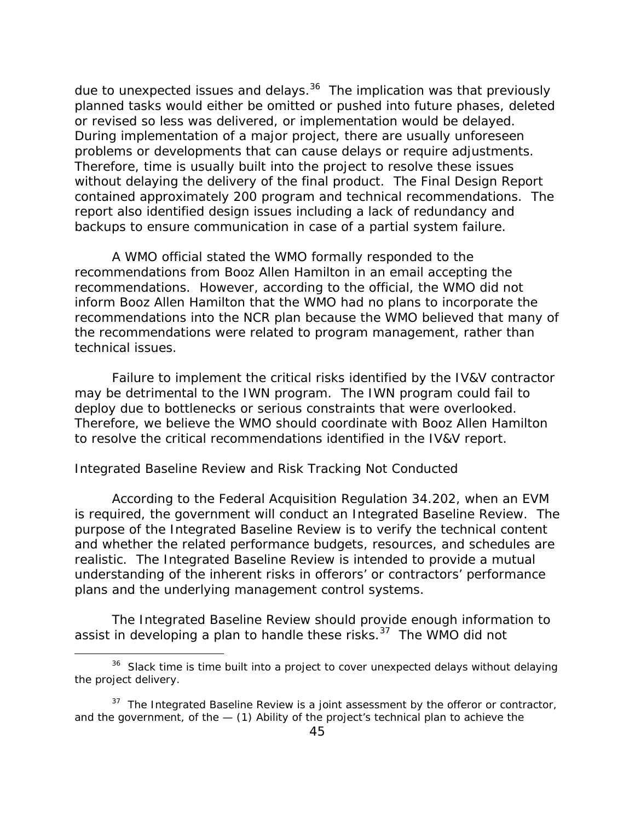due to unexpected issues and delays.<sup>36</sup> The implication was that previously planned tasks would either be omitted or pushed into future phases, deleted or revised so less was delivered, or implementation would be delayed. During implementation of a major project, there are usually unforeseen problems or developments that can cause delays or require adjustments. Therefore, time is usually built into the project to resolve these issues without delaying the delivery of the final product. The Final Design Report contained approximately 200 program and technical recommendations. The report also identified design issues including a lack of redundancy and backups to ensure communication in case of a partial system failure.

A WMO official stated the WMO formally responded to the recommendations from Booz Allen Hamilton in an email accepting the recommendations. However, according to the official, the WMO did not inform Booz Allen Hamilton that the WMO had no plans to incorporate the recommendations into the NCR plan because the WMO believed that many of the recommendations were related to program management, rather than technical issues.

Failure to implement the critical risks identified by the IV&V contractor may be detrimental to the IWN program. The IWN program could fail to deploy due to bottlenecks or serious constraints that were overlooked. Therefore, we believe the WMO should coordinate with Booz Allen Hamilton to resolve the critical recommendations identified in the IV&V report.

### *Integrated Baseline Review and Risk Tracking Not Conducted*

According to the Federal Acquisition Regulation 34.202, when an EVM is required, the government will conduct an Integrated Baseline Review. The purpose of the Integrated Baseline Review is to verify the technical content and whether the related performance budgets, resources, and schedules are realistic. The Integrated Baseline Review is intended to provide a mutual understanding of the inherent risks in offerors' or contractors' performance plans and the underlying management control systems.

The Integrated Baseline Review should provide enough information to assist in developing a plan to handle these risks. $37$  The WMO did not

 $36$  Slack time is time built into a project to cover unexpected delays without delaying the project delivery.

 and the government, of the — (1) Ability of the project's technical plan to achieve the  $37$  The Integrated Baseline Review is a joint assessment by the offeror or contractor,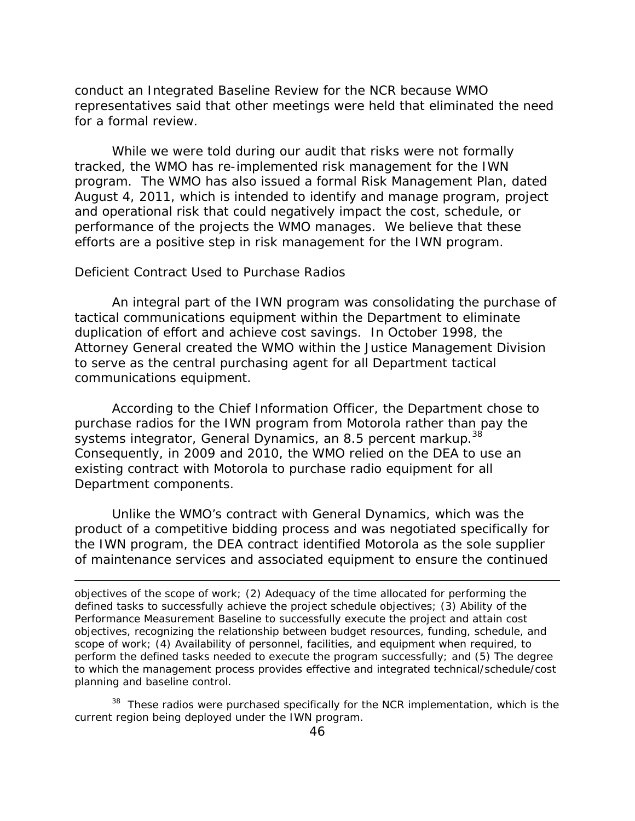for a formal review. conduct an Integrated Baseline Review for the NCR because WMO representatives said that other meetings were held that eliminated the need

While we were told during our audit that risks were not formally tracked, the WMO has re-implemented risk management for the IWN program. The WMO has also issued a formal Risk Management Plan, dated August 4, 2011, which is intended to identify and manage program, project and operational risk that could negatively impact the cost, schedule, or performance of the projects the WMO manages. We believe that these efforts are a positive step in risk management for the IWN program.

#### *Deficient Contract Used to Purchase Radios*

An integral part of the IWN program was consolidating the purchase of tactical communications equipment within the Department to eliminate duplication of effort and achieve cost savings. In October 1998, the Attorney General created the WMO within the Justice Management Division to serve as the central purchasing agent for all Department tactical communications equipment.

systems integrator, General Dynamics, an 8.5 percent markup.<sup>38</sup> According to the Chief Information Officer, the Department chose to purchase radios for the IWN program from Motorola rather than pay the Consequently, in 2009 and 2010, the WMO relied on the DEA to use an existing contract with Motorola to purchase radio equipment for all Department components.

Unlike the WMO's contract with General Dynamics, which was the product of a competitive bidding process and was negotiated specifically for the IWN program, the DEA contract identified Motorola as the sole supplier of maintenance services and associated equipment to ensure the continued

<sup>38</sup> These radios were purchased specifically for the NCR implementation, which is the current region being deployed under the IWN program.

objectives of the scope of work; (2) Adequacy of the time allocated for performing the defined tasks to successfully achieve the project schedule objectives; (3) Ability of the Performance Measurement Baseline to successfully execute the project and attain cost objectives, recognizing the relationship between budget resources, funding, schedule, and scope of work; (4) Availability of personnel, facilities, and equipment when required, to perform the defined tasks needed to execute the program successfully; and (5) The degree to which the management process provides effective and integrated technical/schedule/cost planning and baseline control.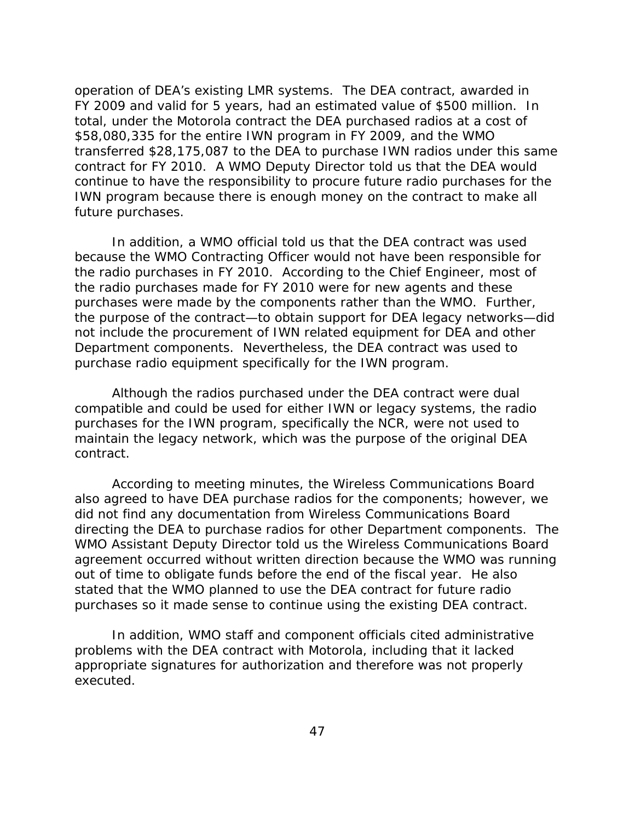operation of DEA's existing LMR systems. The DEA contract, awarded in FY 2009 and valid for 5 years, had an estimated value of \$500 million. In total, under the Motorola contract the DEA purchased radios at a cost of \$58,080,335 for the entire IWN program in FY 2009, and the WMO transferred \$28,175,087 to the DEA to purchase IWN radios under this same contract for FY 2010. A WMO Deputy Director told us that the DEA would continue to have the responsibility to procure future radio purchases for the IWN program because there is enough money on the contract to make all future purchases.

In addition, a WMO official told us that the DEA contract was used because the WMO Contracting Officer would not have been responsible for the radio purchases in FY 2010. According to the Chief Engineer, most of the radio purchases made for FY 2010 were for new agents and these purchases were made by the components rather than the WMO. Further, the purpose of the contract—to obtain support for DEA legacy networks—did not include the procurement of IWN related equipment for DEA and other Department components. Nevertheless, the DEA contract was used to purchase radio equipment specifically for the IWN program.

Although the radios purchased under the DEA contract were dual compatible and could be used for either IWN or legacy systems, the radio purchases for the IWN program, specifically the NCR, were not used to maintain the legacy network, which was the purpose of the original DEA contract.

According to meeting minutes, the Wireless Communications Board also agreed to have DEA purchase radios for the components; however, we did not find any documentation from Wireless Communications Board directing the DEA to purchase radios for other Department components. The WMO Assistant Deputy Director told us the Wireless Communications Board agreement occurred without written direction because the WMO was running out of time to obligate funds before the end of the fiscal year. He also stated that the WMO planned to use the DEA contract for future radio purchases so it made sense to continue using the existing DEA contract.

In addition, WMO staff and component officials cited administrative problems with the DEA contract with Motorola, including that it lacked appropriate signatures for authorization and therefore was not properly executed.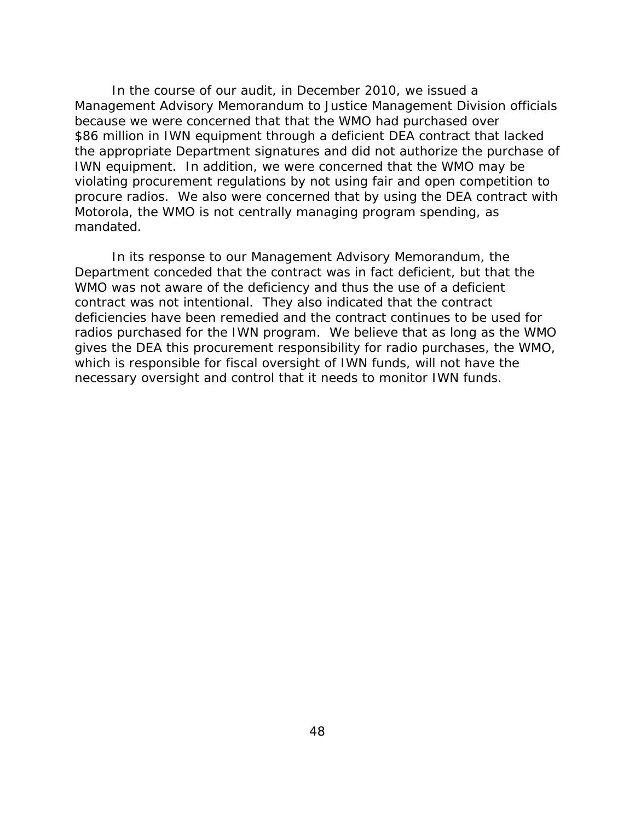In the course of our audit, in December 2010, we issued a Management Advisory Memorandum to Justice Management Division officials because we were concerned that that the WMO had purchased over \$86 million in IWN equipment through a deficient DEA contract that lacked the appropriate Department signatures and did not authorize the purchase of IWN equipment. In addition, we were concerned that the WMO may be violating procurement regulations by not using fair and open competition to procure radios. We also were concerned that by using the DEA contract with Motorola, the WMO is not centrally managing program spending, as mandated.

In its response to our Management Advisory Memorandum, the Department conceded that the contract was in fact deficient, but that the WMO was not aware of the deficiency and thus the use of a deficient contract was not intentional. They also indicated that the contract deficiencies have been remedied and the contract continues to be used for radios purchased for the IWN program. We believe that as long as the WMO gives the DEA this procurement responsibility for radio purchases, the WMO, which is responsible for fiscal oversight of IWN funds, will not have the necessary oversight and control that it needs to monitor IWN funds.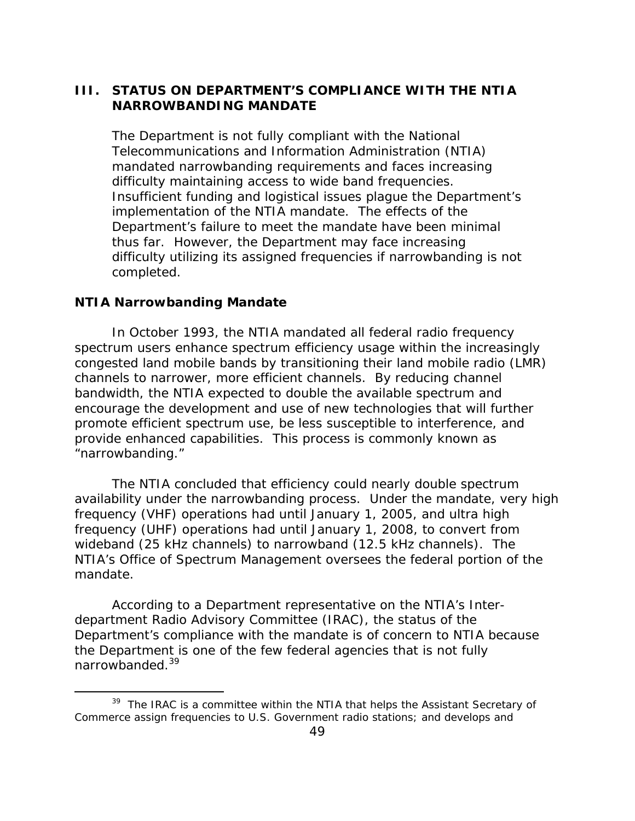### **III. STATUS ON DEPARTMENT'S COMPLIANCE WITH THE NTIA NARROWBANDING MANDATE**

The Department is not fully compliant with the National Telecommunications and Information Administration (NTIA) mandated narrowbanding requirements and faces increasing difficulty maintaining access to wide band frequencies. Insufficient funding and logistical issues plague the Department's implementation of the NTIA mandate. The effects of the Department's failure to meet the mandate have been minimal thus far. However, the Department may face increasing difficulty utilizing its assigned frequencies if narrowbanding is not completed.

#### **NTIA Narrowbanding Mandate**

In October 1993, the NTIA mandated all federal radio frequency spectrum users enhance spectrum efficiency usage within the increasingly congested land mobile bands by transitioning their land mobile radio (LMR) channels to narrower, more efficient channels. By reducing channel bandwidth, the NTIA expected to double the available spectrum and encourage the development and use of new technologies that will further promote efficient spectrum use, be less susceptible to interference, and provide enhanced capabilities. This process is commonly known as "narrowbanding."

The NTIA concluded that efficiency could nearly double spectrum availability under the narrowbanding process. Under the mandate, very high frequency (VHF) operations had until January 1, 2005, and ultra high frequency (UHF) operations had until January 1, 2008, to convert from wideband (25 kHz channels) to narrowband (12.5 kHz channels). The NTIA's Office of Spectrum Management oversees the federal portion of the mandate.

According to a Department representative on the NTIA's Interdepartment Radio Advisory Committee (IRAC), the status of the Department's compliance with the mandate is of concern to NTIA because the Department is one of the few federal agencies that is not fully narrowbanded.39

<sup>&</sup>lt;sup>39</sup> The IRAC is a committee within the NTIA that helps the Assistant Secretary of Commerce assign frequencies to U.S. Government radio stations; and develops and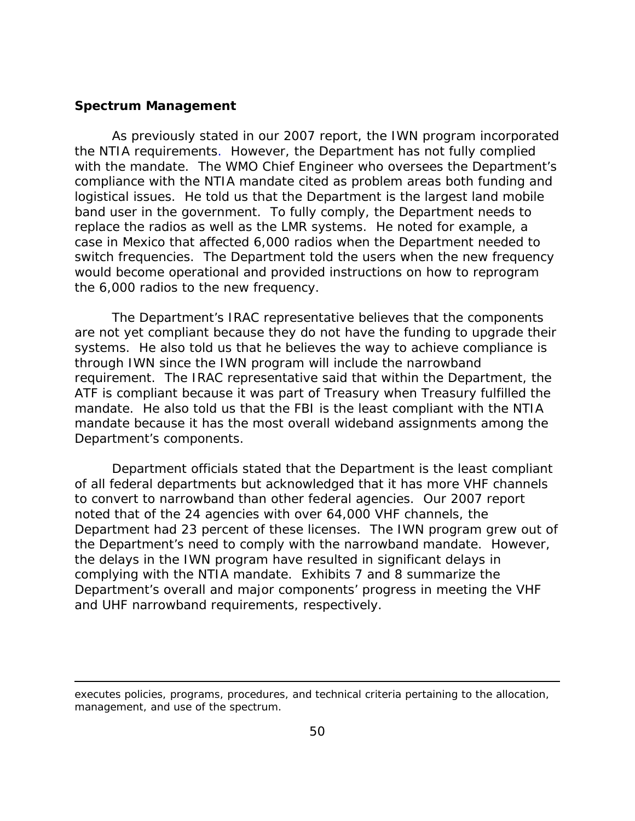#### **Spectrum Management**

As previously stated in our 2007 report, the IWN program incorporated the NTIA requirements. However, the Department has not fully complied with the mandate. The WMO Chief Engineer who oversees the Department's compliance with the NTIA mandate cited as problem areas both funding and logistical issues. He told us that the Department is the largest land mobile band user in the government. To fully comply, the Department needs to replace the radios as well as the LMR systems. He noted for example, a case in Mexico that affected 6,000 radios when the Department needed to switch frequencies. The Department told the users when the new frequency would become operational and provided instructions on how to reprogram the 6,000 radios to the new frequency.

The Department's IRAC representative believes that the components are not yet compliant because they do not have the funding to upgrade their systems. He also told us that he believes the way to achieve compliance is through IWN since the IWN program will include the narrowband requirement. The IRAC representative said that within the Department, the ATF is compliant because it was part of Treasury when Treasury fulfilled the mandate. He also told us that the FBI is the least compliant with the NTIA mandate because it has the most overall wideband assignments among the Department's components.

Department officials stated that the Department is the least compliant of all federal departments but acknowledged that it has more VHF channels to convert to narrowband than other federal agencies. Our 2007 report noted that of the 24 agencies with over 64,000 VHF channels, the Department had 23 percent of these licenses. The IWN program grew out of the Department's need to comply with the narrowband mandate. However, the delays in the IWN program have resulted in significant delays in complying with the NTIA mandate. Exhibits 7 and 8 summarize the Department's overall and major components' progress in meeting the VHF and UHF narrowband requirements, respectively.

executes policies, programs, procedures, and technical criteria pertaining to the allocation, management, and use of the spectrum.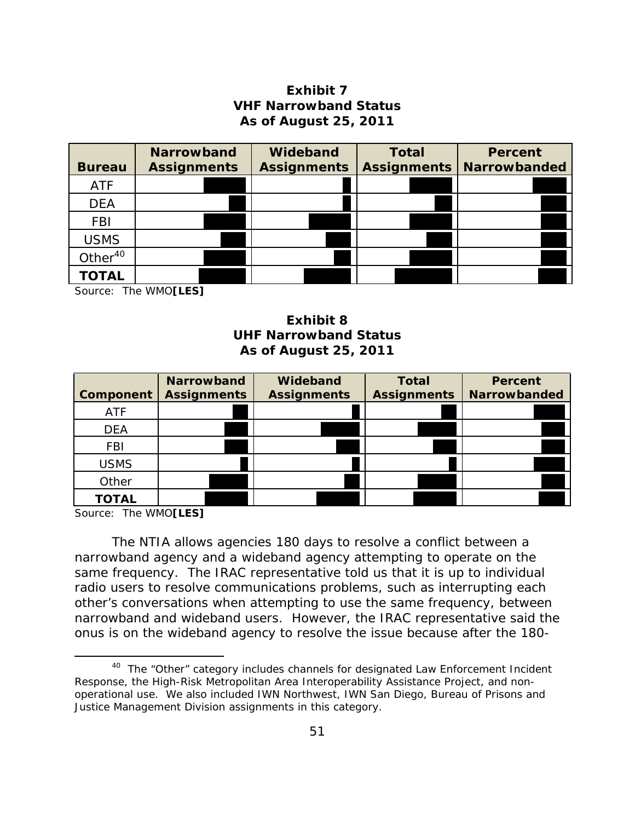### **Exhibit 7 VHF Narrowband Status As of August 25, 2011**

|                     | <b>Narrowband</b>  | Wideband           | <b>Total</b>       | <b>Percent</b>      |
|---------------------|--------------------|--------------------|--------------------|---------------------|
| <b>Bureau</b>       | <b>Assignments</b> | <b>Assignments</b> | <b>Assignments</b> | <b>Narrowbanded</b> |
| <b>ATF</b>          |                    |                    |                    |                     |
| <b>DEA</b>          |                    |                    |                    |                     |
| <b>FBI</b>          |                    |                    |                    |                     |
| <b>USMS</b>         |                    |                    |                    |                     |
| Other <sup>40</sup> |                    |                    |                    |                     |
| TOTAL               |                    |                    |                    |                     |

Source: The WMO**[LES]** 

### **Exhibit 8 UHF Narrowband Status As of August 25, 2011**

| Component    | <b>Narrowband</b><br><b>Assignments</b> | Wideband<br><b>Assignments</b> | <b>Total</b><br><b>Assignments</b> | <b>Percent</b><br><b>Narrowbanded</b> |
|--------------|-----------------------------------------|--------------------------------|------------------------------------|---------------------------------------|
| <b>ATF</b>   |                                         |                                |                                    |                                       |
| <b>DEA</b>   |                                         |                                |                                    |                                       |
| <b>FBI</b>   |                                         |                                |                                    |                                       |
| <b>USMS</b>  |                                         |                                |                                    |                                       |
| Other        |                                         |                                |                                    |                                       |
| <b>TOTAL</b> |                                         |                                |                                    |                                       |

Source: The WMO**[LES]** 

The NTIA allows agencies 180 days to resolve a conflict between a narrowband agency and a wideband agency attempting to operate on the same frequency. The IRAC representative told us that it is up to individual radio users to resolve communications problems, such as interrupting each other's conversations when attempting to use the same frequency, between narrowband and wideband users. However, the IRAC representative said the onus is on the wideband agency to resolve the issue because after the 180-

<sup>&</sup>lt;sup>40</sup> The "Other" category includes channels for designated Law Enforcement Incident Response, the High-Risk Metropolitan Area Interoperability Assistance Project, and nonoperational use. We also included IWN Northwest, IWN San Diego, Bureau of Prisons and Justice Management Division assignments in this category.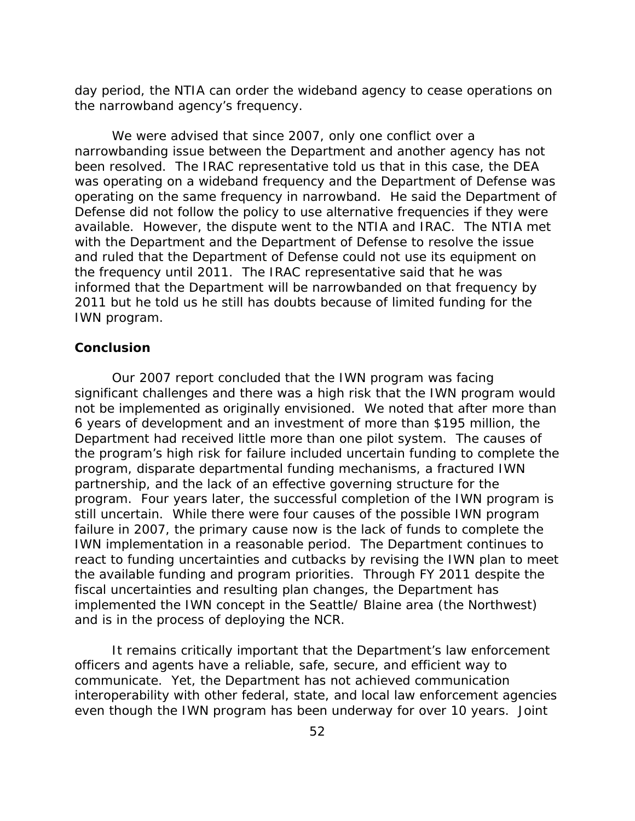day period, the NTIA can order the wideband agency to cease operations on the narrowband agency's frequency.

We were advised that since 2007, only one conflict over a narrowbanding issue between the Department and another agency has not been resolved. The IRAC representative told us that in this case, the DEA was operating on a wideband frequency and the Department of Defense was operating on the same frequency in narrowband. He said the Department of Defense did not follow the policy to use alternative frequencies if they were available. However, the dispute went to the NTIA and IRAC. The NTIA met with the Department and the Department of Defense to resolve the issue and ruled that the Department of Defense could not use its equipment on the frequency until 2011. The IRAC representative said that he was informed that the Department will be narrowbanded on that frequency by 2011 but he told us he still has doubts because of limited funding for the IWN program.

### **Conclusion**

Our 2007 report concluded that the IWN program was facing significant challenges and there was a high risk that the IWN program would not be implemented as originally envisioned. We noted that after more than 6 years of development and an investment of more than \$195 million, the Department had received little more than one pilot system. The causes of the program's high risk for failure included uncertain funding to complete the program, disparate departmental funding mechanisms, a fractured IWN partnership, and the lack of an effective governing structure for the program. Four years later, the successful completion of the IWN program is still uncertain. While there were four causes of the possible IWN program failure in 2007, the primary cause now is the lack of funds to complete the IWN implementation in a reasonable period. The Department continues to react to funding uncertainties and cutbacks by revising the IWN plan to meet the available funding and program priorities. Through FY 2011 despite the fiscal uncertainties and resulting plan changes, the Department has implemented the IWN concept in the Seattle/ Blaine area (the Northwest) and is in the process of deploying the NCR.

It remains critically important that the Department's law enforcement officers and agents have a reliable, safe, secure, and efficient way to communicate. Yet, the Department has not achieved communication interoperability with other federal, state, and local law enforcement agencies even though the IWN program has been underway for over 10 years. Joint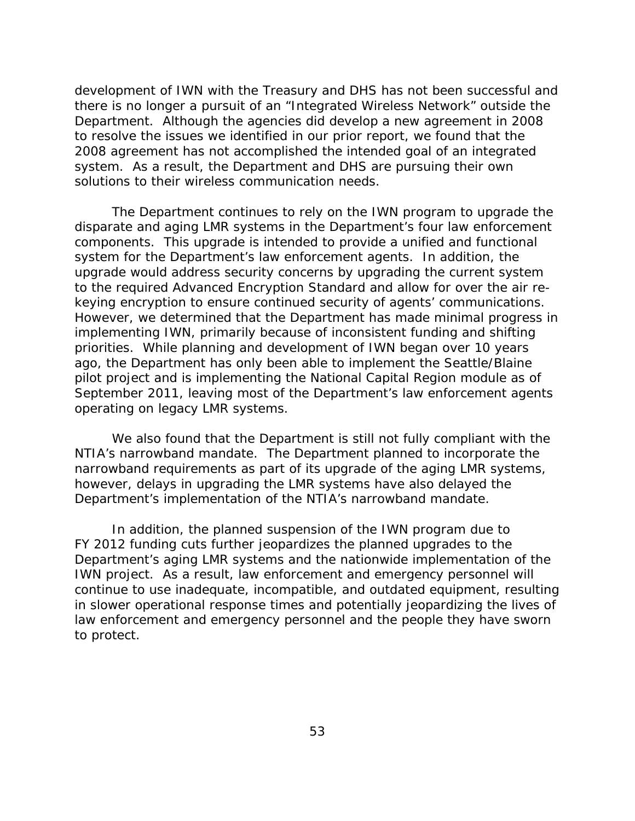development of IWN with the Treasury and DHS has not been successful and there is no longer a pursuit of an "Integrated Wireless Network" outside the Department. Although the agencies did develop a new agreement in 2008 to resolve the issues we identified in our prior report, we found that the 2008 agreement has not accomplished the intended goal of an integrated system. As a result, the Department and DHS are pursuing their own solutions to their wireless communication needs.

The Department continues to rely on the IWN program to upgrade the disparate and aging LMR systems in the Department's four law enforcement components. This upgrade is intended to provide a unified and functional system for the Department's law enforcement agents. In addition, the upgrade would address security concerns by upgrading the current system to the required Advanced Encryption Standard and allow for over the air rekeying encryption to ensure continued security of agents' communications. However, we determined that the Department has made minimal progress in implementing IWN, primarily because of inconsistent funding and shifting priorities. While planning and development of IWN began over 10 years ago, the Department has only been able to implement the Seattle/Blaine pilot project and is implementing the National Capital Region module as of September 2011, leaving most of the Department's law enforcement agents operating on legacy LMR systems.

We also found that the Department is still not fully compliant with the NTIA's narrowband mandate. The Department planned to incorporate the narrowband requirements as part of its upgrade of the aging LMR systems, however, delays in upgrading the LMR systems have also delayed the Department's implementation of the NTIA's narrowband mandate.

In addition, the planned suspension of the IWN program due to FY 2012 funding cuts further jeopardizes the planned upgrades to the Department's aging LMR systems and the nationwide implementation of the IWN project. As a result, law enforcement and emergency personnel will continue to use inadequate, incompatible, and outdated equipment, resulting in slower operational response times and potentially jeopardizing the lives of law enforcement and emergency personnel and the people they have sworn to protect.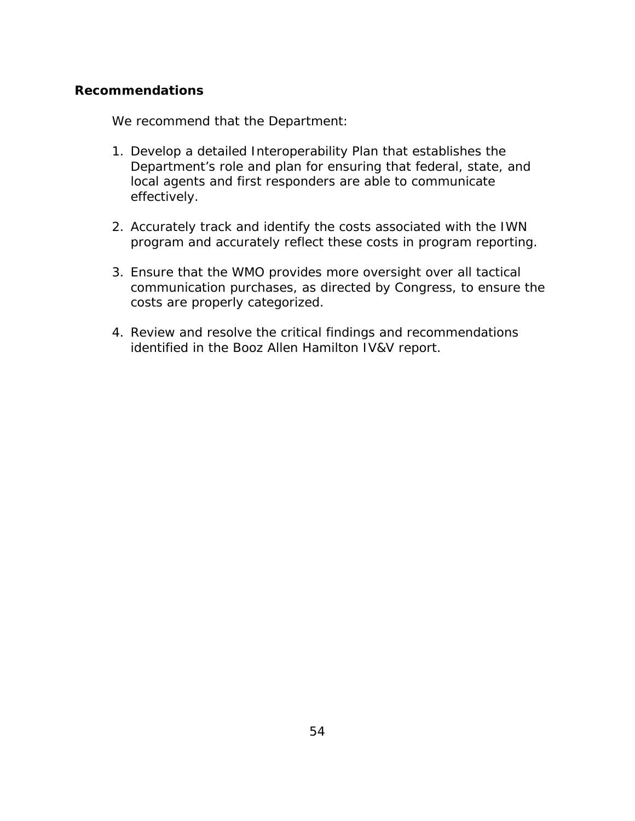### **Recommendations**

We recommend that the Department:

- 1. Develop a detailed Interoperability Plan that establishes the Department's role and plan for ensuring that federal, state, and local agents and first responders are able to communicate effectively.
- 2. Accurately track and identify the costs associated with the IWN program and accurately reflect these costs in program reporting.
- 3. Ensure that the WMO provides more oversight over all tactical communication purchases, as directed by Congress, to ensure the costs are properly categorized.
- 4. Review and resolve the critical findings and recommendations identified in the Booz Allen Hamilton IV&V report.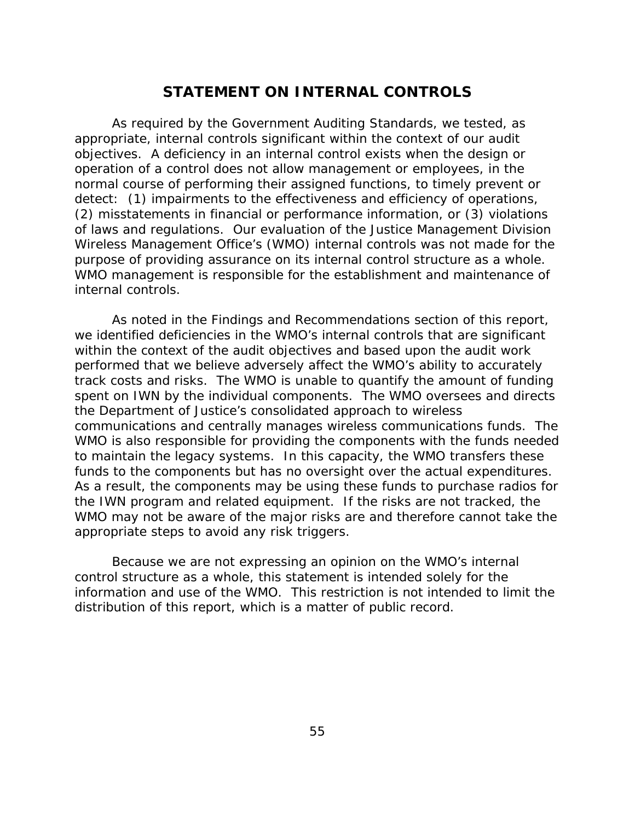## **STATEMENT ON INTERNAL CONTROLS**

As required by the Government Auditing Standards, we tested, as appropriate, internal controls significant within the context of our audit objectives. A deficiency in an internal control exists when the design or operation of a control does not allow management or employees, in the normal course of performing their assigned functions, to timely prevent or detect: (1) impairments to the effectiveness and efficiency of operations, (2) misstatements in financial or performance information, or (3) violations of laws and regulations. Our evaluation of the Justice Management Division Wireless Management Office's (WMO) internal controls was not made for the purpose of providing assurance on its internal control structure as a whole. WMO management is responsible for the establishment and maintenance of internal controls.

As noted in the Findings and Recommendations section of this report, we identified deficiencies in the WMO's internal controls that are significant within the context of the audit objectives and based upon the audit work performed that we believe adversely affect the WMO's ability to accurately track costs and risks. The WMO is unable to quantify the amount of funding spent on IWN by the individual components. The WMO oversees and directs the Department of Justice's consolidated approach to wireless communications and centrally manages wireless communications funds. The WMO is also responsible for providing the components with the funds needed to maintain the legacy systems. In this capacity, the WMO transfers these funds to the components but has no oversight over the actual expenditures. As a result, the components may be using these funds to purchase radios for the IWN program and related equipment. If the risks are not tracked, the WMO may not be aware of the major risks are and therefore cannot take the appropriate steps to avoid any risk triggers.

Because we are not expressing an opinion on the WMO's internal control structure as a whole, this statement is intended solely for the information and use of the WMO. This restriction is not intended to limit the distribution of this report, which is a matter of public record.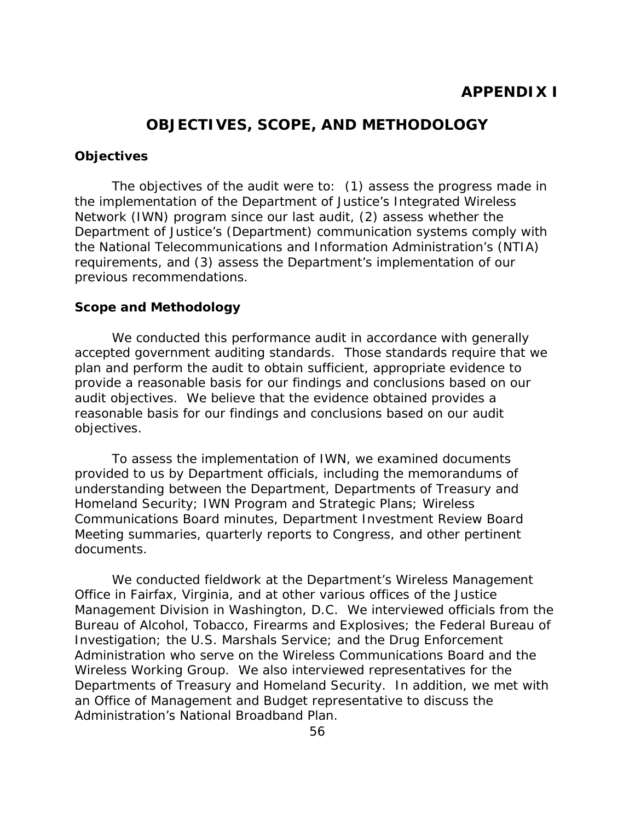## **OBJECTIVES, SCOPE, AND METHODOLOGY**

### **Objectives**

The objectives of the audit were to: (1) assess the progress made in the implementation of the Department of Justice's Integrated Wireless Network (IWN) program since our last audit, (2) assess whether the Department of Justice's (Department) communication systems comply with the National Telecommunications and Information Administration's (NTIA) requirements, and (3) assess the Department's implementation of our previous recommendations.

### **Scope and Methodology**

We conducted this performance audit in accordance with generally accepted government auditing standards. Those standards require that we plan and perform the audit to obtain sufficient, appropriate evidence to provide a reasonable basis for our findings and conclusions based on our audit objectives. We believe that the evidence obtained provides a reasonable basis for our findings and conclusions based on our audit objectives.

To assess the implementation of IWN, we examined documents provided to us by Department officials, including the memorandums of understanding between the Department, Departments of Treasury and Homeland Security; IWN Program and Strategic Plans; Wireless Communications Board minutes, Department Investment Review Board Meeting summaries, quarterly reports to Congress, and other pertinent documents.

We conducted fieldwork at the Department's Wireless Management Office in Fairfax, Virginia, and at other various offices of the Justice Management Division in Washington, D.C. We interviewed officials from the Bureau of Alcohol, Tobacco, Firearms and Explosives; the Federal Bureau of Investigation; the U.S. Marshals Service; and the Drug Enforcement Administration who serve on the Wireless Communications Board and the Wireless Working Group. We also interviewed representatives for the Departments of Treasury and Homeland Security. In addition, we met with an Office of Management and Budget representative to discuss the Administration's National Broadband Plan.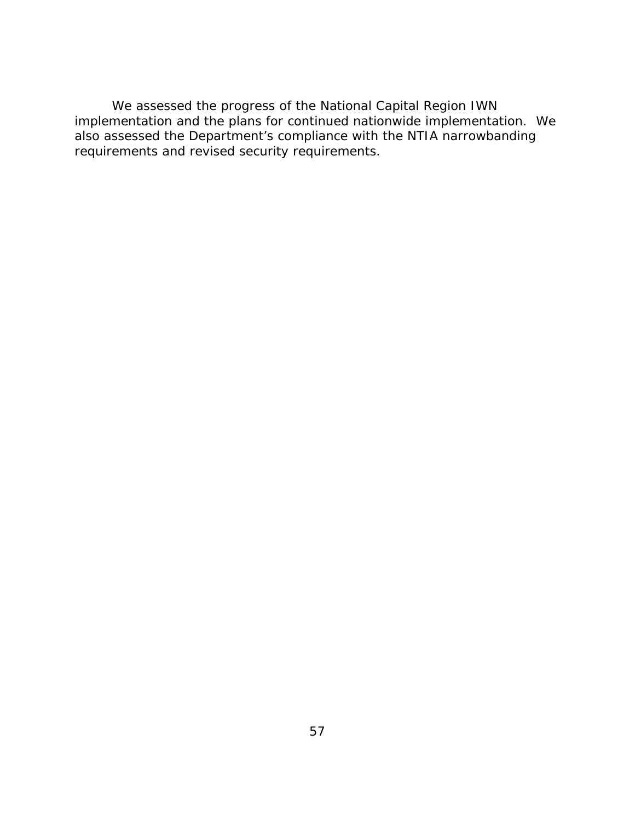We assessed the progress of the National Capital Region IWN implementation and the plans for continued nationwide implementation. We also assessed the Department's compliance with the NTIA narrowbanding requirements and revised security requirements.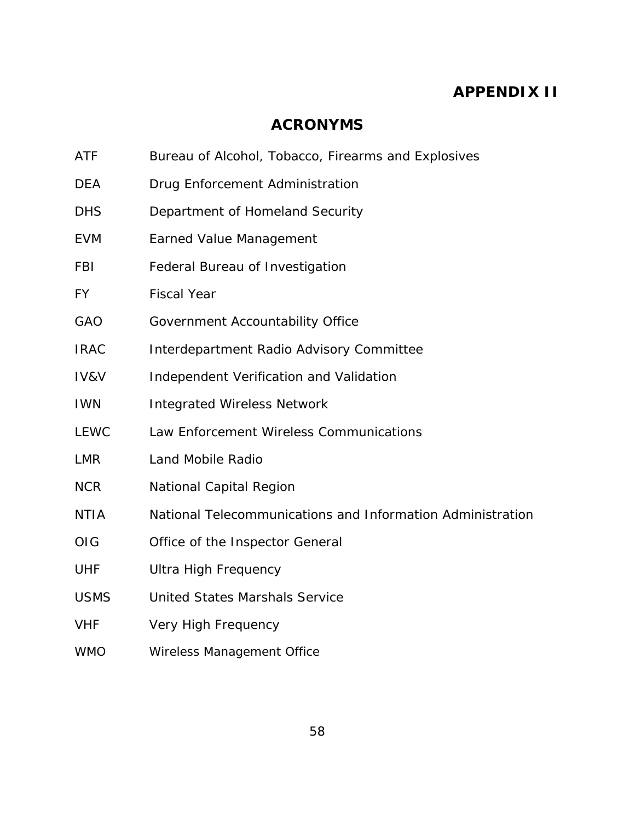# **APPENDIX II**

## **ACRONYMS**

- ATF Bureau of Alcohol, Tobacco, Firearms and Explosives
- DEA Drug Enforcement Administration
- DHS Department of Homeland Security
- EVM Earned Value Management
- FBI Federal Bureau of Investigation
- FY Fiscal Year
- GAO Government Accountability Office
- IRAC Interdepartment Radio Advisory Committee
- IV&V Independent Verification and Validation
- IWN Integrated Wireless Network
- LEWC Law Enforcement Wireless Communications
- LMR Land Mobile Radio
- **NCR** National Capital Region
- NTIA National Telecommunications and Information Administration
- OIG Office of the Inspector General
- **UHF** Ultra High Frequency
- USMS United States Marshals Service
- VHF Very High Frequency
- **OMW** Wireless Management Office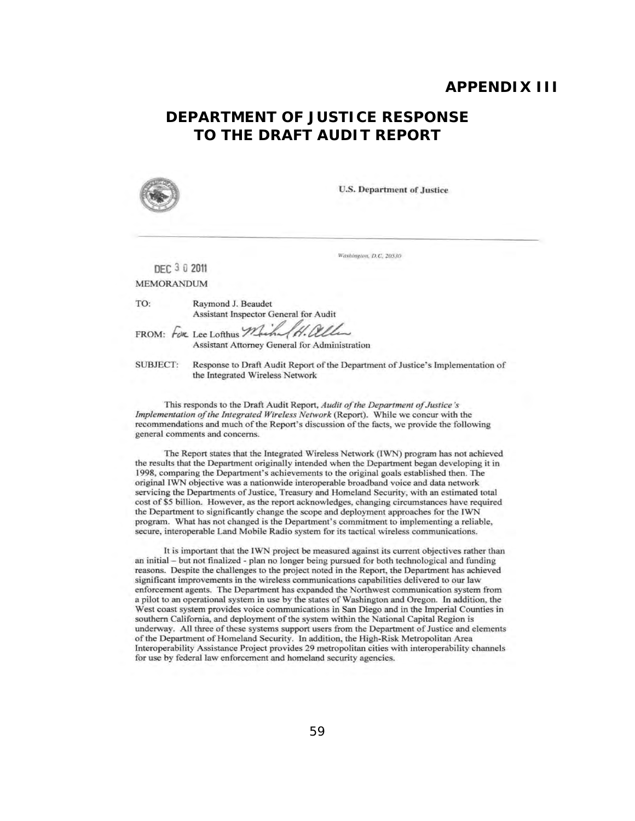### **APPENDIX III**

## **DEPARTMENT OF JUSTICE RESPONSE TO THE DRAFT AUDIT REPORT**



U.S. Department of Justice

Washington, D.C. 20530

DEC 3 0 2011 MEMORANDUM

TO: Raymond J. Beaudet Assistant Inspector General for Audit

FROM: FOR Lee Lofthus Machel H. allen Assistant Attorney General for Administration

SUBJECT: Response to Draft Audit Report of the Department of Justice's Implementation of the Integrated Wireless Network

This responds to the Draft Audit Report, *Audit of the Department of Justice 's Implementation of the Integrated Wireless Network* (Report). While we concur with the recommendations and much of the Report's discussion of the facts. we provide the following general comments and concerns.

The Report states that the Integrated Wireless Network (lWN) program has not achieved the results that the Department originally intended when the Department began developing it in 1998. comparing the Department's achievements to the original goals established then. The original IWN objective was a nationwide interoperable broadband voice and data network servicing the Departments of Justice. Treasury and Homeland Security. with an estimated total cost of \$5 bil1ion. However. as the report acknowledges. changing circumstances have required the Department to significantly change the scope and deployment approaches for the IWN program. What has not changed is the Department's commitment to implementing a reliable. secure. interoperable Land Mobile Radio system for its tactical wireless communications.

It is important that the lWN project be measured against its current objectives rather than an initial - but not finalized - plan no longer being pursued for both technological and funding reasons. Despite the challenges to the project noted in the Report. the Department has achieved significant improvements in the wireless communications capabilities delivered to our law enforcement agents. The Department has expanded the Northwest communication system from a pilot to an operational system in use by the states of Washington and Oregon. In addition, the West coast system provides voice communications in San Diego and in the lmperial Counties in southern California, and deployment of the system within the National Capital Region is underway. All three of these systems support users from the Department of Justice and elements of the Department of Homeland Security. In addition, the High-Risk Metropolitan Area Interoperability Assistance Project provides 29 metropolitan cities with interoperability channels for use by federal law enforcement and homeland security agencies.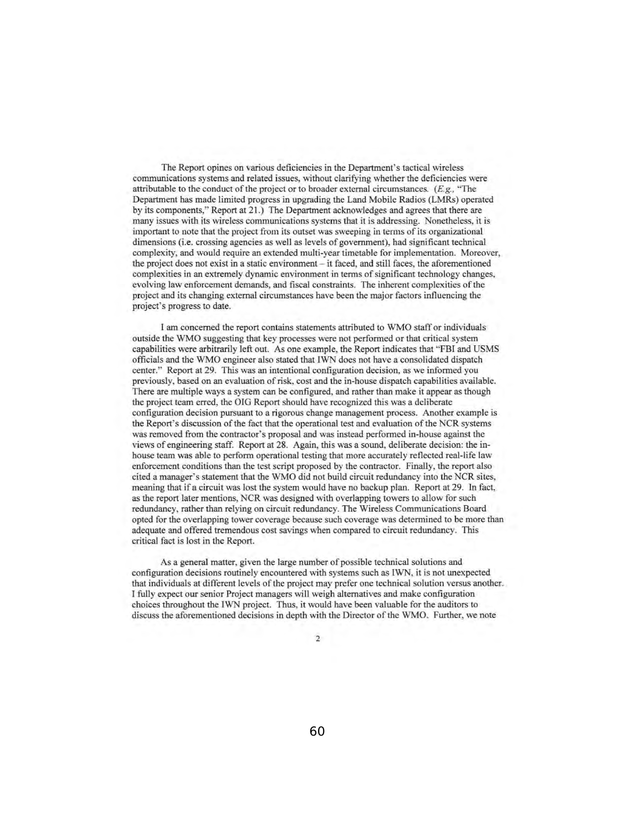The Report opines on various deficiencies in the Department's tactical wireless communications systems and related issues, without clarifying whether the deficiencies were attributable to the conduct of the project or to broader external circumstances.  $(E, g)$ , "The Department has made limited progress in upgrading the Land Mobile Radios (LMRs) operated by its components," Report at 21.) The Department acknowledges and agrees that there are many issues with its wireless communications systems that it is addressing. Nonetheless, it is important to note that the project from its outset was sweeping in terms of its organizational dimensions (i.e. crossing agencies as well as levels of govemment), had significant technical complexity, and would require an extended multi-year timetable for implementation. Moreover, the project does not exist in a static environment - it faced, and still faces, the aforementioned complexities in an extremely dynamic environment in terms of significant technology changes, evolving law enforcement demands, and fiscal constraints. The inherent complexities of the project and its changing external circumstances have been the major factors influencing the project's progress to date.

I am concerned the report contains statements attributed to WMO staff or individuals outside the WMO suggesting that key processes were not performed or that critical system capabilities were arbitrarily left out. As one example, the Report indicates that "FBI and USMS officials and the WMO engineer also stated that IWN does not have a consolidated dispatch center." Report at 29. This was an intentional configuration decision, as we informed you previously, based on an evaluation of risk, cost and the in-house dispatch capabilities available. There are multiple ways a system can be configured, and rather than make it appear as though the project team erred, the OIG Report should have recognized this was a deliberate configuration decision pursuant to a rigorous change management process. Another example is the Report's discussion of the fact that the operational test and evaluation of the NCR systems was removed from the contractor's proposal and was instead performed in-house against the views of engineering staff. Report at 28. Again, this was a sound, deliberate decision: the inhouse team was able to perform operational testing that more accurately reflected real-life law enforcement conditions than the test script proposed by the contractor. Finally, the report also cited a manager's statement that the WMO did not build circuit redundancy into the NCR sites, meaning that if a circuit was lost the system would have no backup plan. Report at 29. In fact, as the report later mentions, NCR was designed with overlapping towers to allow for such redundancy, rather than relying on circuit redundancy. The Wireless Communications Board opted for the overlapping tower coverage because such coverage was determined to be more than adequate and offered tremendous cost savings when compared to circuit redundancy. This critical fact is lost in the Report.

As a general matter, given the large number of possible technical solutions and configuration decisions routinely encountered with systems such as IWN, it is not unexpected that individuals at different levels of the project may prefer one technical solution versus another. I fully expect our senior Project managers will weigh alternatives and make configuration choices throughout the IWN project. Thus, it would have been valuable for the auditors to discuss the aforementioned decisions in depth with the Director of the WMO. Further, we note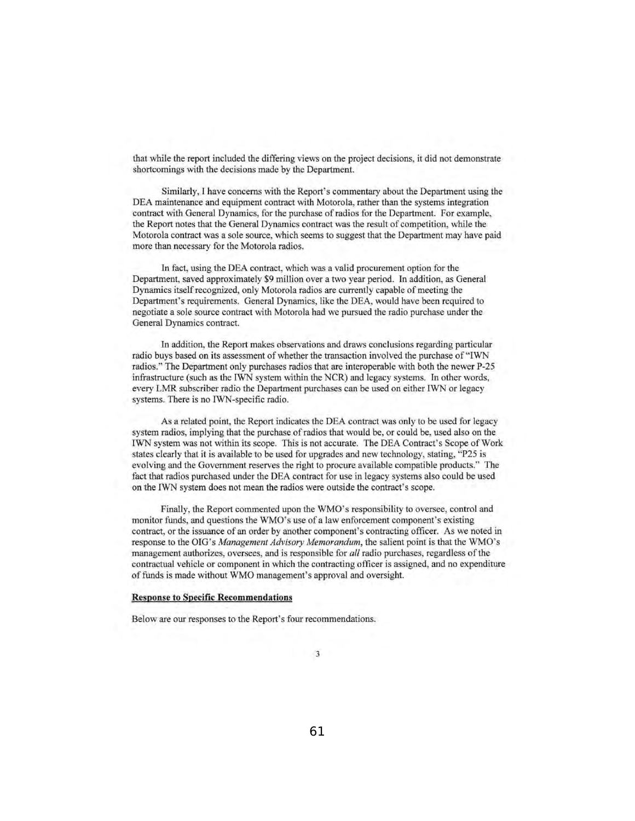that while the report included the differing views on the project decisions, it did not demonstrate shortcomings with the decisions made by the Department.

Similarly, I have concerns with the Report's commentary about the Department using the DEA maintenance and equipment contract with Motorola, rather than the systems integration contract with General Dynamics, for the purchase of radios for the Department. For example, the Report notes that the General Dynamics contract was the result of competition, while the Motorola contract was a sole source, which seems to suggest that the Department may have paid more than necessary for the Motorola radios.

In fact, using the DEA contract, which was a valid procurement option for the Department, saved approximately \$9 million over a two year period. In addition, as General Dynamics itself recognized, only Motorola radios are currently capable of meeting the Department's requirements. General Dynamics, like the DEA, would have been required to negotiate a sole source contract with Motorola had we pursued the radio purchase under the General Dynamics contract.

In addition, the Report makes observations and draws conclusions regarding particular radio buys based on its assessment of whether the transaction involved the purchase of"IWN radios." The Department only purchases radios that are interoperable with both the newer P-25 infrastructure (such as the IWN system within the NCR) and legacy systems. In other words, every LMR subscriber radio the Department purchases can be used on either IWN or legacy systems. There is no IWN-specific radio.

As a related point, the Report indicates the DEA contract was only to be used for legacy system radios, implying that the purchase of radios that would be, or could be, used also on the IWN system was not within its scope. This is not accurate. The DEA Contract's Scope of Work states clearly that it is available to be used for upgrades and new technology, stating, "P25 is evolving and the Government reserves the right to procure available compatible products." The fact that radios purchased under the DEA contract for use in legacy systems also could be used on the IWN system does not mean the radios were outside the contract's scope.

Finally, the Report commented upon the WMO's responsibility to oversee, control and monitor funds, and questions the WMO's use of a law enforcement component's existing contract, or the issuance of an order by another component's contracting officer. As we noted in response to the OIG's *Management Advisory Memorandum,* the salient point is that the WMO's management authorizes, oversees, and is responsible for *all* radio purchases, regardless of the contractual vehicle or component in which the contracting officer is assigned, and no expenditure of funds is made without WMO management's approval and oversight.

#### Response to Specific Recommendations

Below are our responses to the Report's four recommendations.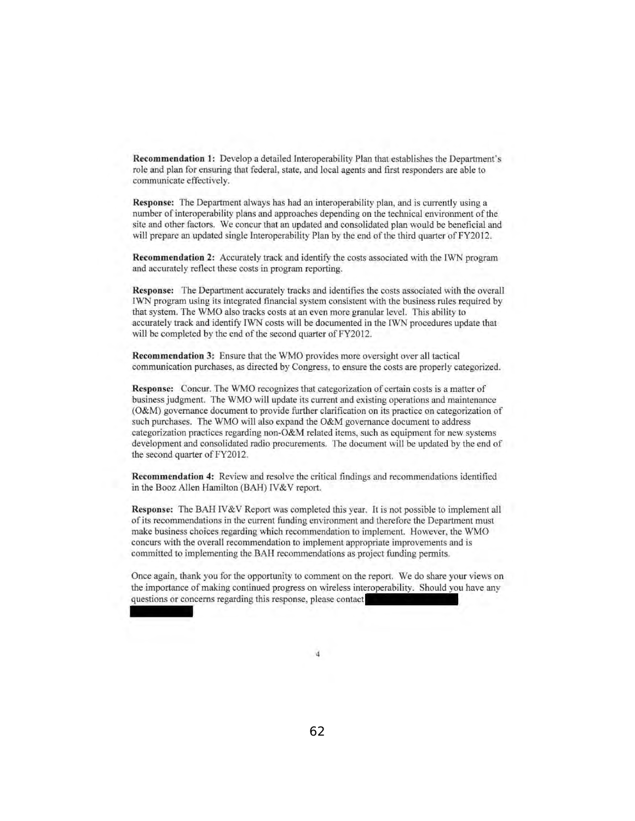Recommendation I: Develop a detailed Interoperability Plan that establishes the Department's role and plan for ensuring that federal, state, and local agents and first responders are able to communicate effectively.

Response: The Department always has had an interoperability plan, and is currently using a number of interoperability plans and approaches depending on the technical environment of the site and other factors. We concur that an updated and consolidated plan would be beneficial and will prepare an updated single Interoperability Plan by the end of the third quarter of FY2012.

Recommendation 2: Accurately track and identify the costs associated with the lWN program and accurately reflect these costs in program reporting.

Response: The Department accurately tracks and identifies the costs associated with the overall IWN program using its integrated financial system consistent with the business rules required by that system. The WMO also tracks costs at an even more granular level. This ability to accurately track and identify IWN costs will be documented in the fWN procedures update that will be completed by the end of the second quarter of FY2012.

Recommendation 3: Ensure that the WMO provides more oversight over all tactical communication purchases, as directed by Congress, to ensure the costs are properly categorized.

Response: Concur. The WMO recognizes that categorization of certain costs is a matter of business judgment. The WMO will update its current and existing operations and maintenance (O&M) governance document to provide further clarification on its practice on categorization of such purchases. The WMO will also expand the O&M governance document to address categorization practices regarding non-O&M related items, such as equipment for new systems development and consolidated radio procurements. The document will be updated by the end of the second quarter of FY2012.

Recommendation 4: Review and resolve the critical findings and recommendations identified in the Booz Allen Hamilton (BAH) IV&V report.

Response: The BAH IV&V Report was completed this year. It is not possible to implement all of its recommendations in the current funding environment and therefore the Department must make business choices regarding which recommendation to implement. However, the WMO concurs with the overall recommendation to implement appropriate improvements and is committed to implementing the BAH recommendations as project funding permits.

Once again, thank you for the opportunity to comment on the report. We do share your views on the importance of making continued progress on wireless interoperability. Should you have any questions or concerns regarding this response, please contact.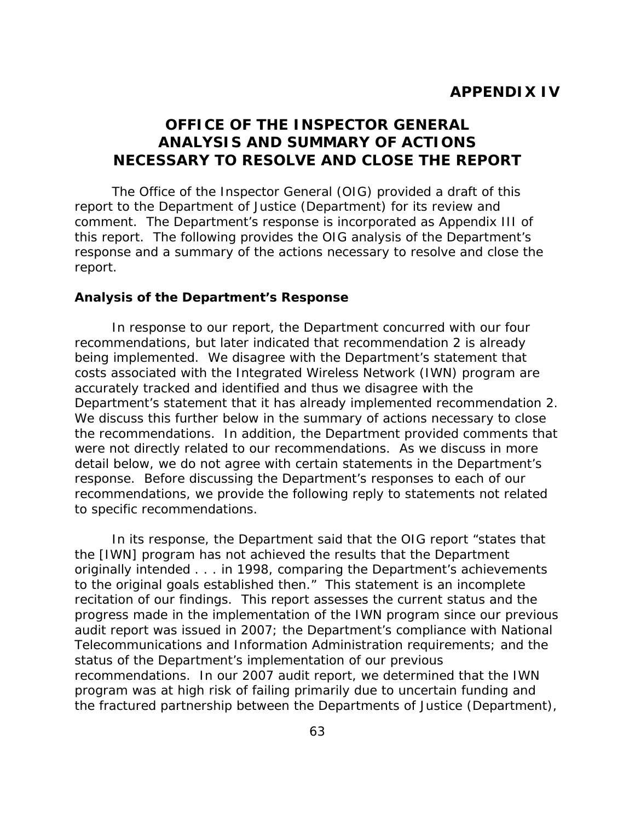## **OFFICE OF THE INSPECTOR GENERAL ANALYSIS AND SUMMARY OF ACTIONS NECESSARY TO RESOLVE AND CLOSE THE REPORT**

The Office of the Inspector General (OIG) provided a draft of this report to the Department of Justice (Department) for its review and comment. The Department's response is incorporated as Appendix III of this report. The following provides the OIG analysis of the Department's response and a summary of the actions necessary to resolve and close the report.

### **Analysis of the Department's Response**

Department's statement that it has already implemented recommendation 2.<br>We discuss this further below in the summary of actions necessary to close In response to our report, the Department concurred with our four recommendations, but later indicated that recommendation 2 is already being implemented. We disagree with the Department's statement that costs associated with the Integrated Wireless Network (IWN) program are accurately tracked and identified and thus we disagree with the the recommendations. In addition, the Department provided comments that were not directly related to our recommendations. As we discuss in more detail below, we do not agree with certain statements in the Department's response. Before discussing the Department's responses to each of our recommendations, we provide the following reply to statements not related to specific recommendations.

In its response, the Department said that the OIG report "states that the [IWN] program has not achieved the results that the Department originally intended . . . in 1998, comparing the Department's achievements to the original goals established then." This statement is an incomplete recitation of our findings. This report assesses the current status and the progress made in the implementation of the IWN program since our previous audit report was issued in 2007; the Department's compliance with National Telecommunications and Information Administration requirements; and the status of the Department's implementation of our previous recommendations. In our 2007 audit report, we determined that the IWN program was at high risk of failing primarily due to uncertain funding and the fractured partnership between the Departments of Justice (Department),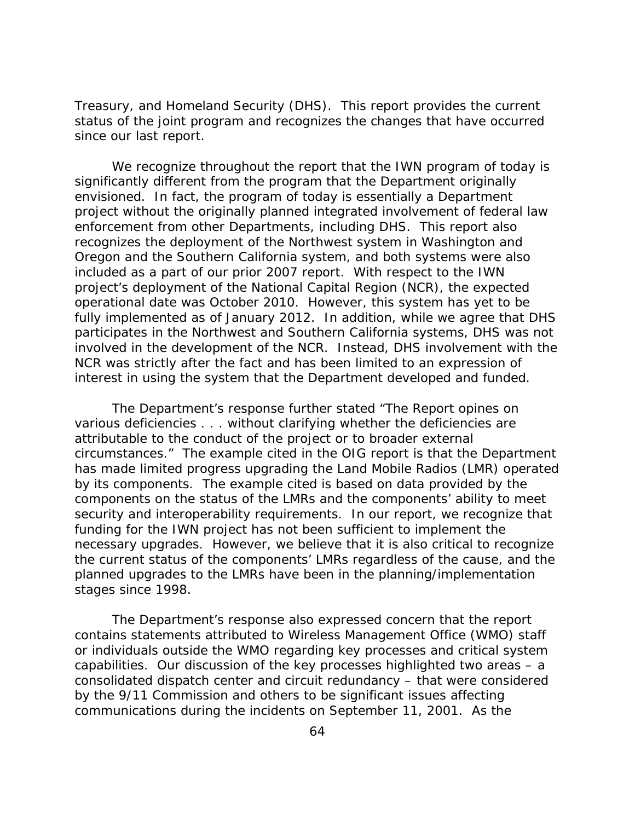Treasury, and Homeland Security (DHS). This report provides the current status of the joint program and recognizes the changes that have occurred since our last report.

We recognize throughout the report that the IWN program of today is significantly different from the program that the Department originally envisioned. In fact, the program of today is essentially a Department project without the originally planned integrated involvement of federal law enforcement from other Departments, including DHS. This report also recognizes the deployment of the Northwest system in Washington and Oregon and the Southern California system, and both systems were also included as a part of our prior 2007 report. With respect to the IWN project's deployment of the National Capital Region (NCR), the expected operational date was October 2010. However, this system has yet to be fully implemented as of January 2012. In addition, while we agree that DHS participates in the Northwest and Southern California systems, DHS was not involved in the development of the NCR. Instead, DHS involvement with the NCR was strictly after the fact and has been limited to an expression of interest in using the system that the Department developed and funded.

The Department's response further stated "The Report opines on various deficiencies . . . without clarifying whether the deficiencies are attributable to the conduct of the project or to broader external circumstances." The example cited in the OIG report is that the Department has made limited progress upgrading the Land Mobile Radios (LMR) operated by its components. The example cited is based on data provided by the components on the status of the LMRs and the components' ability to meet security and interoperability requirements. In our report, we recognize that funding for the IWN project has not been sufficient to implement the necessary upgrades. However, we believe that it is also critical to recognize the current status of the components' LMRs regardless of the cause, and the planned upgrades to the LMRs have been in the planning/implementation stages since 1998.

The Department's response also expressed concern that the report contains statements attributed to Wireless Management Office (WMO) staff or individuals outside the WMO regarding key processes and critical system capabilities. Our discussion of the key processes highlighted two areas – a consolidated dispatch center and circuit redundancy – that were considered by the 9/11 Commission and others to be significant issues affecting communications during the incidents on September 11, 2001. As the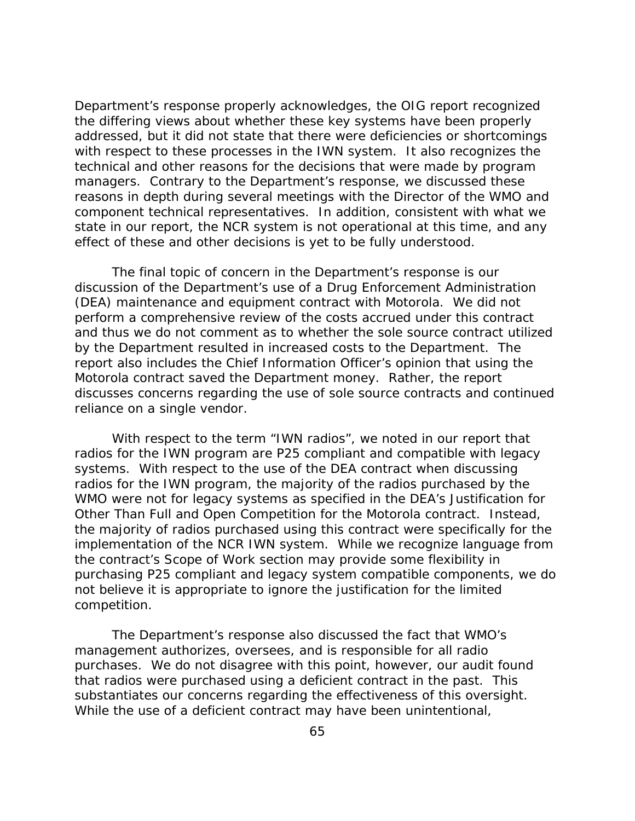Department's response properly acknowledges, the OIG report recognized the differing views about whether these key systems have been properly addressed, but it did not state that there were deficiencies or shortcomings with respect to these processes in the IWN system. It also recognizes the technical and other reasons for the decisions that were made by program managers. Contrary to the Department's response, we discussed these reasons in depth during several meetings with the Director of the WMO and component technical representatives. In addition, consistent with what we state in our report, the NCR system is not operational at this time, and any effect of these and other decisions is yet to be fully understood.

The final topic of concern in the Department's response is our discussion of the Department's use of a Drug Enforcement Administration (DEA) maintenance and equipment contract with Motorola. We did not perform a comprehensive review of the costs accrued under this contract and thus we do not comment as to whether the sole source contract utilized by the Department resulted in increased costs to the Department. The report also includes the Chief Information Officer's opinion that using the Motorola contract saved the Department money. Rather, the report discusses concerns regarding the use of sole source contracts and continued reliance on a single vendor.

With respect to the term "IWN radios", we noted in our report that radios for the IWN program are P25 compliant and compatible with legacy systems. With respect to the use of the DEA contract when discussing radios for the IWN program, the majority of the radios purchased by the WMO were not for legacy systems as specified in the DEA's Justification for Other Than Full and Open Competition for the Motorola contract. Instead, the majority of radios purchased using this contract were specifically for the implementation of the NCR IWN system. While we recognize language from the contract's Scope of Work section may provide some flexibility in purchasing P25 compliant and legacy system compatible components, we do not believe it is appropriate to ignore the justification for the limited competition.

The Department's response also discussed the fact that WMO's management authorizes, oversees, and is responsible for all radio purchases. We do not disagree with this point, however, our audit found that radios were purchased using a deficient contract in the past. This substantiates our concerns regarding the effectiveness of this oversight. While the use of a deficient contract may have been unintentional,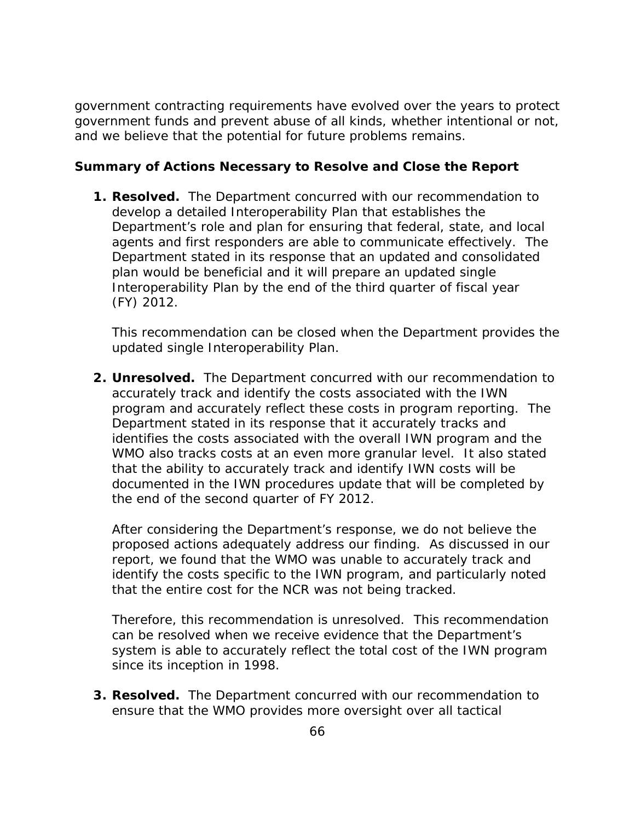government contracting requirements have evolved over the years to protect government funds and prevent abuse of all kinds, whether intentional or not, and we believe that the potential for future problems remains.

## **Summary of Actions Necessary to Resolve and Close the Report**

**1. Resolved.** The Department concurred with our recommendation to develop a detailed Interoperability Plan that establishes the Department's role and plan for ensuring that federal, state, and local agents and first responders are able to communicate effectively. The Department stated in its response that an updated and consolidated plan would be beneficial and it will prepare an updated single Interoperability Plan by the end of the third quarter of fiscal year (FY) 2012.

This recommendation can be closed when the Department provides the updated single Interoperability Plan.

**2. Unresolved.** The Department concurred with our recommendation to accurately track and identify the costs associated with the IWN program and accurately reflect these costs in program reporting. The Department stated in its response that it accurately tracks and identifies the costs associated with the overall IWN program and the WMO also tracks costs at an even more granular level. It also stated that the ability to accurately track and identify IWN costs will be documented in the IWN procedures update that will be completed by the end of the second quarter of FY 2012.

After considering the Department's response, we do not believe the proposed actions adequately address our finding. As discussed in our report, we found that the WMO was unable to accurately track and identify the costs specific to the IWN program, and particularly noted that the entire cost for the NCR was not being tracked.

Therefore, this recommendation is unresolved. This recommendation can be resolved when we receive evidence that the Department's system is able to accurately reflect the total cost of the IWN program since its inception in 1998.

**3. Resolved.** The Department concurred with our recommendation to ensure that the WMO provides more oversight over all tactical